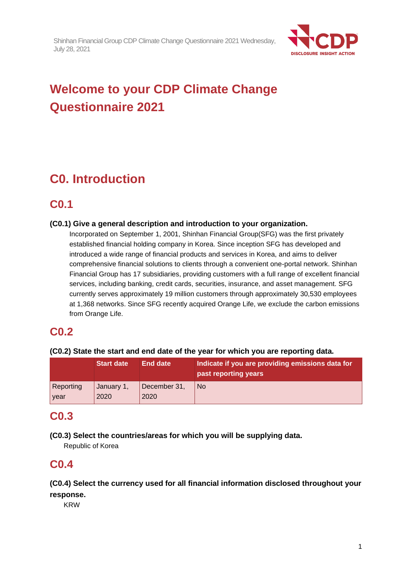

# **Welcome to your CDP Climate Change Questionnaire 2021**

# **C0. Introduction**

# **C0.1**

## **(C0.1) Give a general description and introduction to your organization.**

Incorporated on September 1, 2001, Shinhan Financial Group(SFG) was the first privately established financial holding company in Korea. Since inception SFG has developed and introduced a wide range of financial products and services in Korea, and aims to deliver comprehensive financial solutions to clients through a convenient one-portal network. Shinhan Financial Group has 17 subsidiaries, providing customers with a full range of excellent financial services, including banking, credit cards, securities, insurance, and asset management. SFG currently serves approximately 19 million customers through approximately 30,530 employees at 1,368 networks. Since SFG recently acquired Orange Life, we exclude the carbon emissions from Orange Life.

# **C0.2**

## **(C0.2) State the start and end date of the year for which you are reporting data.**

|           | <b>Start date</b> | <b>End date</b> | Indicate if you are providing emissions data for<br>past reporting years |
|-----------|-------------------|-----------------|--------------------------------------------------------------------------|
| Reporting | January 1,        | December 31,    | <b>No</b>                                                                |
| year      | 2020              | 2020            |                                                                          |

# **C0.3**

**(C0.3) Select the countries/areas for which you will be supplying data.**

Republic of Korea

# **C0.4**

# **(C0.4) Select the currency used for all financial information disclosed throughout your response.**

KRW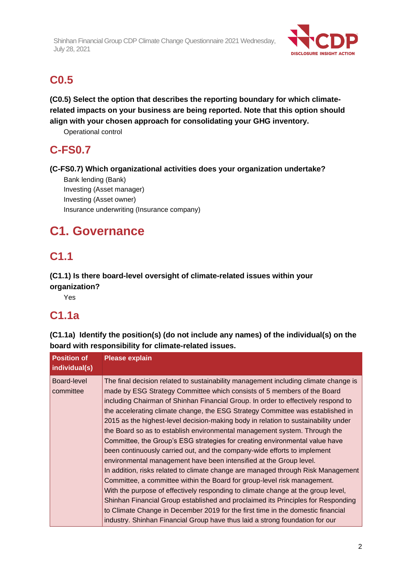

# **C0.5**

**(C0.5) Select the option that describes the reporting boundary for which climaterelated impacts on your business are being reported. Note that this option should align with your chosen approach for consolidating your GHG inventory.**

Operational control

# **C-FS0.7**

**(C-FS0.7) Which organizational activities does your organization undertake?**

Bank lending (Bank) Investing (Asset manager) Investing (Asset owner) Insurance underwriting (Insurance company)

# **C1. Governance**

# **C1.1**

# **(C1.1) Is there board-level oversight of climate-related issues within your organization?**

Yes

# **C1.1a**

**(C1.1a) Identify the position(s) (do not include any names) of the individual(s) on the board with responsibility for climate-related issues.**

| <b>Position of</b><br>individual(s) | <b>Please explain</b>                                                                                                                                                                                                                                                                                                                                                                                                                                                                                                                                                                                                                                                                                                                                                                                                                                                                                                                                                                                                                                                                                                                                                                                                                                |
|-------------------------------------|------------------------------------------------------------------------------------------------------------------------------------------------------------------------------------------------------------------------------------------------------------------------------------------------------------------------------------------------------------------------------------------------------------------------------------------------------------------------------------------------------------------------------------------------------------------------------------------------------------------------------------------------------------------------------------------------------------------------------------------------------------------------------------------------------------------------------------------------------------------------------------------------------------------------------------------------------------------------------------------------------------------------------------------------------------------------------------------------------------------------------------------------------------------------------------------------------------------------------------------------------|
| Board-level<br>committee            | The final decision related to sustainability management including climate change is<br>made by ESG Strategy Committee which consists of 5 members of the Board<br>including Chairman of Shinhan Financial Group. In order to effectively respond to<br>the accelerating climate change, the ESG Strategy Committee was established in<br>2015 as the highest-level decision-making body in relation to sustainability under<br>the Board so as to establish environmental management system. Through the<br>Committee, the Group's ESG strategies for creating environmental value have<br>been continuously carried out, and the company-wide efforts to implement<br>environmental management have been intensified at the Group level.<br>In addition, risks related to climate change are managed through Risk Management<br>Committee, a committee within the Board for group-level risk management.<br>With the purpose of effectively responding to climate change at the group level,<br>Shinhan Financial Group established and proclaimed its Principles for Responding<br>to Climate Change in December 2019 for the first time in the domestic financial<br>industry. Shinhan Financial Group have thus laid a strong foundation for our |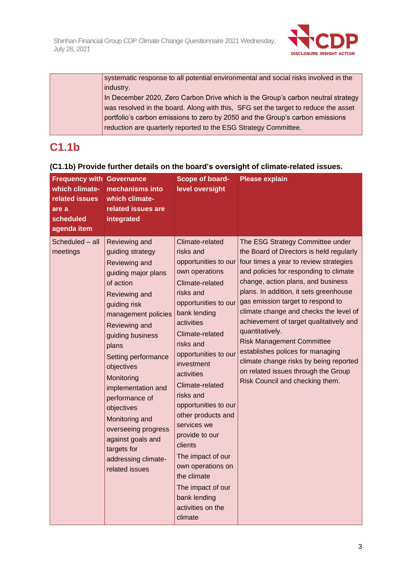

systematic response to all potential environmental and social risks involved in the industry.

In December 2020, Zero Carbon Drive which is the Group's carbon neutral strategy was resolved in the board. Along with this, SFG set the target to reduce the asset portfolio's carbon emissions to zero by 2050 and the Group's carbon emissions reduction are quarterly reported to the ESG Strategy Committee.

# **C1.1b**

# **(C1.1b) Provide further details on the board's oversight of climate-related issues.**

| <b>Frequency with Governance</b><br>which climate-<br>related issues<br>are a<br>scheduled<br>agenda item | mechanisms into<br>which climate-<br>related issues are<br>integrated                                                                                                                                                                                                                                                                                                                                                       | Scope of board-<br>level oversight                                                                                                                                                                                                                                                                                                                                                                                                                                                                       | <b>Please explain</b>                                                                                                                                                                                                                                                                                                                                                                                                                                                                                                                                                                     |
|-----------------------------------------------------------------------------------------------------------|-----------------------------------------------------------------------------------------------------------------------------------------------------------------------------------------------------------------------------------------------------------------------------------------------------------------------------------------------------------------------------------------------------------------------------|----------------------------------------------------------------------------------------------------------------------------------------------------------------------------------------------------------------------------------------------------------------------------------------------------------------------------------------------------------------------------------------------------------------------------------------------------------------------------------------------------------|-------------------------------------------------------------------------------------------------------------------------------------------------------------------------------------------------------------------------------------------------------------------------------------------------------------------------------------------------------------------------------------------------------------------------------------------------------------------------------------------------------------------------------------------------------------------------------------------|
| Scheduled - all<br>meetings                                                                               | Reviewing and<br>guiding strategy<br>Reviewing and<br>guiding major plans<br>of action<br>Reviewing and<br>guiding risk<br>management policies<br>Reviewing and<br>guiding business<br>plans<br>Setting performance<br>objectives<br>Monitoring<br>implementation and<br>performance of<br>objectives<br>Monitoring and<br>overseeing progress<br>against goals and<br>targets for<br>addressing climate-<br>related issues | Climate-related<br>risks and<br>opportunities to our<br>own operations<br>Climate-related<br>risks and<br>opportunities to our<br>bank lending<br>activities<br>Climate-related<br>risks and<br>opportunities to our<br>investment<br>activities<br>Climate-related<br>risks and<br>opportunities to our<br>other products and<br>services we<br>provide to our<br>clients<br>The impact of our<br>own operations on<br>the climate<br>The impact of our<br>bank lending<br>activities on the<br>climate | The ESG Strategy Committee under<br>the Board of Directors is held regularly<br>four times a year to review strategies<br>and policies for responding to climate<br>change, action plans, and business<br>plans. In addition, it sets greenhouse<br>gas emission target to respond to<br>climate change and checks the level of<br>achievement of target qualitatively and<br>quantitatively.<br><b>Risk Management Committee</b><br>establishes polices for managing<br>climate change risks by being reported<br>on related issues through the Group<br>Risk Council and checking them. |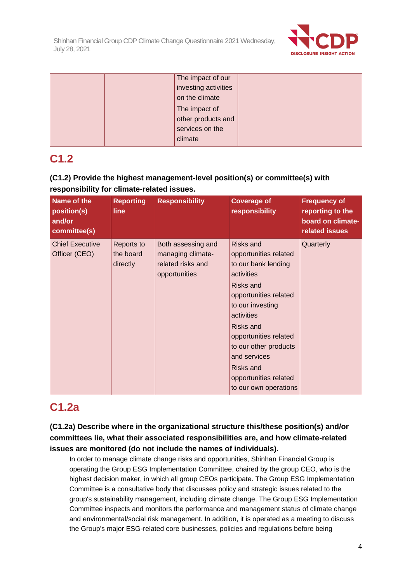

|  | The impact of our    |  |
|--|----------------------|--|
|  | investing activities |  |
|  | on the climate       |  |
|  | The impact of        |  |
|  | other products and   |  |
|  | services on the      |  |
|  | climate              |  |

# **C1.2**

# **(C1.2) Provide the highest management-level position(s) or committee(s) with responsibility for climate-related issues.**

| Name of the<br>position(s)<br>and/or<br>committee(s) | <b>Reporting</b><br>line            | <b>Responsibility</b>                                                         | <b>Coverage of</b><br>responsibility                                                                                                                                                                                                                                                                        | <b>Frequency of</b><br>reporting to the<br>board on climate-<br>related issues |
|------------------------------------------------------|-------------------------------------|-------------------------------------------------------------------------------|-------------------------------------------------------------------------------------------------------------------------------------------------------------------------------------------------------------------------------------------------------------------------------------------------------------|--------------------------------------------------------------------------------|
| <b>Chief Executive</b><br>Officer (CEO)              | Reports to<br>the board<br>directly | Both assessing and<br>managing climate-<br>related risks and<br>opportunities | Risks and<br>opportunities related<br>to our bank lending<br>activities<br><b>Risks and</b><br>opportunities related<br>to our investing<br>activities<br><b>Risks and</b><br>opportunities related<br>to our other products<br>and services<br>Risks and<br>opportunities related<br>to our own operations | Quarterly                                                                      |

# **C1.2a**

**(C1.2a) Describe where in the organizational structure this/these position(s) and/or committees lie, what their associated responsibilities are, and how climate-related issues are monitored (do not include the names of individuals).**

In order to manage climate change risks and opportunities, Shinhan Financial Group is operating the Group ESG Implementation Committee, chaired by the group CEO, who is the highest decision maker, in which all group CEOs participate. The Group ESG Implementation Committee is a consultative body that discusses policy and strategic issues related to the group's sustainability management, including climate change. The Group ESG Implementation Committee inspects and monitors the performance and management status of climate change and environmental/social risk management. In addition, it is operated as a meeting to discuss the Group's major ESG-related core businesses, policies and regulations before being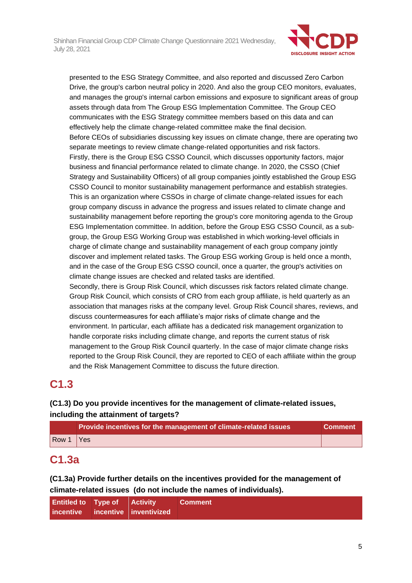

presented to the ESG Strategy Committee, and also reported and discussed Zero Carbon Drive, the group's carbon neutral policy in 2020. And also the group CEO monitors, evaluates, and manages the group's internal carbon emissions and exposure to significant areas of group assets through data from The Group ESG Implementation Committee. The Group CEO communicates with the ESG Strategy committee members based on this data and can effectively help the climate change-related committee make the final decision. Before CEOs of subsidiaries discussing key issues on climate change, there are operating two separate meetings to review climate change-related opportunities and risk factors. Firstly, there is the Group ESG CSSO Council, which discusses opportunity factors, major business and financial performance related to climate change. In 2020, the CSSO (Chief Strategy and Sustainability Officers) of all group companies jointly established the Group ESG CSSO Council to monitor sustainability management performance and establish strategies. This is an organization where CSSOs in charge of climate change-related issues for each group company discuss in advance the progress and issues related to climate change and sustainability management before reporting the group's core monitoring agenda to the Group ESG Implementation committee. In addition, before the Group ESG CSSO Council, as a subgroup, the Group ESG Working Group was established in which working-level officials in charge of climate change and sustainability management of each group company jointly discover and implement related tasks. The Group ESG working Group is held once a month, and in the case of the Group ESG CSSO council, once a quarter, the group's activities on climate change issues are checked and related tasks are identified. Secondly, there is Group Risk Council, which discusses risk factors related climate change.

Group Risk Council, which consists of CRO from each group affiliate, is held quarterly as an association that manages risks at the company level*.* Group Risk Council shares, reviews, and discuss countermeasures for each affiliate's major risks of climate change and the environment. In particular, each affiliate has a dedicated risk management organization to handle corporate risks including climate change, and reports the current status of risk management to the Group Risk Council quarterly. In the case of major climate change risks reported to the Group Risk Council, they are reported to CEO of each affiliate within the group and the Risk Management Committee to discuss the future direction.

# **C1.3**

# **(C1.3) Do you provide incentives for the management of climate-related issues, including the attainment of targets?**

|       | Provide incentives for the management of climate-related issues | Comment |
|-------|-----------------------------------------------------------------|---------|
| Row 1 | / Yes                                                           |         |

# **C1.3a**

**(C1.3a) Provide further details on the incentives provided for the management of climate-related issues (do not include the names of individuals).**

| <b>Entitled to Type of Activity</b> |                                  | <b>Comment</b> |
|-------------------------------------|----------------------------------|----------------|
|                                     | incentive incentive inventivized |                |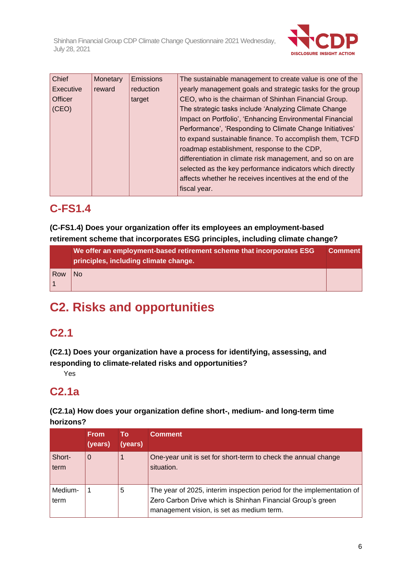

| Chief     | Monetary | <b>Emissions</b> | The sustainable management to create value is one of the  |
|-----------|----------|------------------|-----------------------------------------------------------|
| Executive | reward   | reduction        | yearly management goals and strategic tasks for the group |
| Officer   |          | target           | CEO, who is the chairman of Shinhan Financial Group.      |
| (CEO)     |          |                  | The strategic tasks include 'Analyzing Climate Change     |
|           |          |                  | Impact on Portfolio', 'Enhancing Environmental Financial  |
|           |          |                  | Performance', 'Responding to Climate Change Initiatives'  |
|           |          |                  | to expand sustainable finance. To accomplish them, TCFD   |
|           |          |                  | roadmap establishment, response to the CDP,               |
|           |          |                  | differentiation in climate risk management, and so on are |
|           |          |                  | selected as the key performance indicators which directly |
|           |          |                  | affects whether he receives incentives at the end of the  |
|           |          |                  | fiscal year.                                              |

# **C-FS1.4**

**(C-FS1.4) Does your organization offer its employees an employment-based retirement scheme that incorporates ESG principles, including climate change?**

|     | We offer an employment-based retirement scheme that incorporates ESG<br>principles, including climate change. | <b>Comment</b> |
|-----|---------------------------------------------------------------------------------------------------------------|----------------|
| Row | N <sub>0</sub>                                                                                                |                |
|     |                                                                                                               |                |

# **C2. Risks and opportunities**

# **C2.1**

**(C2.1) Does your organization have a process for identifying, assessing, and responding to climate-related risks and opportunities?**

Yes

# **C2.1a**

**(C2.1a) How does your organization define short-, medium- and long-term time horizons?**

|                 | <b>From</b><br>(years) | Τo<br>(years) | <b>Comment</b>                                                                                                                                                                   |
|-----------------|------------------------|---------------|----------------------------------------------------------------------------------------------------------------------------------------------------------------------------------|
| Short-<br>term  | 0                      |               | One-year unit is set for short-term to check the annual change<br>situation.                                                                                                     |
| Medium-<br>term |                        | 5             | The year of 2025, interim inspection period for the implementation of<br>Zero Carbon Drive which is Shinhan Financial Group's green<br>management vision, is set as medium term. |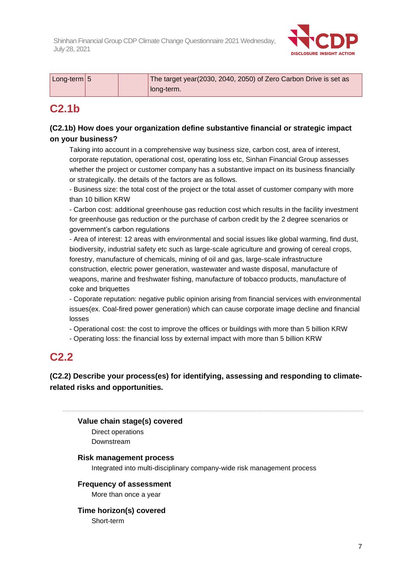

| $\lfloor$ Long-term $\lfloor 5 \rfloor$ | The target year(2030, 2040, 2050) of Zero Carbon Drive is set as |
|-----------------------------------------|------------------------------------------------------------------|
|                                         | long-term.                                                       |

# **C2.1b**

# **(C2.1b) How does your organization define substantive financial or strategic impact on your business?**

Taking into account in a comprehensive way business size, carbon cost, area of interest, corporate reputation, operational cost, operating loss etc, Sinhan Financial Group assesses whether the project or customer company has a substantive impact on its business financially or strategically. the details of the factors are as follows.

- Business size: the total cost of the project or the total asset of customer company with more than 10 billion KRW

- Carbon cost: additional greenhouse gas reduction cost which results in the facility investment for greenhouse gas reduction or the purchase of carbon credit by the 2 degree scenarios or government's carbon regulations

- Area of interest: 12 areas with environmental and social issues like global warming, find dust, biodiversity, industrial safety etc such as large-scale agriculture and growing of cereal crops, forestry, manufacture of chemicals, mining of oil and gas, large-scale infrastructure construction, electric power generation, wastewater and waste disposal, manufacture of weapons, marine and freshwater fishing, manufacture of tobacco products, manufacture of coke and briquettes

- Coporate reputation: negative public opinion arising from financial services with environmental issues(ex. Coal-fired power generation) which can cause corporate image decline and financial losses

- Operational cost: the cost to improve the offices or buildings with more than 5 billion KRW

- Operating loss: the financial loss by external impact with more than 5 billion KRW

# **C2.2**

**(C2.2) Describe your process(es) for identifying, assessing and responding to climaterelated risks and opportunities.**

# **Value chain stage(s) covered**

Direct operations Downstream

## **Risk management process**

Integrated into multi-disciplinary company-wide risk management process

## **Frequency of assessment**

More than once a year

## **Time horizon(s) covered**

Short-term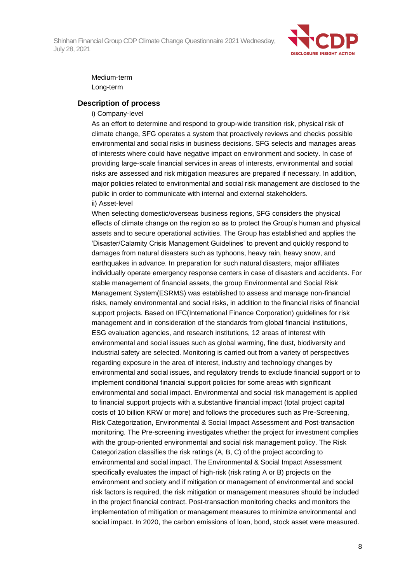

### Medium-term Long-term

#### **Description of process**

#### i) Company-level

As an effort to determine and respond to group-wide transition risk, physical risk of climate change, SFG operates a system that proactively reviews and checks possible environmental and social risks in business decisions. SFG selects and manages areas of interests where could have negative impact on environment and society. In case of providing large-scale financial services in areas of interests, environmental and social risks are assessed and risk mitigation measures are prepared if necessary. In addition, major policies related to environmental and social risk management are disclosed to the public in order to communicate with internal and external stakeholders. ii) Asset-level

When selecting domestic/overseas business regions, SFG considers the physical effects of climate change on the region so as to protect the Group's human and physical assets and to secure operational activities. The Group has established and applies the 'Disaster/Calamity Crisis Management Guidelines' to prevent and quickly respond to damages from natural disasters such as typhoons, heavy rain, heavy snow, and earthquakes in advance. In preparation for such natural disasters, major affiliates individually operate emergency response centers in case of disasters and accidents. For stable management of financial assets, the group Environmental and Social Risk Management System(ESRMS) was established to assess and manage non-financial risks, namely environmental and social risks, in addition to the financial risks of financial support projects. Based on IFC(International Finance Corporation) guidelines for risk management and in consideration of the standards from global financial institutions, ESG evaluation agencies, and research institutions, 12 areas of interest with environmental and social issues such as global warming, fine dust, biodiversity and industrial safety are selected. Monitoring is carried out from a variety of perspectives regarding exposure in the area of interest, industry and technology changes by environmental and social issues, and regulatory trends to exclude financial support or to implement conditional financial support policies for some areas with significant environmental and social impact. Environmental and social risk management is applied to financial support projects with a substantive financial impact (total project capital costs of 10 billion KRW or more) and follows the procedures such as Pre-Screening, Risk Categorization, Environmental & Social Impact Assessment and Post-transaction monitoring. The Pre-screening investigates whether the project for investment complies with the group-oriented environmental and social risk management policy. The Risk Categorization classifies the risk ratings (A, B, C) of the project according to environmental and social impact. The Environmental & Social Impact Assessment specifically evaluates the impact of high-risk (risk rating A or B) projects on the environment and society and if mitigation or management of environmental and social risk factors is required, the risk mitigation or management measures should be included in the project financial contract. Post-transaction monitoring checks and monitors the implementation of mitigation or management measures to minimize environmental and social impact. In 2020, the carbon emissions of loan, bond, stock asset were measured.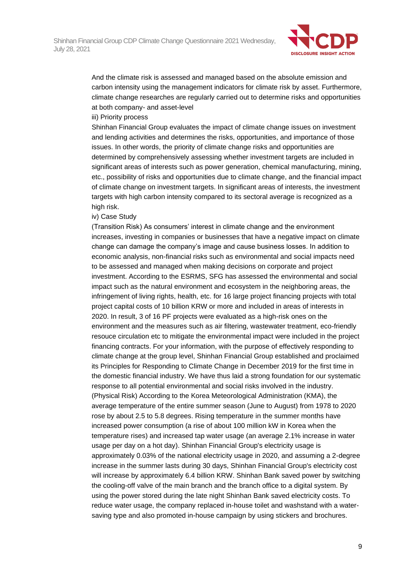

And the climate risk is assessed and managed based on the absolute emission and carbon intensity using the management indicators for climate risk by asset. Furthermore, climate change researches are regularly carried out to determine risks and opportunities at both company- and asset-level

#### iii) Priority process

Shinhan Financial Group evaluates the impact of climate change issues on investment and lending activities and determines the risks, opportunities, and importance of those issues. In other words, the priority of climate change risks and opportunities are determined by comprehensively assessing whether investment targets are included in significant areas of interests such as power generation, chemical manufacturing, mining, etc., possibility of risks and opportunities due to climate change, and the financial impact of climate change on investment targets. In significant areas of interests, the investment targets with high carbon intensity compared to its sectoral average is recognized as a high risk.

#### iv) Case Study

(Transition Risk) As consumers' interest in climate change and the environment increases, investing in companies or businesses that have a negative impact on climate change can damage the company's image and cause business losses. In addition to economic analysis, non-financial risks such as environmental and social impacts need to be assessed and managed when making decisions on corporate and project investment. According to the ESRMS, SFG has assessed the environmental and social impact such as the natural environment and ecosystem in the neighboring areas, the infringement of living rights, health, etc. for 16 large project financing projects with total project capital costs of 10 billion KRW or more and included in areas of interests in 2020. In result, 3 of 16 PF projects were evaluated as a high-risk ones on the environment and the measures such as air filtering, wastewater treatment, eco-friendly resouce circulation etc to mitigate the environmental impact were included in the project financing contracts. For your information, with the purpose of effectively responding to climate change at the group level, Shinhan Financial Group established and proclaimed its Principles for Responding to Climate Change in December 2019 for the first time in the domestic financial industry. We have thus laid a strong foundation for our systematic response to all potential environmental and social risks involved in the industry. (Physical Risk) According to the Korea Meteorological Administration (KMA), the average temperature of the entire summer season (June to August) from 1978 to 2020 rose by about 2.5 to 5.8 degrees. Rising temperature in the summer months have increased power consumption (a rise of about 100 million kW in Korea when the temperature rises) and increased tap water usage (an average 2.1% increase in water usage per day on a hot day). Shinhan Financial Group's electricity usage is approximately 0.03% of the national electricity usage in 2020, and assuming a 2-degree increase in the summer lasts during 30 days, Shinhan Financial Group's electricity cost will increase by approximately 6.4 billion KRW. Shinhan Bank saved power by switching the cooling-off valve of the main branch and the branch office to a digital system. By using the power stored during the late night Shinhan Bank saved electricity costs. To reduce water usage, the company replaced in-house toilet and washstand with a watersaving type and also promoted in-house campaign by using stickers and brochures.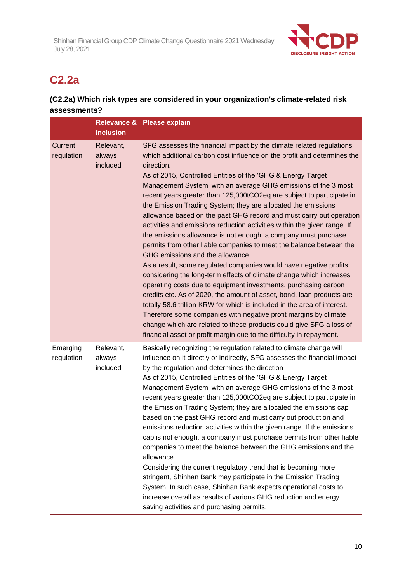

# **C2.2a**

# **(C2.2a) Which risk types are considered in your organization's climate-related risk assessments?**

|                        |                                 | Relevance & Please explain                                                                                                                                                                                                                                                                                                                                                                                                                                                                                                                                                                                                                                                                                                                                                                                                                                                                                                                                                                                                                                                                                                                                                                                                                                                                                                                                      |
|------------------------|---------------------------------|-----------------------------------------------------------------------------------------------------------------------------------------------------------------------------------------------------------------------------------------------------------------------------------------------------------------------------------------------------------------------------------------------------------------------------------------------------------------------------------------------------------------------------------------------------------------------------------------------------------------------------------------------------------------------------------------------------------------------------------------------------------------------------------------------------------------------------------------------------------------------------------------------------------------------------------------------------------------------------------------------------------------------------------------------------------------------------------------------------------------------------------------------------------------------------------------------------------------------------------------------------------------------------------------------------------------------------------------------------------------|
|                        | <b>inclusion</b>                |                                                                                                                                                                                                                                                                                                                                                                                                                                                                                                                                                                                                                                                                                                                                                                                                                                                                                                                                                                                                                                                                                                                                                                                                                                                                                                                                                                 |
| Current<br>regulation  | Relevant,<br>always<br>included | SFG assesses the financial impact by the climate related regulations<br>which additional carbon cost influence on the profit and determines the<br>direction.<br>As of 2015, Controlled Entities of the 'GHG & Energy Target<br>Management System' with an average GHG emissions of the 3 most<br>recent years greater than 125,000tCO2eq are subject to participate in<br>the Emission Trading System; they are allocated the emissions<br>allowance based on the past GHG record and must carry out operation<br>activities and emissions reduction activities within the given range. If<br>the emissions allowance is not enough, a company must purchase<br>permits from other liable companies to meet the balance between the<br>GHG emissions and the allowance.<br>As a result, some regulated companies would have negative profits<br>considering the long-term effects of climate change which increases<br>operating costs due to equipment investments, purchasing carbon<br>credits etc. As of 2020, the amount of asset, bond, loan products are<br>totally 58.6 trillion KRW for which is included in the area of interest.<br>Therefore some companies with negative profit margins by climate<br>change which are related to these products could give SFG a loss of<br>financial asset or profit margin due to the difficulty in repayment. |
| Emerging<br>regulation | Relevant,<br>always<br>included | Basically recognizing the regulation related to climate change will<br>influence on it directly or indirectly, SFG assesses the financial impact<br>by the regulation and determines the direction<br>As of 2015, Controlled Entities of the 'GHG & Energy Target<br>Management System' with an average GHG emissions of the 3 most<br>recent years greater than 125,000tCO2eq are subject to participate in<br>the Emission Trading System; they are allocated the emissions cap<br>based on the past GHG record and must carry out production and<br>emissions reduction activities within the given range. If the emissions<br>cap is not enough, a company must purchase permits from other liable<br>companies to meet the balance between the GHG emissions and the<br>allowance.<br>Considering the current regulatory trend that is becoming more<br>stringent, Shinhan Bank may participate in the Emission Trading<br>System. In such case, Shinhan Bank expects operational costs to<br>increase overall as results of various GHG reduction and energy<br>saving activities and purchasing permits.                                                                                                                                                                                                                                                 |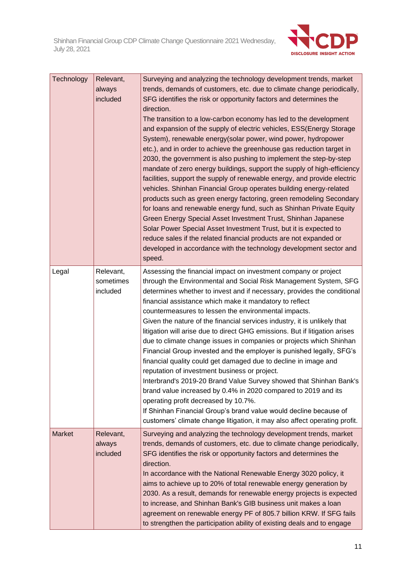

| Technology    | Relevant,<br>always<br>included    | Surveying and analyzing the technology development trends, market<br>trends, demands of customers, etc. due to climate change periodically,<br>SFG identifies the risk or opportunity factors and determines the<br>direction.<br>The transition to a low-carbon economy has led to the development<br>and expansion of the supply of electric vehicles, ESS(Energy Storage<br>System), renewable energy(solar power, wind power, hydropower<br>etc.), and in order to achieve the greenhouse gas reduction target in<br>2030, the government is also pushing to implement the step-by-step<br>mandate of zero energy buildings, support the supply of high-efficiency<br>facilities, support the supply of renewable energy, and provide electric<br>vehicles. Shinhan Financial Group operates building energy-related<br>products such as green energy factoring, green remodeling Secondary<br>for loans and renewable energy fund, such as Shinhan Private Equity<br>Green Energy Special Asset Investment Trust, Shinhan Japanese<br>Solar Power Special Asset Investment Trust, but it is expected to<br>reduce sales if the related financial products are not expanded or<br>developed in accordance with the technology development sector and<br>speed. |
|---------------|------------------------------------|--------------------------------------------------------------------------------------------------------------------------------------------------------------------------------------------------------------------------------------------------------------------------------------------------------------------------------------------------------------------------------------------------------------------------------------------------------------------------------------------------------------------------------------------------------------------------------------------------------------------------------------------------------------------------------------------------------------------------------------------------------------------------------------------------------------------------------------------------------------------------------------------------------------------------------------------------------------------------------------------------------------------------------------------------------------------------------------------------------------------------------------------------------------------------------------------------------------------------------------------------------------------|
| Legal         | Relevant,<br>sometimes<br>included | Assessing the financial impact on investment company or project<br>through the Environmental and Social Risk Management System, SFG<br>determines whether to invest and if necessary, provides the conditional<br>financial assistance which make it mandatory to reflect<br>countermeasures to lessen the environmental impacts.<br>Given the nature of the financial services industry, it is unlikely that<br>litigation will arise due to direct GHG emissions. But if litigation arises<br>due to climate change issues in companies or projects which Shinhan<br>Financial Group invested and the employer is punished legally, SFG's<br>financial quality could get damaged due to decline in image and<br>reputation of investment business or project.<br>Interbrand's 2019-20 Brand Value Survey showed that Shinhan Bank's<br>brand value increased by 0.4% in 2020 compared to 2019 and its<br>operating profit decreased by 10.7%.<br>If Shinhan Financial Group's brand value would decline because of<br>customers' climate change litigation, it may also affect operating profit.                                                                                                                                                                 |
| <b>Market</b> | Relevant,<br>always<br>included    | Surveying and analyzing the technology development trends, market<br>trends, demands of customers, etc. due to climate change periodically,<br>SFG identifies the risk or opportunity factors and determines the<br>direction.<br>In accordance with the National Renewable Energy 3020 policy, it<br>aims to achieve up to 20% of total renewable energy generation by<br>2030. As a result, demands for renewable energy projects is expected<br>to increase, and Shinhan Bank's GIB business unit makes a loan<br>agreement on renewable energy PF of 805.7 billion KRW. If SFG fails<br>to strengthen the participation ability of existing deals and to engage                                                                                                                                                                                                                                                                                                                                                                                                                                                                                                                                                                                                |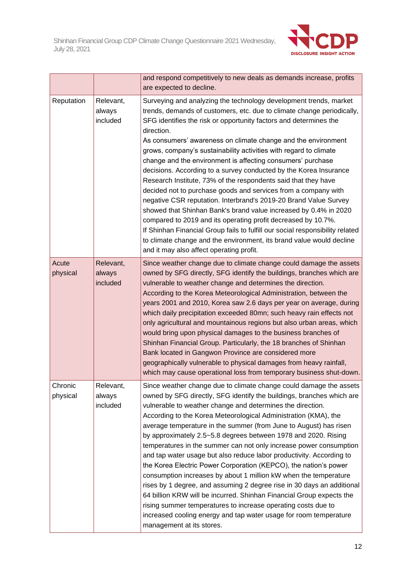

|                     |                                 | and respond competitively to new deals as demands increase, profits<br>are expected to decline.                                                                                                                                                                                                                                                                                                                                                                                                                                                                                                                                                                                                                                                                                                                                                                                                                                                                                                                                                            |
|---------------------|---------------------------------|------------------------------------------------------------------------------------------------------------------------------------------------------------------------------------------------------------------------------------------------------------------------------------------------------------------------------------------------------------------------------------------------------------------------------------------------------------------------------------------------------------------------------------------------------------------------------------------------------------------------------------------------------------------------------------------------------------------------------------------------------------------------------------------------------------------------------------------------------------------------------------------------------------------------------------------------------------------------------------------------------------------------------------------------------------|
| Reputation          | Relevant,<br>always<br>included | Surveying and analyzing the technology development trends, market<br>trends, demands of customers, etc. due to climate change periodically,<br>SFG identifies the risk or opportunity factors and determines the<br>direction.<br>As consumers' awareness on climate change and the environment<br>grows, company's sustainability activities with regard to climate<br>change and the environment is affecting consumers' purchase<br>decisions. According to a survey conducted by the Korea Insurance<br>Research Institute, 73% of the respondents said that they have<br>decided not to purchase goods and services from a company with<br>negative CSR reputation. Interbrand's 2019-20 Brand Value Survey<br>showed that Shinhan Bank's brand value increased by 0.4% in 2020<br>compared to 2019 and its operating profit decreased by 10.7%.<br>If Shinhan Financial Group fails to fulfill our social responsibility related<br>to climate change and the environment, its brand value would decline<br>and it may also affect operating profit. |
| Acute<br>physical   | Relevant,<br>always<br>included | Since weather change due to climate change could damage the assets<br>owned by SFG directly, SFG identify the buildings, branches which are<br>vulnerable to weather change and determines the direction.<br>According to the Korea Meteorological Administration, between the<br>years 2001 and 2010, Korea saw 2.6 days per year on average, during<br>which daily precipitation exceeded 80mn; such heavy rain effects not<br>only agricultural and mountainous regions but also urban areas, which<br>would bring upon physical damages to the business branches of<br>Shinhan Financial Group. Particularly, the 18 branches of Shinhan<br>Bank located in Gangwon Province are considered more<br>geographically vulnerable to physical damages from heavy rainfall,<br>which may cause operational loss from temporary business shut-down.                                                                                                                                                                                                          |
| Chronic<br>physical | Relevant,<br>always<br>included | Since weather change due to climate change could damage the assets<br>owned by SFG directly, SFG identify the buildings, branches which are<br>vulnerable to weather change and determines the direction.<br>According to the Korea Meteorological Administration (KMA), the<br>average temperature in the summer (from June to August) has risen<br>by approximately 2.5~5.8 degrees between 1978 and 2020. Rising<br>temperatures in the summer can not only increase power consumption<br>and tap water usage but also reduce labor productivity. According to<br>the Korea Electric Power Corporation (KEPCO), the nation's power<br>consumption increases by about 1 million kW when the temperature<br>rises by 1 degree, and assuming 2 degree rise in 30 days an additional<br>64 billion KRW will be incurred. Shinhan Financial Group expects the<br>rising summer temperatures to increase operating costs due to<br>increased cooling energy and tap water usage for room temperature<br>management at its stores.                             |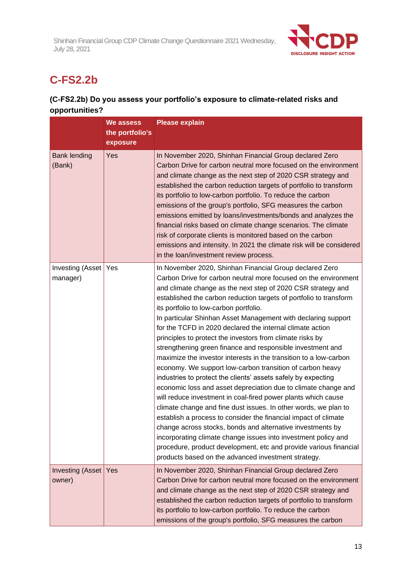

# **C-FS2.2b**

# **(C-FS2.2b) Do you assess your portfolio's exposure to climate-related risks and opportunities?**

|                                    | We assess       | <b>Please explain</b>                                                                                                                                                                                                                                                                                                                                                                                                                                                                                                                                                                                                                                                                                                                                                                                                                                                                                                                                                                                                                                                                                                                                                                                                                                                                                       |
|------------------------------------|-----------------|-------------------------------------------------------------------------------------------------------------------------------------------------------------------------------------------------------------------------------------------------------------------------------------------------------------------------------------------------------------------------------------------------------------------------------------------------------------------------------------------------------------------------------------------------------------------------------------------------------------------------------------------------------------------------------------------------------------------------------------------------------------------------------------------------------------------------------------------------------------------------------------------------------------------------------------------------------------------------------------------------------------------------------------------------------------------------------------------------------------------------------------------------------------------------------------------------------------------------------------------------------------------------------------------------------------|
|                                    | the portfolio's |                                                                                                                                                                                                                                                                                                                                                                                                                                                                                                                                                                                                                                                                                                                                                                                                                                                                                                                                                                                                                                                                                                                                                                                                                                                                                                             |
|                                    | exposure        |                                                                                                                                                                                                                                                                                                                                                                                                                                                                                                                                                                                                                                                                                                                                                                                                                                                                                                                                                                                                                                                                                                                                                                                                                                                                                                             |
| <b>Bank lending</b><br>(Bank)      | Yes             | In November 2020, Shinhan Financial Group declared Zero<br>Carbon Drive for carbon neutral more focused on the environment<br>and climate change as the next step of 2020 CSR strategy and<br>established the carbon reduction targets of portfolio to transform<br>its portfolio to low-carbon portfolio. To reduce the carbon<br>emissions of the group's portfolio, SFG measures the carbon<br>emissions emitted by loans/investments/bonds and analyzes the<br>financial risks based on climate change scenarios. The climate<br>risk of corporate clients is monitored based on the carbon<br>emissions and intensity. In 2021 the climate risk will be considered<br>in the loan/investment review process.                                                                                                                                                                                                                                                                                                                                                                                                                                                                                                                                                                                           |
| Investing (Asset   Yes<br>manager) |                 | In November 2020, Shinhan Financial Group declared Zero<br>Carbon Drive for carbon neutral more focused on the environment<br>and climate change as the next step of 2020 CSR strategy and<br>established the carbon reduction targets of portfolio to transform<br>its portfolio to low-carbon portfolio.<br>In particular Shinhan Asset Management with declaring support<br>for the TCFD in 2020 declared the internal climate action<br>principles to protect the investors from climate risks by<br>strengthening green finance and responsible investment and<br>maximize the investor interests in the transition to a low-carbon<br>economy. We support low-carbon transition of carbon heavy<br>industries to protect the clients' assets safely by expecting<br>economic loss and asset depreciation due to climate change and<br>will reduce investment in coal-fired power plants which cause<br>climate change and fine dust issues. In other words, we plan to<br>establish a process to consider the financial impact of climate<br>change across stocks, bonds and alternative investments by<br>incorporating climate change issues into investment policy and<br>procedure, product development, etc and provide various financial<br>products based on the advanced investment strategy. |
| Investing (Asset Yes<br>owner)     |                 | In November 2020, Shinhan Financial Group declared Zero<br>Carbon Drive for carbon neutral more focused on the environment<br>and climate change as the next step of 2020 CSR strategy and<br>established the carbon reduction targets of portfolio to transform<br>its portfolio to low-carbon portfolio. To reduce the carbon<br>emissions of the group's portfolio, SFG measures the carbon                                                                                                                                                                                                                                                                                                                                                                                                                                                                                                                                                                                                                                                                                                                                                                                                                                                                                                              |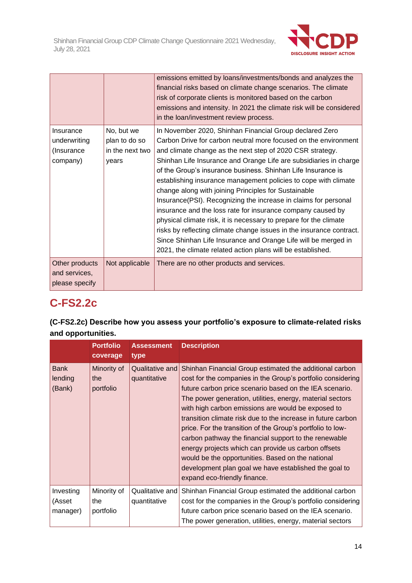

|                                                     |                                                         | emissions emitted by loans/investments/bonds and analyzes the<br>financial risks based on climate change scenarios. The climate<br>risk of corporate clients is monitored based on the carbon<br>emissions and intensity. In 2021 the climate risk will be considered<br>in the loan/investment review process.                                                                                                                                                                                                                                                                                                                                                                                                                                                                                                                                                         |
|-----------------------------------------------------|---------------------------------------------------------|-------------------------------------------------------------------------------------------------------------------------------------------------------------------------------------------------------------------------------------------------------------------------------------------------------------------------------------------------------------------------------------------------------------------------------------------------------------------------------------------------------------------------------------------------------------------------------------------------------------------------------------------------------------------------------------------------------------------------------------------------------------------------------------------------------------------------------------------------------------------------|
| Insurance<br>underwriting<br>(Insurance<br>company) | No, but we<br>plan to do so<br>in the next two<br>years | In November 2020, Shinhan Financial Group declared Zero<br>Carbon Drive for carbon neutral more focused on the environment<br>and climate change as the next step of 2020 CSR strategy.<br>Shinhan Life Insurance and Orange Life are subsidiaries in charge<br>of the Group's insurance business. Shinhan Life Insurance is<br>establishing insurance management policies to cope with climate<br>change along with joining Principles for Sustainable<br>Insurance(PSI). Recognizing the increase in claims for personal<br>insurance and the loss rate for insurance company caused by<br>physical climate risk, it is necessary to prepare for the climate<br>risks by reflecting climate change issues in the insurance contract.<br>Since Shinhan Life Insurance and Orange Life will be merged in<br>2021, the climate related action plans will be established. |
| Other products<br>and services,<br>please specify   | Not applicable                                          | There are no other products and services.                                                                                                                                                                                                                                                                                                                                                                                                                                                                                                                                                                                                                                                                                                                                                                                                                               |

# **C-FS2.2c**

# **(C-FS2.2c) Describe how you assess your portfolio's exposure to climate-related risks and opportunities.**

|                                  | <b>Portfolio</b><br>coverage    | <b>Assessment</b><br>type       | <b>Description</b>                                                                                                                                                                                                                                                                                                                                                                                                                                                                                                                                                                                                                                                                               |
|----------------------------------|---------------------------------|---------------------------------|--------------------------------------------------------------------------------------------------------------------------------------------------------------------------------------------------------------------------------------------------------------------------------------------------------------------------------------------------------------------------------------------------------------------------------------------------------------------------------------------------------------------------------------------------------------------------------------------------------------------------------------------------------------------------------------------------|
| <b>Bank</b><br>lending<br>(Bank) | Minority of<br>the<br>portfolio | Qualitative and<br>quantitative | Shinhan Financial Group estimated the additional carbon<br>cost for the companies in the Group's portfolio considering<br>future carbon price scenario based on the IEA scenario.<br>The power generation, utilities, energy, material sectors<br>with high carbon emissions are would be exposed to<br>transition climate risk due to the increase in future carbon<br>price. For the transition of the Group's portfolio to low-<br>carbon pathway the financial support to the renewable<br>energy projects which can provide us carbon offsets<br>would be the opportunities. Based on the national<br>development plan goal we have established the goal to<br>expand eco-friendly finance. |
| Investing<br>(Asset<br>manager)  | Minority of<br>the<br>portfolio | Qualitative and<br>quantitative | Shinhan Financial Group estimated the additional carbon<br>cost for the companies in the Group's portfolio considering<br>future carbon price scenario based on the IEA scenario.<br>The power generation, utilities, energy, material sectors                                                                                                                                                                                                                                                                                                                                                                                                                                                   |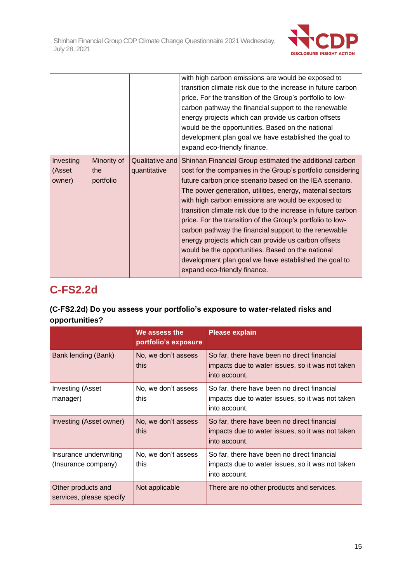

|                               |                                 |                                 | with high carbon emissions are would be exposed to<br>transition climate risk due to the increase in future carbon<br>price. For the transition of the Group's portfolio to low-<br>carbon pathway the financial support to the renewable<br>energy projects which can provide us carbon offsets<br>would be the opportunities. Based on the national<br>development plan goal we have established the goal to<br>expand eco-friendly finance.                                                                                                                                                                                                                                                   |
|-------------------------------|---------------------------------|---------------------------------|--------------------------------------------------------------------------------------------------------------------------------------------------------------------------------------------------------------------------------------------------------------------------------------------------------------------------------------------------------------------------------------------------------------------------------------------------------------------------------------------------------------------------------------------------------------------------------------------------------------------------------------------------------------------------------------------------|
| Investing<br>(Asset<br>owner) | Minority of<br>the<br>portfolio | Qualitative and<br>quantitative | Shinhan Financial Group estimated the additional carbon<br>cost for the companies in the Group's portfolio considering<br>future carbon price scenario based on the IEA scenario.<br>The power generation, utilities, energy, material sectors<br>with high carbon emissions are would be exposed to<br>transition climate risk due to the increase in future carbon<br>price. For the transition of the Group's portfolio to low-<br>carbon pathway the financial support to the renewable<br>energy projects which can provide us carbon offsets<br>would be the opportunities. Based on the national<br>development plan goal we have established the goal to<br>expand eco-friendly finance. |

# **C-FS2.2d**

# **(C-FS2.2d) Do you assess your portfolio's exposure to water-related risks and opportunities?**

|                                                | We assess the<br>portfolio's exposure | <b>Please explain</b>                                                                                            |
|------------------------------------------------|---------------------------------------|------------------------------------------------------------------------------------------------------------------|
| Bank lending (Bank)                            | No, we don't assess<br>this           | So far, there have been no direct financial<br>impacts due to water issues, so it was not taken<br>into account. |
| Investing (Asset<br>manager)                   | No, we don't assess<br>this           | So far, there have been no direct financial<br>impacts due to water issues, so it was not taken<br>into account. |
| Investing (Asset owner)                        | No, we don't assess<br>this           | So far, there have been no direct financial<br>impacts due to water issues, so it was not taken<br>into account. |
| Insurance underwriting<br>(Insurance company)  | No, we don't assess<br>this           | So far, there have been no direct financial<br>impacts due to water issues, so it was not taken<br>into account. |
| Other products and<br>services, please specify | Not applicable                        | There are no other products and services.                                                                        |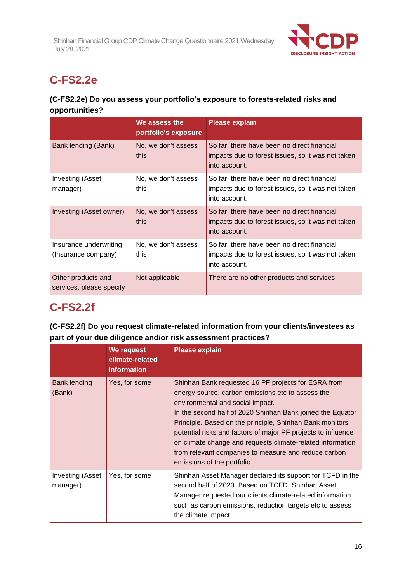

# **C-FS2.2e**

# **(C-FS2.2e) Do you assess your portfolio's exposure to forests-related risks and opportunities?**

|                                                | We assess the<br>portfolio's exposure | <b>Please explain</b>                                                                                             |
|------------------------------------------------|---------------------------------------|-------------------------------------------------------------------------------------------------------------------|
| Bank lending (Bank)                            | No, we don't assess<br>this           | So far, there have been no direct financial<br>impacts due to forest issues, so it was not taken<br>into account. |
| <b>Investing (Asset</b><br>manager)            | No, we don't assess<br>this           | So far, there have been no direct financial<br>impacts due to forest issues, so it was not taken<br>into account. |
| Investing (Asset owner)                        | No, we don't assess<br>this           | So far, there have been no direct financial<br>impacts due to forest issues, so it was not taken<br>into account. |
| Insurance underwriting<br>(Insurance company)  | No, we don't assess<br>this           | So far, there have been no direct financial<br>impacts due to forest issues, so it was not taken<br>into account. |
| Other products and<br>services, please specify | Not applicable                        | There are no other products and services.                                                                         |

# **C-FS2.2f**

# **(C-FS2.2f) Do you request climate-related information from your clients/investees as part of your due diligence and/or risk assessment practices?**

|                               | We request<br>climate-related<br><b>information</b> | <b>Please explain</b>                                                                                                                                                                                                                                                                                                                                                                                                                                                                        |
|-------------------------------|-----------------------------------------------------|----------------------------------------------------------------------------------------------------------------------------------------------------------------------------------------------------------------------------------------------------------------------------------------------------------------------------------------------------------------------------------------------------------------------------------------------------------------------------------------------|
| <b>Bank lending</b><br>(Bank) | Yes, for some                                       | Shinhan Bank requested 16 PF projects for ESRA from<br>energy source, carbon emissions etc to assess the<br>environmental and social impact.<br>In the second half of 2020 Shinhan Bank joined the Equator<br>Principle. Based on the principle, Shinhan Bank monitors<br>potential risks and factors of major PF projects to influence<br>on climate change and requests climate-related information<br>from relevant companies to measure and reduce carbon<br>emissions of the portfolio. |
| Investing (Asset<br>manager)  | Yes, for some                                       | Shinhan Asset Manager declared its support for TCFD in the<br>second half of 2020. Based on TCFD, Shinhan Asset<br>Manager requested our clients climate-related information<br>such as carbon emissions, reduction targets etc to assess<br>the climate impact.                                                                                                                                                                                                                             |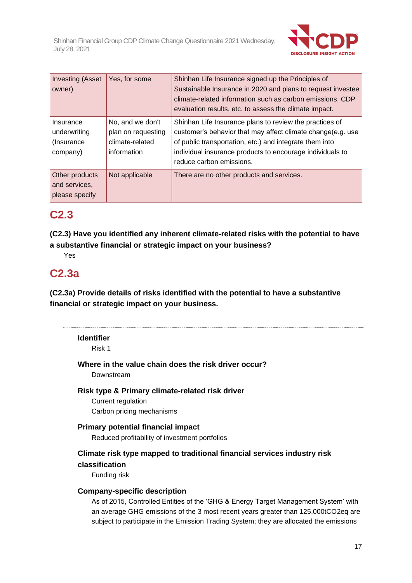

| <b>Investing (Asset</b><br>owner)                    | Yes, for some                                                            | Shinhan Life Insurance signed up the Principles of<br>Sustainable Insurance in 2020 and plans to request investee<br>climate-related information such as carbon emissions, CDP<br>evaluation results, etc. to assess the climate impact.                                   |
|------------------------------------------------------|--------------------------------------------------------------------------|----------------------------------------------------------------------------------------------------------------------------------------------------------------------------------------------------------------------------------------------------------------------------|
| Insurance<br>underwriting<br>(Insurance)<br>company) | No, and we don't<br>plan on requesting<br>climate-related<br>information | Shinhan Life Insurance plans to review the practices of<br>customer's behavior that may affect climate change(e.g. use<br>of public transportation, etc.) and integrate them into<br>individual insurance products to encourage individuals to<br>reduce carbon emissions. |
| Other products<br>and services,<br>please specify    | Not applicable                                                           | There are no other products and services.                                                                                                                                                                                                                                  |

# **C2.3**

**(C2.3) Have you identified any inherent climate-related risks with the potential to have a substantive financial or strategic impact on your business?**

Yes

# **C2.3a**

**(C2.3a) Provide details of risks identified with the potential to have a substantive financial or strategic impact on your business.**

## **Identifier**

Risk 1

**Where in the value chain does the risk driver occur?**

Downstream

**Risk type & Primary climate-related risk driver**

Current regulation Carbon pricing mechanisms

## **Primary potential financial impact**

Reduced profitability of investment portfolios

## **Climate risk type mapped to traditional financial services industry risk classification**

Funding risk

## **Company-specific description**

As of 2015, Controlled Entities of the 'GHG & Energy Target Management System' with an average GHG emissions of the 3 most recent years greater than 125,000tCO2eq are subject to participate in the Emission Trading System; they are allocated the emissions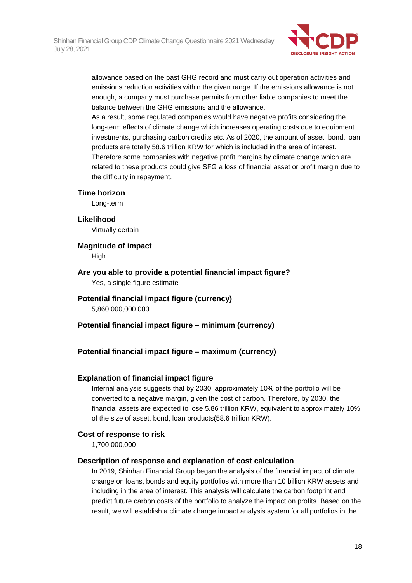

allowance based on the past GHG record and must carry out operation activities and emissions reduction activities within the given range. If the emissions allowance is not enough, a company must purchase permits from other liable companies to meet the balance between the GHG emissions and the allowance.

As a result, some regulated companies would have negative profits considering the long-term effects of climate change which increases operating costs due to equipment investments, purchasing carbon credits etc. As of 2020, the amount of asset, bond, loan products are totally 58.6 trillion KRW for which is included in the area of interest. Therefore some companies with negative profit margins by climate change which are related to these products could give SFG a loss of financial asset or profit margin due to the difficulty in repayment.

#### **Time horizon**

Long-term

**Likelihood**

Virtually certain

#### **Magnitude of impact**

**High** 

**Are you able to provide a potential financial impact figure?** Yes, a single figure estimate

## **Potential financial impact figure (currency)**

5,860,000,000,000

**Potential financial impact figure – minimum (currency)**

## **Potential financial impact figure – maximum (currency)**

#### **Explanation of financial impact figure**

Internal analysis suggests that by 2030, approximately 10% of the portfolio will be converted to a negative margin, given the cost of carbon. Therefore, by 2030, the financial assets are expected to lose 5.86 trillion KRW, equivalent to approximately 10% of the size of asset, bond, loan products(58.6 trillion KRW).

## **Cost of response to risk**

1,700,000,000

#### **Description of response and explanation of cost calculation**

In 2019, Shinhan Financial Group began the analysis of the financial impact of climate change on loans, bonds and equity portfolios with more than 10 billion KRW assets and including in the area of interest. This analysis will calculate the carbon footprint and predict future carbon costs of the portfolio to analyze the impact on profits. Based on the result, we will establish a climate change impact analysis system for all portfolios in the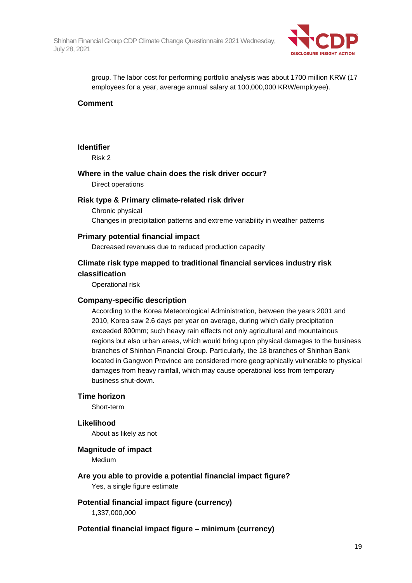

group. The labor cost for performing portfolio analysis was about 1700 million KRW (17 employees for a year, average annual salary at 100,000,000 KRW/employee).

### **Comment**

#### **Identifier**

Risk 2

## **Where in the value chain does the risk driver occur?** Direct operations

#### **Risk type & Primary climate-related risk driver**

Chronic physical Changes in precipitation patterns and extreme variability in weather patterns

#### **Primary potential financial impact**

Decreased revenues due to reduced production capacity

## **Climate risk type mapped to traditional financial services industry risk classification**

Operational risk

#### **Company-specific description**

According to the Korea Meteorological Administration, between the years 2001 and 2010, Korea saw 2.6 days per year on average, during which daily precipitation exceeded 800mm; such heavy rain effects not only agricultural and mountainous regions but also urban areas, which would bring upon physical damages to the business branches of Shinhan Financial Group. Particularly, the 18 branches of Shinhan Bank located in Gangwon Province are considered more geographically vulnerable to physical damages from heavy rainfall, which may cause operational loss from temporary business shut-down.

#### **Time horizon**

Short-term

#### **Likelihood**

About as likely as not

#### **Magnitude of impact**

Medium

- **Are you able to provide a potential financial impact figure?** Yes, a single figure estimate
- **Potential financial impact figure (currency)** 1,337,000,000

#### **Potential financial impact figure – minimum (currency)**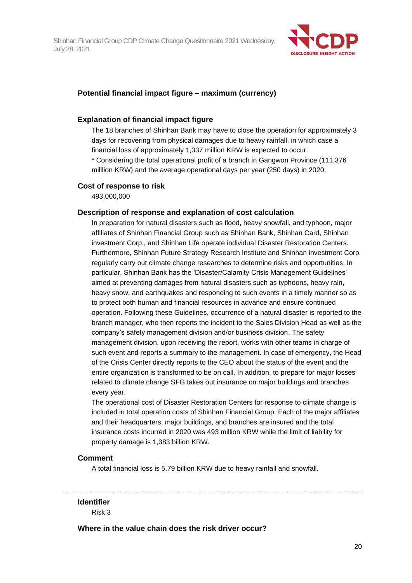

## **Potential financial impact figure – maximum (currency)**

#### **Explanation of financial impact figure**

The 18 branches of Shinhan Bank may have to close the operation for approximately 3 days for recovering from physical damages due to heavy rainfall, in which case a financial loss of approximately 1,337 million KRW is expected to occur. \* Considering the total operational profit of a branch in Gangwon Province (111,376 milllion KRW) and the average operational days per year (250 days) in 2020.

#### **Cost of response to risk**

493,000,000

#### **Description of response and explanation of cost calculation**

In preparation for natural disasters such as flood, heavy snowfall, and typhoon, major affiliates of Shinhan Financial Group such as Shinhan Bank, Shinhan Card, Shinhan investment Corp., and Shinhan Life operate individual Disaster Restoration Centers. Furthermore, Shinhan Future Strategy Research Institute and Shinhan investment Corp. regularly carry out climate change researches to determine risks and opportunities. In particular, Shinhan Bank has the 'Disaster/Calamity Crisis Management Guidelines' aimed at preventing damages from natural disasters such as typhoons, heavy rain, heavy snow, and earthquakes and responding to such events in a timely manner so as to protect both human and financial resources in advance and ensure continued operation. Following these Guidelines, occurrence of a natural disaster is reported to the branch manager, who then reports the incident to the Sales Division Head as well as the company's safety management division and/or business division. The safety management division, upon receiving the report, works with other teams in charge of such event and reports a summary to the management. In case of emergency, the Head of the Crisis Center directly reports to the CEO about the status of the event and the entire organization is transformed to be on call. In addition, to prepare for major losses related to climate change SFG takes out insurance on major buildings and branches every year.

The operational cost of Disaster Restoration Centers for response to climate change is included in total operation costs of Shinhan Financial Group. Each of the major affiliates and their headquarters, major buildings, and branches are insured and the total insurance costs incurred in 2020 was 493 million KRW while the limit of liability for property damage is 1,383 billion KRW.

#### **Comment**

A total financial loss is 5.79 billion KRW due to heavy rainfall and snowfall.

#### **Identifier**

Risk 3

**Where in the value chain does the risk driver occur?**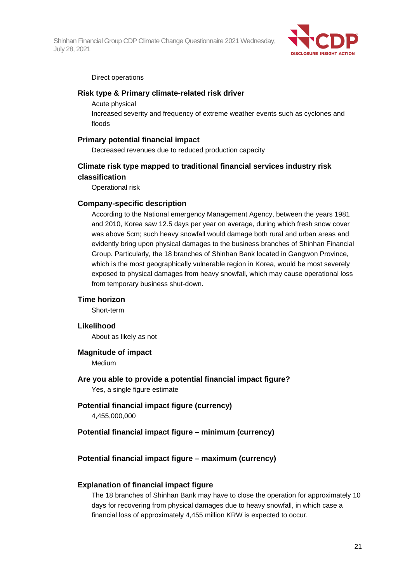

#### Direct operations

### **Risk type & Primary climate-related risk driver**

Acute physical

Increased severity and frequency of extreme weather events such as cyclones and floods

### **Primary potential financial impact**

Decreased revenues due to reduced production capacity

## **Climate risk type mapped to traditional financial services industry risk classification**

Operational risk

### **Company-specific description**

According to the National emergency Management Agency, between the years 1981 and 2010, Korea saw 12.5 days per year on average, during which fresh snow cover was above 5cm; such heavy snowfall would damage both rural and urban areas and evidently bring upon physical damages to the business branches of Shinhan Financial Group. Particularly, the 18 branches of Shinhan Bank located in Gangwon Province, which is the most geographically vulnerable region in Korea, would be most severely exposed to physical damages from heavy snowfall, which may cause operational loss from temporary business shut-down.

#### **Time horizon**

Short-term

#### **Likelihood**

About as likely as not

### **Magnitude of impact**

Medium

**Are you able to provide a potential financial impact figure?**

Yes, a single figure estimate

## **Potential financial impact figure (currency)**

4,455,000,000

### **Potential financial impact figure – minimum (currency)**

## **Potential financial impact figure – maximum (currency)**

#### **Explanation of financial impact figure**

The 18 branches of Shinhan Bank may have to close the operation for approximately 10 days for recovering from physical damages due to heavy snowfall, in which case a financial loss of approximately 4,455 million KRW is expected to occur.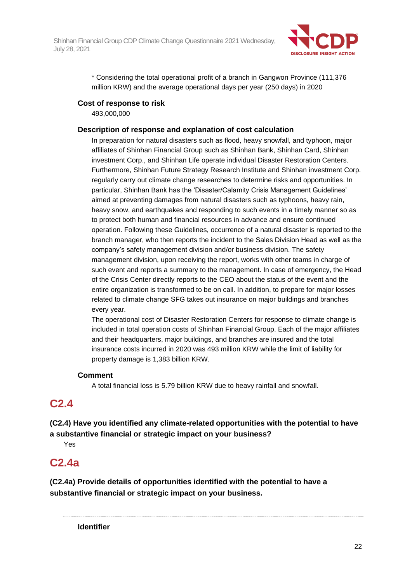

\* Considering the total operational profit of a branch in Gangwon Province (111,376 million KRW) and the average operational days per year (250 days) in 2020

## **Cost of response to risk**

493,000,000

## **Description of response and explanation of cost calculation**

In preparation for natural disasters such as flood, heavy snowfall, and typhoon, major affiliates of Shinhan Financial Group such as Shinhan Bank, Shinhan Card, Shinhan investment Corp., and Shinhan Life operate individual Disaster Restoration Centers. Furthermore, Shinhan Future Strategy Research Institute and Shinhan investment Corp. regularly carry out climate change researches to determine risks and opportunities. In particular, Shinhan Bank has the 'Disaster/Calamity Crisis Management Guidelines' aimed at preventing damages from natural disasters such as typhoons, heavy rain, heavy snow, and earthquakes and responding to such events in a timely manner so as to protect both human and financial resources in advance and ensure continued operation. Following these Guidelines, occurrence of a natural disaster is reported to the branch manager, who then reports the incident to the Sales Division Head as well as the company's safety management division and/or business division. The safety management division, upon receiving the report, works with other teams in charge of such event and reports a summary to the management. In case of emergency, the Head of the Crisis Center directly reports to the CEO about the status of the event and the entire organization is transformed to be on call. In addition, to prepare for major losses related to climate change SFG takes out insurance on major buildings and branches every year.

The operational cost of Disaster Restoration Centers for response to climate change is included in total operation costs of Shinhan Financial Group. Each of the major affiliates and their headquarters, major buildings, and branches are insured and the total insurance costs incurred in 2020 was 493 million KRW while the limit of liability for property damage is 1,383 billion KRW.

## **Comment**

A total financial loss is 5.79 billion KRW due to heavy rainfall and snowfall.

# **C2.4**

# **(C2.4) Have you identified any climate-related opportunities with the potential to have a substantive financial or strategic impact on your business?**

Yes

# **C2.4a**

**(C2.4a) Provide details of opportunities identified with the potential to have a substantive financial or strategic impact on your business.**

**Identifier**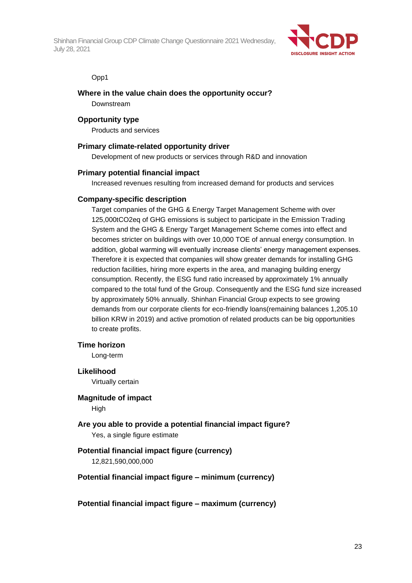

Opp1

## **Where in the value chain does the opportunity occur?**

Downstream

### **Opportunity type**

Products and services

### **Primary climate-related opportunity driver**

Development of new products or services through R&D and innovation

### **Primary potential financial impact**

Increased revenues resulting from increased demand for products and services

### **Company-specific description**

Target companies of the GHG & Energy Target Management Scheme with over 125,000tCO2eq of GHG emissions is subject to participate in the Emission Trading System and the GHG & Energy Target Management Scheme comes into effect and becomes stricter on buildings with over 10,000 TOE of annual energy consumption. In addition, global warming will eventually increase clients' energy management expenses. Therefore it is expected that companies will show greater demands for installing GHG reduction facilities, hiring more experts in the area, and managing building energy consumption. Recently, the ESG fund ratio increased by approximately 1% annually compared to the total fund of the Group. Consequently and the ESG fund size increased by approximately 50% annually. Shinhan Financial Group expects to see growing demands from our corporate clients for eco-friendly loans(remaining balances 1,205.10 billion KRW in 2019) and active promotion of related products can be big opportunities to create profits.

#### **Time horizon**

Long-term

#### **Likelihood**

Virtually certain

#### **Magnitude of impact**

**High** 

# **Are you able to provide a potential financial impact figure?**

Yes, a single figure estimate

## **Potential financial impact figure (currency)**

12,821,590,000,000

## **Potential financial impact figure – minimum (currency)**

**Potential financial impact figure – maximum (currency)**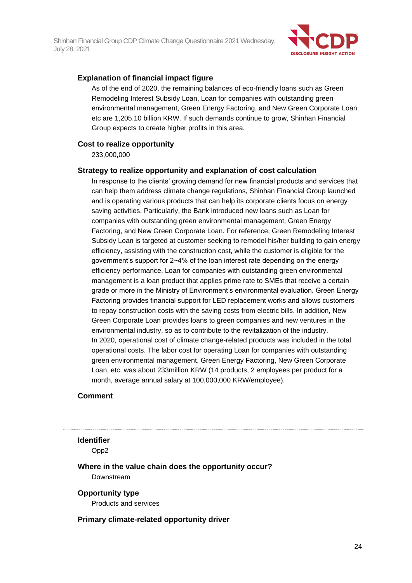

### **Explanation of financial impact figure**

As of the end of 2020, the remaining balances of eco-friendly loans such as Green Remodeling Interest Subsidy Loan, Loan for companies with outstanding green environmental management, Green Energy Factoring, and New Green Corporate Loan etc are 1,205.10 billion KRW. If such demands continue to grow, Shinhan Financial Group expects to create higher profits in this area.

#### **Cost to realize opportunity**

233,000,000

#### **Strategy to realize opportunity and explanation of cost calculation**

In response to the clients' growing demand for new financial products and services that can help them address climate change regulations, Shinhan Financial Group launched and is operating various products that can help its corporate clients focus on energy saving activities. Particularly, the Bank introduced new loans such as Loan for companies with outstanding green environmental management, Green Energy Factoring, and New Green Corporate Loan. For reference, Green Remodeling Interest Subsidy Loan is targeted at customer seeking to remodel his/her building to gain energy efficiency, assisting with the construction cost, while the customer is eligible for the government's support for 2~4% of the loan interest rate depending on the energy efficiency performance. Loan for companies with outstanding green environmental management is a loan product that applies prime rate to SMEs that receive a certain grade or more in the Ministry of Environment's environmental evaluation. Green Energy Factoring provides financial support for LED replacement works and allows customers to repay construction costs with the saving costs from electric bills. In addition, New Green Corporate Loan provides loans to green companies and new ventures in the environmental industry, so as to contribute to the revitalization of the industry. In 2020, operational cost of climate change-related products was included in the total operational costs. The labor cost for operating Loan for companies with outstanding green environmental management, Green Energy Factoring, New Green Corporate Loan, etc. was about 233million KRW (14 products, 2 employees per product for a month, average annual salary at 100,000,000 KRW/employee).

#### **Comment**

#### **Identifier**

Opp2

## **Where in the value chain does the opportunity occur?** Downstream

#### **Opportunity type**

Products and services

#### **Primary climate-related opportunity driver**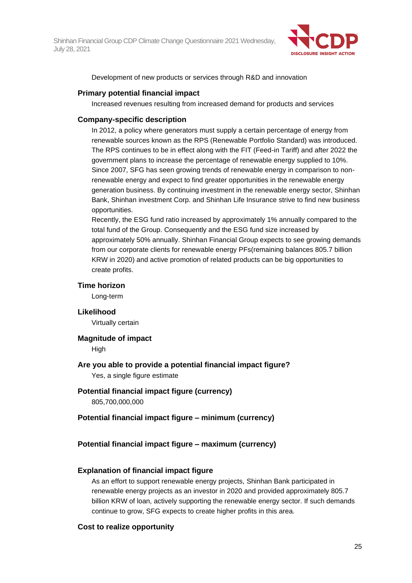

Development of new products or services through R&D and innovation

### **Primary potential financial impact**

Increased revenues resulting from increased demand for products and services

### **Company-specific description**

In 2012, a policy where generators must supply a certain percentage of energy from renewable sources known as the RPS (Renewable Portfolio Standard) was introduced. The RPS continues to be in effect along with the FIT (Feed-in Tariff) and after 2022 the government plans to increase the percentage of renewable energy supplied to 10%. Since 2007, SFG has seen growing trends of renewable energy in comparison to nonrenewable energy and expect to find greater opportunities in the renewable energy generation business. By continuing investment in the renewable energy sector, Shinhan Bank, Shinhan investment Corp. and Shinhan Life Insurance strive to find new business opportunities.

Recently, the ESG fund ratio increased by approximately 1% annually compared to the total fund of the Group. Consequently and the ESG fund size increased by approximately 50% annually. Shinhan Financial Group expects to see growing demands from our corporate clients for renewable energy PFs(remaining balances 805.7 billion KRW in 2020) and active promotion of related products can be big opportunities to create profits.

#### **Time horizon**

Long-term

### **Likelihood**

Virtually certain

#### **Magnitude of impact**

High

## **Are you able to provide a potential financial impact figure?**

Yes, a single figure estimate

#### **Potential financial impact figure (currency)**

805,700,000,000

## **Potential financial impact figure – minimum (currency)**

## **Potential financial impact figure – maximum (currency)**

#### **Explanation of financial impact figure**

As an effort to support renewable energy projects, Shinhan Bank participated in renewable energy projects as an investor in 2020 and provided approximately 805.7 billion KRW of loan, actively supporting the renewable energy sector. If such demands continue to grow, SFG expects to create higher profits in this area.

## **Cost to realize opportunity**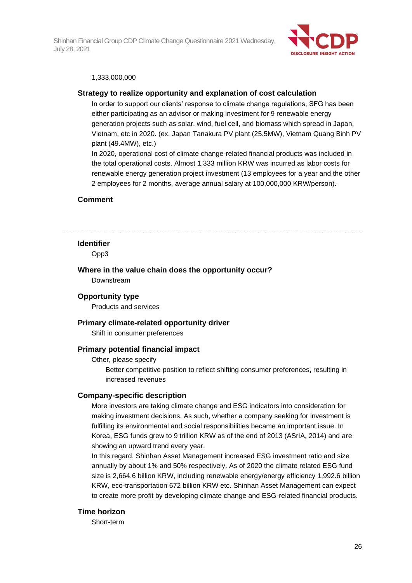

#### 1,333,000,000

#### **Strategy to realize opportunity and explanation of cost calculation**

In order to support our clients' response to climate change regulations, SFG has been either participating as an advisor or making investment for 9 renewable energy generation projects such as solar, wind, fuel cell, and biomass which spread in Japan, Vietnam, etc in 2020. (ex. Japan Tanakura PV plant (25.5MW), Vietnam Quang Binh PV plant (49.4MW), etc.)

In 2020, operational cost of climate change-related financial products was included in the total operational costs. Almost 1,333 million KRW was incurred as labor costs for renewable energy generation project investment (13 employees for a year and the other 2 employees for 2 months, average annual salary at 100,000,000 KRW/person).

#### **Comment**

#### **Identifier**

Opp3

#### **Where in the value chain does the opportunity occur?**

Downstream

#### **Opportunity type**

Products and services

### **Primary climate-related opportunity driver**

Shift in consumer preferences

#### **Primary potential financial impact**

Other, please specify

Better competitive position to reflect shifting consumer preferences, resulting in increased revenues

#### **Company-specific description**

More investors are taking climate change and ESG indicators into consideration for making investment decisions. As such, whether a company seeking for investment is fulfilling its environmental and social responsibilities became an important issue. In Korea, ESG funds grew to 9 trillion KRW as of the end of 2013 (ASrIA, 2014) and are showing an upward trend every year.

In this regard, Shinhan Asset Management increased ESG investment ratio and size annually by about 1% and 50% respectively. As of 2020 the climate related ESG fund size is 2,664.6 billion KRW, including renewable energy/energy efficiency 1,992.6 billion KRW, eco-transportation 672 billion KRW etc. Shinhan Asset Management can expect to create more profit by developing climate change and ESG-related financial products.

#### **Time horizon**

Short-term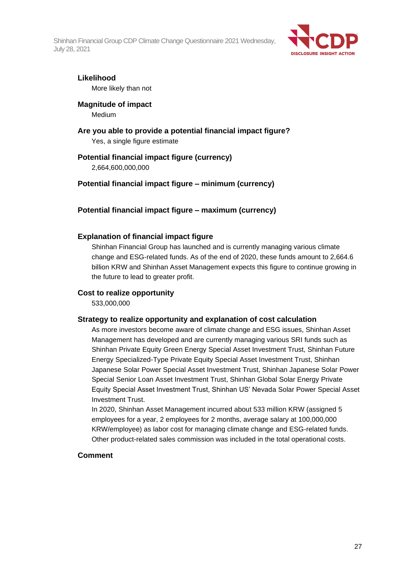

### **Likelihood**

More likely than not

### **Magnitude of impact**

Medium

# **Are you able to provide a potential financial impact figure?**

Yes, a single figure estimate

## **Potential financial impact figure (currency)**

2,664,600,000,000

## **Potential financial impact figure – minimum (currency)**

### **Potential financial impact figure – maximum (currency)**

#### **Explanation of financial impact figure**

Shinhan Financial Group has launched and is currently managing various climate change and ESG-related funds. As of the end of 2020, these funds amount to 2,664.6 billion KRW and Shinhan Asset Management expects this figure to continue growing in the future to lead to greater profit.

### **Cost to realize opportunity**

533,000,000

#### **Strategy to realize opportunity and explanation of cost calculation**

As more investors become aware of climate change and ESG issues, Shinhan Asset Management has developed and are currently managing various SRI funds such as Shinhan Private Equity Green Energy Special Asset Investment Trust, Shinhan Future Energy Specialized-Type Private Equity Special Asset Investment Trust, Shinhan Japanese Solar Power Special Asset Investment Trust, Shinhan Japanese Solar Power Special Senior Loan Asset Investment Trust, Shinhan Global Solar Energy Private Equity Special Asset Investment Trust, Shinhan US' Nevada Solar Power Special Asset Investment Trust.

In 2020, Shinhan Asset Management incurred about 533 million KRW (assigned 5 employees for a year, 2 employees for 2 months, average salary at 100,000,000 KRW/employee) as labor cost for managing climate change and ESG-related funds. Other product-related sales commission was included in the total operational costs.

### **Comment**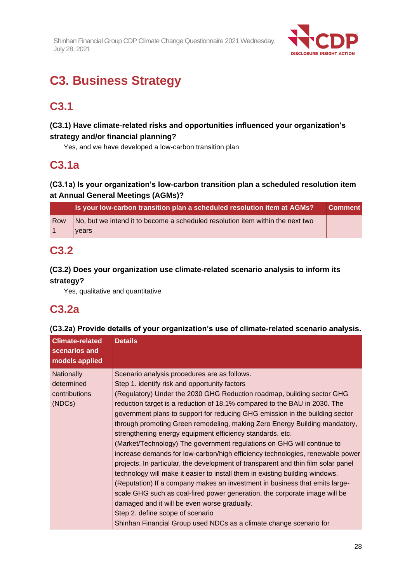

# **C3. Business Strategy**

# **C3.1**

# **(C3.1) Have climate-related risks and opportunities influenced your organization's strategy and/or financial planning?**

Yes, and we have developed a low-carbon transition plan

# **C3.1a**

# **(C3.1a) Is your organization's low-carbon transition plan a scheduled resolution item at Annual General Meetings (AGMs)?**

|     | Is your low-carbon transition plan a scheduled resolution item at AGMs?        | <b>Comment</b> |
|-----|--------------------------------------------------------------------------------|----------------|
| Row | No, but we intend it to become a scheduled resolution item within the next two |                |
|     | vears                                                                          |                |

# **C3.2**

# **(C3.2) Does your organization use climate-related scenario analysis to inform its strategy?**

Yes, qualitative and quantitative

# **C3.2a**

## **(C3.2a) Provide details of your organization's use of climate-related scenario analysis.**

| <b>Climate-related</b><br>scenarios and<br>models applied | <b>Details</b>                                                                                                                                                                                                                                                                                                                                                                                                                                                                                                                                                                                                                                                                                                                                                                                                                                                                                                                                                                                                                                                                                                                         |
|-----------------------------------------------------------|----------------------------------------------------------------------------------------------------------------------------------------------------------------------------------------------------------------------------------------------------------------------------------------------------------------------------------------------------------------------------------------------------------------------------------------------------------------------------------------------------------------------------------------------------------------------------------------------------------------------------------------------------------------------------------------------------------------------------------------------------------------------------------------------------------------------------------------------------------------------------------------------------------------------------------------------------------------------------------------------------------------------------------------------------------------------------------------------------------------------------------------|
| Nationally<br>determined<br>contributions<br>(NDCs)       | Scenario analysis procedures are as follows.<br>Step 1. identify risk and opportunity factors<br>(Regulatory) Under the 2030 GHG Reduction roadmap, building sector GHG<br>reduction target is a reduction of 18.1% compared to the BAU in 2030. The<br>government plans to support for reducing GHG emission in the building sector<br>through promoting Green remodeling, making Zero Energy Building mandatory,<br>strengthening energy equipment efficiency standards, etc.<br>(Market/Technology) The government regulations on GHG will continue to<br>increase demands for low-carbon/high efficiency technologies, renewable power<br>projects. In particular, the development of transparent and thin film solar panel<br>technology will make it easier to install them in existing building windows.<br>(Reputation) If a company makes an investment in business that emits large-<br>scale GHG such as coal-fired power generation, the corporate image will be<br>damaged and it will be even worse gradually.<br>Step 2. define scope of scenario<br>Shinhan Financial Group used NDCs as a climate change scenario for |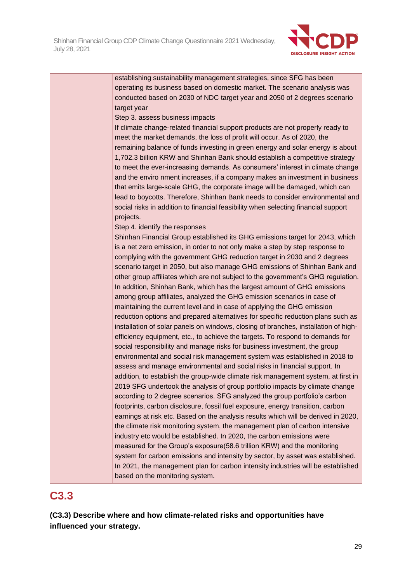

establishing sustainability management strategies, since SFG has been operating its business based on domestic market. The scenario analysis was conducted based on 2030 of NDC target year and 2050 of 2 degrees scenario target year Step 3. assess business impacts If climate change-related financial support products are not properly ready to meet the market demands, the loss of profit will occur. As of 2020, the remaining balance of funds investing in green energy and solar energy is about 1,702.3 billion KRW and Shinhan Bank should establish a competitive strategy to meet the ever-increasing demands. As consumers' interest in climate change and the enviro nment increases, if a company makes an investment in business that emits large-scale GHG, the corporate image will be damaged, which can lead to boycotts. Therefore, Shinhan Bank needs to consider environmental and social risks in addition to financial feasibility when selecting financial support projects. Step 4. identify the responses Shinhan Financial Group established its GHG emissions target for 2043, which is a net zero emission, in order to not only make a step by step response to complying with the government GHG reduction target in 2030 and 2 degrees scenario target in 2050, but also manage GHG emissions of Shinhan Bank and other group affiliates which are not subject to the government's GHG regulation. In addition, Shinhan Bank, which has the largest amount of GHG emissions among group affiliates, analyzed the GHG emission scenarios in case of maintaining the current level and in case of applying the GHG emission reduction options and prepared alternatives for specific reduction plans such as installation of solar panels on windows, closing of branches, installation of highefficiency equipment, etc., to achieve the targets. To respond to demands for social responsibility and manage risks for business investment, the group environmental and social risk management system was established in 2018 to assess and manage environmental and social risks in financial support. In addition, to establish the group-wide climate risk management system, at first in 2019 SFG undertook the analysis of group portfolio impacts by climate change according to 2 degree scenarios. SFG analyzed the group portfolio's carbon footprints, carbon disclosure, fossil fuel exposure, energy transition, carbon earnings at risk etc. Based on the analysis results which will be derived in 2020, the climate risk monitoring system, the management plan of carbon intensive industry etc would be established. In 2020, the carbon emissions were measured for the Group's exposure(58.6 trillion KRW) and the monitoring system for carbon emissions and intensity by sector, by asset was established. In 2021, the management plan for carbon intensity industries will be established

# **C3.3**

**(C3.3) Describe where and how climate-related risks and opportunities have influenced your strategy.**

based on the monitoring system.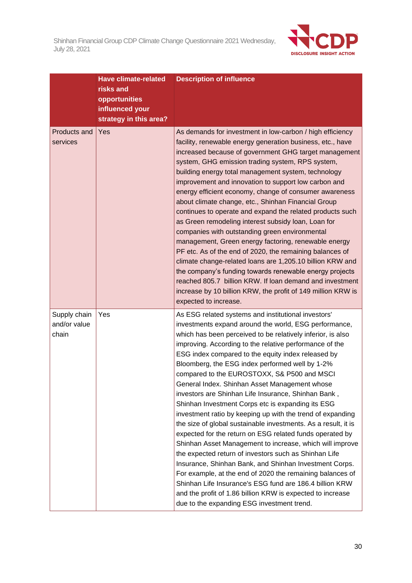

|                                       | <b>Have climate-related</b><br>risks and<br>opportunities<br>influenced your<br>strategy in this area? | <b>Description of influence</b>                                                                                                                                                                                                                                                                                                                                                                                                                                                                                                                                                                                                                                                                                                                                                                                                                                                                                                                                                                                                                                                                                                                                            |
|---------------------------------------|--------------------------------------------------------------------------------------------------------|----------------------------------------------------------------------------------------------------------------------------------------------------------------------------------------------------------------------------------------------------------------------------------------------------------------------------------------------------------------------------------------------------------------------------------------------------------------------------------------------------------------------------------------------------------------------------------------------------------------------------------------------------------------------------------------------------------------------------------------------------------------------------------------------------------------------------------------------------------------------------------------------------------------------------------------------------------------------------------------------------------------------------------------------------------------------------------------------------------------------------------------------------------------------------|
| Products and<br>services              | Yes                                                                                                    | As demands for investment in low-carbon / high efficiency<br>facility, renewable energy generation business, etc., have<br>increased because of government GHG target management<br>system, GHG emission trading system, RPS system,<br>building energy total management system, technology<br>improvement and innovation to support low carbon and<br>energy efficient economy, change of consumer awareness<br>about climate change, etc., Shinhan Financial Group<br>continues to operate and expand the related products such<br>as Green remodeling interest subsidy loan, Loan for<br>companies with outstanding green environmental<br>management, Green energy factoring, renewable energy<br>PF etc. As of the end of 2020, the remaining balances of<br>climate change-related loans are 1,205.10 billion KRW and<br>the company's funding towards renewable energy projects<br>reached 805.7 billion KRW. If loan demand and investment<br>increase by 10 billion KRW, the profit of 149 million KRW is<br>expected to increase.                                                                                                                                |
| Supply chain<br>and/or value<br>chain | Yes                                                                                                    | As ESG related systems and institutional investors'<br>investments expand around the world, ESG performance,<br>which has been perceived to be relatively inferior, is also<br>improving. According to the relative performance of the<br>ESG index compared to the equity index released by<br>Bloomberg, the ESG index performed well by 1-2%<br>compared to the EUROSTOXX, S& P500 and MSCI<br>General Index. Shinhan Asset Management whose<br>investors are Shinhan Life Insurance, Shinhan Bank,<br>Shinhan Investment Corps etc is expanding its ESG<br>investment ratio by keeping up with the trend of expanding<br>the size of global sustainable investments. As a result, it is<br>expected for the return on ESG related funds operated by<br>Shinhan Asset Management to increase, which will improve<br>the expected return of investors such as Shinhan Life<br>Insurance, Shinhan Bank, and Shinhan Investment Corps.<br>For example, at the end of 2020 the remaining balances of<br>Shinhan Life Insurance's ESG fund are 186.4 billion KRW<br>and the profit of 1.86 billion KRW is expected to increase<br>due to the expanding ESG investment trend. |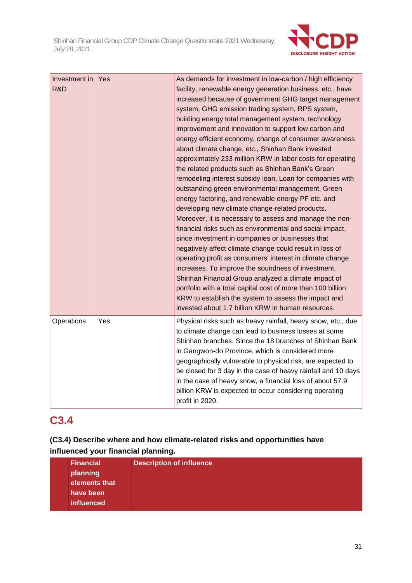

| Investment in Yes<br>R&D |     | As demands for investment in low-carbon / high efficiency<br>facility, renewable energy generation business, etc., have<br>increased because of government GHG target management<br>system, GHG emission trading system, RPS system,<br>building energy total management system, technology<br>improvement and innovation to support low carbon and<br>energy efficient economy, change of consumer awareness<br>about climate change, etc., Shinhan Bank invested<br>approximately 233 million KRW in labor costs for operating<br>the related products such as Shinhan Bank's Green<br>remodeling interest subsidy loan, Loan for companies with<br>outstanding green environmental management, Green<br>energy factoring, and renewable energy PF etc. and<br>developing new climate change-related products.<br>Moreover, it is necessary to assess and manage the non-<br>financial risks such as environmental and social impact,<br>since investment in companies or businesses that<br>negatively affect climate change could result in loss of<br>operating profit as consumers' interest in climate change<br>increases. To improve the soundness of investment,<br>Shinhan Financial Group analyzed a climate impact of<br>portfolio with a total capital cost of more than 100 billion<br>KRW to establish the system to assess the impact and<br>invested about 1.7 billion KRW in human resources. |
|--------------------------|-----|------------------------------------------------------------------------------------------------------------------------------------------------------------------------------------------------------------------------------------------------------------------------------------------------------------------------------------------------------------------------------------------------------------------------------------------------------------------------------------------------------------------------------------------------------------------------------------------------------------------------------------------------------------------------------------------------------------------------------------------------------------------------------------------------------------------------------------------------------------------------------------------------------------------------------------------------------------------------------------------------------------------------------------------------------------------------------------------------------------------------------------------------------------------------------------------------------------------------------------------------------------------------------------------------------------------------------------------------------------------------------------------------------------------|
| Operations               | Yes | Physical risks such as heavy rainfall, heavy snow, etc., due<br>to climate change can lead to business losses at some<br>Shinhan branches. Since the 18 branches of Shinhan Bank<br>in Gangwon-do Province, which is considered more<br>geographically vulnerable to physical risk, are expected to<br>be closed for 3 day in the case of heavy rainfall and 10 days<br>in the case of heavy snow, a financial loss of about 57.9<br>billion KRW is expected to occur considering operating<br>profit in 2020.                                                                                                                                                                                                                                                                                                                                                                                                                                                                                                                                                                                                                                                                                                                                                                                                                                                                                                   |

# **C3.4**

# **(C3.4) Describe where and how climate-related risks and opportunities have influenced your financial planning.**

| <b>Financial</b><br>planning<br>elements that<br>have been | <b>Description of influence</b> |
|------------------------------------------------------------|---------------------------------|
| influenced                                                 |                                 |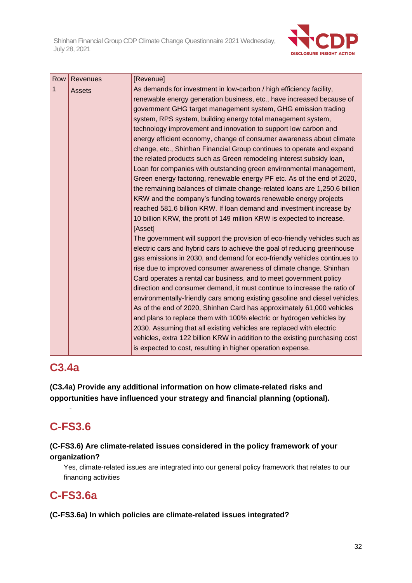

| Row | Revenues      | [Revenue]                                                                   |
|-----|---------------|-----------------------------------------------------------------------------|
| 1   | <b>Assets</b> | As demands for investment in low-carbon / high efficiency facility,         |
|     |               | renewable energy generation business, etc., have increased because of       |
|     |               | government GHG target management system, GHG emission trading               |
|     |               | system, RPS system, building energy total management system,                |
|     |               | technology improvement and innovation to support low carbon and             |
|     |               | energy efficient economy, change of consumer awareness about climate        |
|     |               | change, etc., Shinhan Financial Group continues to operate and expand       |
|     |               | the related products such as Green remodeling interest subsidy loan,        |
|     |               | Loan for companies with outstanding green environmental management,         |
|     |               | Green energy factoring, renewable energy PF etc. As of the end of 2020,     |
|     |               | the remaining balances of climate change-related loans are 1,250.6 billion  |
|     |               | KRW and the company's funding towards renewable energy projects             |
|     |               | reached 581.6 billion KRW. If loan demand and investment increase by        |
|     |               | 10 billion KRW, the profit of 149 million KRW is expected to increase.      |
|     |               | [Asset]                                                                     |
|     |               | The government will support the provision of eco-friendly vehicles such as  |
|     |               | electric cars and hybrid cars to achieve the goal of reducing greenhouse    |
|     |               | gas emissions in 2030, and demand for eco-friendly vehicles continues to    |
|     |               | rise due to improved consumer awareness of climate change. Shinhan          |
|     |               | Card operates a rental car business, and to meet government policy          |
|     |               | direction and consumer demand, it must continue to increase the ratio of    |
|     |               | environmentally-friendly cars among existing gasoline and diesel vehicles.  |
|     |               | As of the end of 2020, Shinhan Card has approximately 61,000 vehicles       |
|     |               | and plans to replace them with 100% electric or hydrogen vehicles by        |
|     |               | 2030. Assuming that all existing vehicles are replaced with electric        |
|     |               | vehicles, extra 122 billion KRW in addition to the existing purchasing cost |
|     |               | is expected to cost, resulting in higher operation expense.                 |

# **C3.4a**

**(C3.4a) Provide any additional information on how climate-related risks and opportunities have influenced your strategy and financial planning (optional).**

# **C-FS3.6**

-

# **(C-FS3.6) Are climate-related issues considered in the policy framework of your organization?**

Yes, climate-related issues are integrated into our general policy framework that relates to our financing activities

# **C-FS3.6a**

**(C-FS3.6a) In which policies are climate-related issues integrated?**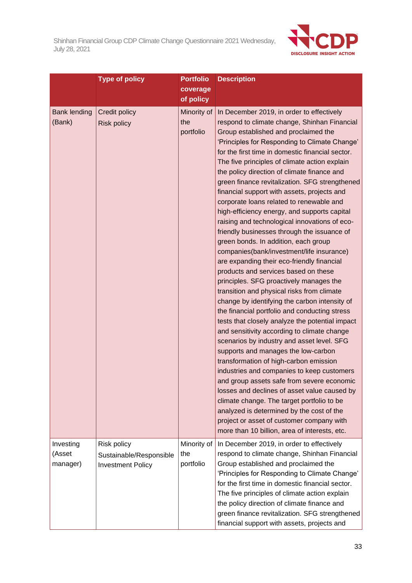

|                                 | <b>Type of policy</b>                                              | <b>Portfolio</b><br>coverage<br>of policy | <b>Description</b>                                                                                                                                                                                                                                                                                                                                                                                                                                                                                                                                                                                                                                                                                                                                                                                                                                                                                                                                                                                                                                                                                                                                                                                                                                                                                                                                                                                                                                                                                                                                                              |
|---------------------------------|--------------------------------------------------------------------|-------------------------------------------|---------------------------------------------------------------------------------------------------------------------------------------------------------------------------------------------------------------------------------------------------------------------------------------------------------------------------------------------------------------------------------------------------------------------------------------------------------------------------------------------------------------------------------------------------------------------------------------------------------------------------------------------------------------------------------------------------------------------------------------------------------------------------------------------------------------------------------------------------------------------------------------------------------------------------------------------------------------------------------------------------------------------------------------------------------------------------------------------------------------------------------------------------------------------------------------------------------------------------------------------------------------------------------------------------------------------------------------------------------------------------------------------------------------------------------------------------------------------------------------------------------------------------------------------------------------------------------|
| <b>Bank lending</b><br>(Bank)   | Credit policy<br><b>Risk policy</b>                                | Minority of<br>the<br>portfolio           | In December 2019, in order to effectively<br>respond to climate change, Shinhan Financial<br>Group established and proclaimed the<br>'Principles for Responding to Climate Change'<br>for the first time in domestic financial sector.<br>The five principles of climate action explain<br>the policy direction of climate finance and<br>green finance revitalization. SFG strengthened<br>financial support with assets, projects and<br>corporate loans related to renewable and<br>high-efficiency energy, and supports capital<br>raising and technological innovations of eco-<br>friendly businesses through the issuance of<br>green bonds. In addition, each group<br>companies(bank/investment/life insurance)<br>are expanding their eco-friendly financial<br>products and services based on these<br>principles. SFG proactively manages the<br>transition and physical risks from climate<br>change by identifying the carbon intensity of<br>the financial portfolio and conducting stress<br>tests that closely analyze the potential impact<br>and sensitivity according to climate change<br>scenarios by industry and asset level. SFG<br>supports and manages the low-carbon<br>transformation of high-carbon emission<br>industries and companies to keep customers<br>and group assets safe from severe economic<br>losses and declines of asset value caused by<br>climate change. The target portfolio to be<br>analyzed is determined by the cost of the<br>project or asset of customer company with<br>more than 10 billion, area of interests, etc. |
| Investing<br>(Asset<br>manager) | Risk policy<br>Sustainable/Responsible<br><b>Investment Policy</b> | Minority of<br>the<br>portfolio           | In December 2019, in order to effectively<br>respond to climate change, Shinhan Financial<br>Group established and proclaimed the<br>'Principles for Responding to Climate Change'<br>for the first time in domestic financial sector.<br>The five principles of climate action explain<br>the policy direction of climate finance and<br>green finance revitalization. SFG strengthened<br>financial support with assets, projects and                                                                                                                                                                                                                                                                                                                                                                                                                                                                                                                                                                                                                                                                                                                                                                                                                                                                                                                                                                                                                                                                                                                                         |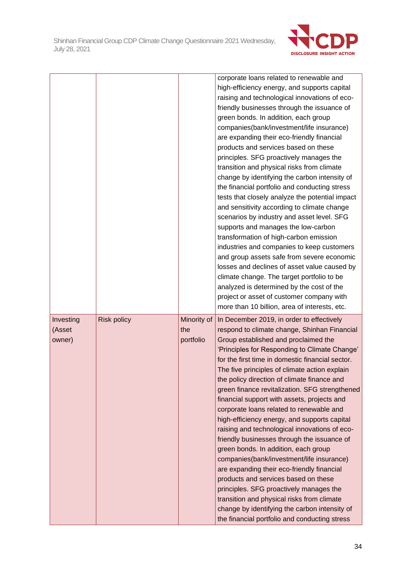

|           |                    |             | corporate loans related to renewable and                                                       |
|-----------|--------------------|-------------|------------------------------------------------------------------------------------------------|
|           |                    |             | high-efficiency energy, and supports capital                                                   |
|           |                    |             | raising and technological innovations of eco-                                                  |
|           |                    |             | friendly businesses through the issuance of                                                    |
|           |                    |             | green bonds. In addition, each group                                                           |
|           |                    |             | companies(bank/investment/life insurance)                                                      |
|           |                    |             | are expanding their eco-friendly financial<br>products and services based on these             |
|           |                    |             | principles. SFG proactively manages the                                                        |
|           |                    |             | transition and physical risks from climate                                                     |
|           |                    |             | change by identifying the carbon intensity of                                                  |
|           |                    |             | the financial portfolio and conducting stress                                                  |
|           |                    |             | tests that closely analyze the potential impact                                                |
|           |                    |             | and sensitivity according to climate change                                                    |
|           |                    |             | scenarios by industry and asset level. SFG                                                     |
|           |                    |             | supports and manages the low-carbon                                                            |
|           |                    |             | transformation of high-carbon emission                                                         |
|           |                    |             | industries and companies to keep customers                                                     |
|           |                    |             | and group assets safe from severe economic                                                     |
|           |                    |             | losses and declines of asset value caused by                                                   |
|           |                    |             | climate change. The target portfolio to be                                                     |
|           |                    |             | analyzed is determined by the cost of the                                                      |
|           |                    |             | project or asset of customer company with                                                      |
|           |                    |             | more than 10 billion, area of interests, etc.                                                  |
| Investing | <b>Risk policy</b> | Minority of | In December 2019, in order to effectively                                                      |
| (Asset    |                    | the         | respond to climate change, Shinhan Financial                                                   |
| owner)    |                    | portfolio   | Group established and proclaimed the                                                           |
|           |                    |             | 'Principles for Responding to Climate Change'                                                  |
|           |                    |             |                                                                                                |
|           |                    |             | for the first time in domestic financial sector.                                               |
|           |                    |             | The five principles of climate action explain                                                  |
|           |                    |             | the policy direction of climate finance and                                                    |
|           |                    |             | green finance revitalization. SFG strengthened                                                 |
|           |                    |             | financial support with assets, projects and                                                    |
|           |                    |             | corporate loans related to renewable and                                                       |
|           |                    |             | high-efficiency energy, and supports capital                                                   |
|           |                    |             | raising and technological innovations of eco-                                                  |
|           |                    |             | friendly businesses through the issuance of                                                    |
|           |                    |             | green bonds. In addition, each group                                                           |
|           |                    |             | companies(bank/investment/life insurance)                                                      |
|           |                    |             | are expanding their eco-friendly financial                                                     |
|           |                    |             | products and services based on these                                                           |
|           |                    |             | principles. SFG proactively manages the                                                        |
|           |                    |             | transition and physical risks from climate                                                     |
|           |                    |             | change by identifying the carbon intensity of<br>the financial portfolio and conducting stress |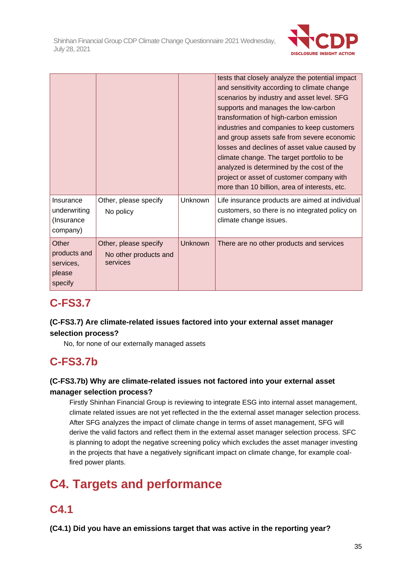

|                                                         |                                                            |                | tests that closely analyze the potential impact<br>and sensitivity according to climate change<br>scenarios by industry and asset level. SFG<br>supports and manages the low-carbon<br>transformation of high-carbon emission<br>industries and companies to keep customers<br>and group assets safe from severe economic<br>losses and declines of asset value caused by<br>climate change. The target portfolio to be<br>analyzed is determined by the cost of the<br>project or asset of customer company with<br>more than 10 billion, area of interests, etc. |
|---------------------------------------------------------|------------------------------------------------------------|----------------|--------------------------------------------------------------------------------------------------------------------------------------------------------------------------------------------------------------------------------------------------------------------------------------------------------------------------------------------------------------------------------------------------------------------------------------------------------------------------------------------------------------------------------------------------------------------|
| Insurance<br>underwriting<br>(Insurance<br>company)     | Other, please specify<br>No policy                         | <b>Unknown</b> | Life insurance products are aimed at individual<br>customers, so there is no integrated policy on<br>climate change issues.                                                                                                                                                                                                                                                                                                                                                                                                                                        |
| Other<br>products and<br>services,<br>please<br>specify | Other, please specify<br>No other products and<br>services | <b>Unknown</b> | There are no other products and services                                                                                                                                                                                                                                                                                                                                                                                                                                                                                                                           |

# **C-FS3.7**

# **(C-FS3.7) Are climate-related issues factored into your external asset manager selection process?**

No, for none of our externally managed assets

# **C-FS3.7b**

# **(C-FS3.7b) Why are climate-related issues not factored into your external asset manager selection process?**

Firstly Shinhan Financial Group is reviewing to integrate ESG into internal asset management, climate related issues are not yet reflected in the the external asset manager selection process. After SFG analyzes the impact of climate change in terms of asset management, SFG will derive the valid factors and reflect them in the external asset manager selection process. SFC is planning to adopt the negative screening policy which excludes the asset manager investing in the projects that have a negatively significant impact on climate change, for example coalfired power plants.

# **C4. Targets and performance**

# **C4.1**

**(C4.1) Did you have an emissions target that was active in the reporting year?**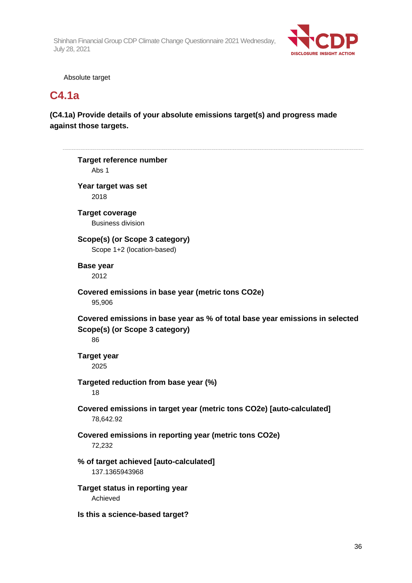

Absolute target

# **C4.1a**

 $\overline{a}$ 

# **(C4.1a) Provide details of your absolute emissions target(s) and progress made against those targets.**

| <b>Target reference number</b><br>Abs 1                          |                                                                              |
|------------------------------------------------------------------|------------------------------------------------------------------------------|
| Year target was set<br>2018                                      |                                                                              |
| <b>Target coverage</b><br><b>Business division</b>               |                                                                              |
| Scope(s) (or Scope 3 category)<br>Scope 1+2 (location-based)     |                                                                              |
| <b>Base year</b><br>2012                                         |                                                                              |
| Covered emissions in base year (metric tons CO2e)<br>95,906      |                                                                              |
| Scope(s) (or Scope 3 category)<br>86                             | Covered emissions in base year as % of total base year emissions in selected |
| <b>Target year</b><br>2025                                       |                                                                              |
| Targeted reduction from base year (%)<br>18                      |                                                                              |
| 78,642.92                                                        | Covered emissions in target year (metric tons CO2e) [auto-calculated]        |
| Covered emissions in reporting year (metric tons CO2e)<br>72,232 |                                                                              |
| % of target achieved [auto-calculated]<br>137.1365943968         |                                                                              |
| Target status in reporting year<br>Achieved                      |                                                                              |
| Is this a science-based target?                                  |                                                                              |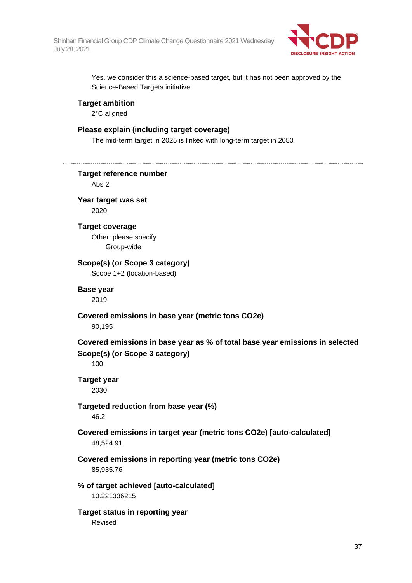

Yes, we consider this a science-based target, but it has not been approved by the Science-Based Targets initiative

## **Target ambition**

2°C aligned

## **Please explain (including target coverage)**

The mid-term target in 2025 is linked with long-term target in 2050

**Target reference number** Abs 2 **Year target was set**

2020

## **Target coverage**

Other, please specify Group-wide

## **Scope(s) (or Scope 3 category)**

Scope 1+2 (location-based)

## **Base year**

2019

**Covered emissions in base year (metric tons CO2e)**

90,195

## **Covered emissions in base year as % of total base year emissions in selected Scope(s) (or Scope 3 category)**

100

### **Target year** 2030

# **Targeted reduction from base year (%)**

46.2

## **Covered emissions in target year (metric tons CO2e) [auto-calculated]** 48,524.91

## **Covered emissions in reporting year (metric tons CO2e)** 85,935.76

## **% of target achieved [auto-calculated]**

10.221336215

## **Target status in reporting year**

Revised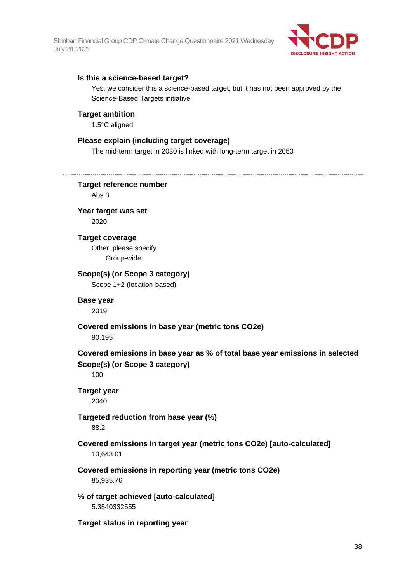

## **Is this a science-based target?**

Yes, we consider this a science-based target, but it has not been approved by the Science-Based Targets initiative

### **Target ambition**

1.5°C aligned

## **Please explain (including target coverage)**

The mid-term target in 2030 is linked with long-term target in 2050

**Target reference number** Abs 3 **Year target was set** 2020 **Target coverage** Other, please specify Group-wide **Scope(s) (or Scope 3 category)** Scope 1+2 (location-based) **Base year** 2019 **Covered emissions in base year (metric tons CO2e)** 90,195 **Covered emissions in base year as % of total base year emissions in selected Scope(s) (or Scope 3 category)** 100 **Target year** 2040 **Targeted reduction from base year (%)** 88.2 **Covered emissions in target year (metric tons CO2e) [auto-calculated]** 10,643.01 **Covered emissions in reporting year (metric tons CO2e)** 85,935.76 **% of target achieved [auto-calculated]** 5.3540332555 **Target status in reporting year**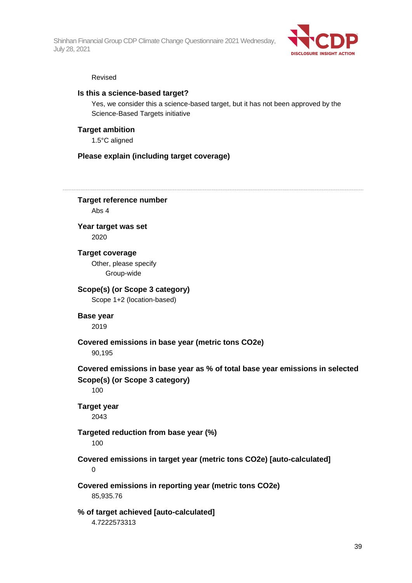

#### Revised

## **Is this a science-based target?**

Yes, we consider this a science-based target, but it has not been approved by the Science-Based Targets initiative

## **Target ambition**

1.5°C aligned

## **Please explain (including target coverage)**

**Target reference number** Abs 4 **Year target was set**

2020

**Target coverage** Other, please specify Group-wide

**Scope(s) (or Scope 3 category)** Scope 1+2 (location-based)

**Base year** 2019

**Covered emissions in base year (metric tons CO2e)** 90,195

**Covered emissions in base year as % of total base year emissions in selected Scope(s) (or Scope 3 category)**

100

**Target year**

2043

## **Targeted reduction from base year (%)**

100

**Covered emissions in target year (metric tons CO2e) [auto-calculated]** 0

**Covered emissions in reporting year (metric tons CO2e)** 85,935.76

**% of target achieved [auto-calculated]** 4.7222573313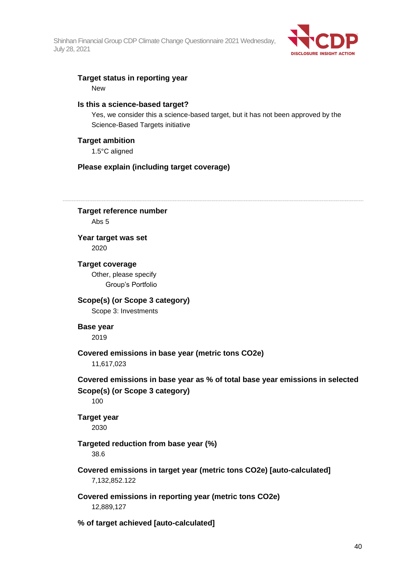

## **Target status in reporting year**

New

## **Is this a science-based target?**

Yes, we consider this a science-based target, but it has not been approved by the Science-Based Targets initiative

## **Target ambition**

1.5°C aligned

## **Please explain (including target coverage)**

**Target reference number** Abs 5 **Year target was set** 2020 **Target coverage** Other, please specify Group's Portfolio **Scope(s) (or Scope 3 category)** Scope 3: Investments **Base year** 2019 **Covered emissions in base year (metric tons CO2e)** 11,617,023 **Covered emissions in base year as % of total base year emissions in selected Scope(s) (or Scope 3 category)** 100 **Target year** 2030 **Targeted reduction from base year (%)** 38.6 **Covered emissions in target year (metric tons CO2e) [auto-calculated]** 7,132,852.122 **Covered emissions in reporting year (metric tons CO2e)** 12,889,127 **% of target achieved [auto-calculated]**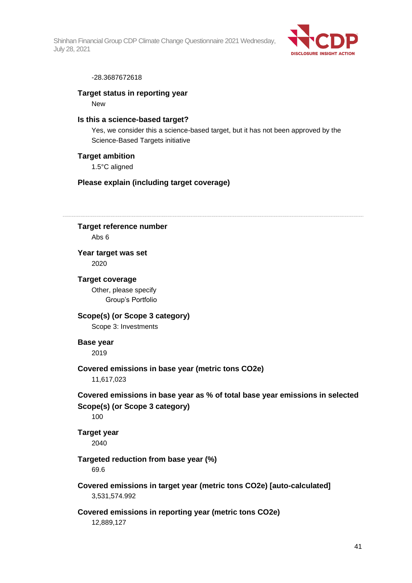

#### -28.3687672618

#### **Target status in reporting year**

New

## **Is this a science-based target?**

Yes, we consider this a science-based target, but it has not been approved by the Science-Based Targets initiative

#### **Target ambition**

1.5°C aligned

#### **Please explain (including target coverage)**

**Target reference number** Abs 6

## **Year target was set** 2020

#### **Target coverage**

Other, please specify Group's Portfolio

## **Scope(s) (or Scope 3 category)**

Scope 3: Investments

## **Base year**

2019

### **Covered emissions in base year (metric tons CO2e)**

11,617,023

## **Covered emissions in base year as % of total base year emissions in selected Scope(s) (or Scope 3 category)**

100

**Target year** 2040

## **Targeted reduction from base year (%)**

69.6

**Covered emissions in target year (metric tons CO2e) [auto-calculated]** 3,531,574.992

## **Covered emissions in reporting year (metric tons CO2e)**

12,889,127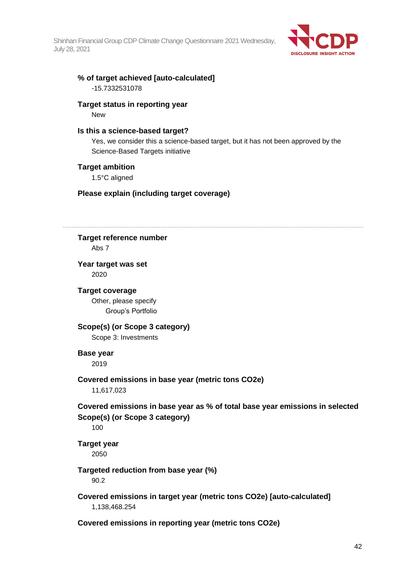

# **% of target achieved [auto-calculated]**

-15.7332531078

## **Target status in reporting year**

New

## **Is this a science-based target?**

Yes, we consider this a science-based target, but it has not been approved by the Science-Based Targets initiative

## **Target ambition**

1.5°C aligned

## **Please explain (including target coverage)**

**Target reference number** Abs 7 **Year target was set** 2020 **Target coverage** Other, please specify Group's Portfolio **Scope(s) (or Scope 3 category)** Scope 3: Investments **Base year** 2019 **Covered emissions in base year (metric tons CO2e)** 11,617,023 **Covered emissions in base year as % of total base year emissions in selected Scope(s) (or Scope 3 category)** 100 **Target year** 2050 **Targeted reduction from base year (%)** 90.2 **Covered emissions in target year (metric tons CO2e) [auto-calculated]** 1,138,468.254 **Covered emissions in reporting year (metric tons CO2e)**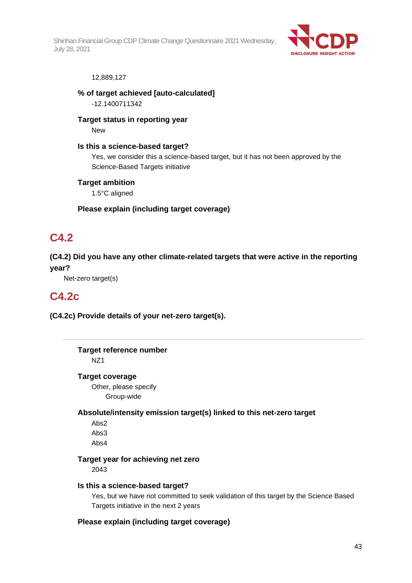

#### 12,889,127

**% of target achieved [auto-calculated]**

-12.1400711342

**Target status in reporting year**

New

**Is this a science-based target?**

Yes, we consider this a science-based target, but it has not been approved by the Science-Based Targets initiative

## **Target ambition**

1.5°C aligned

## **Please explain (including target coverage)**

## **C4.2**

**(C4.2) Did you have any other climate-related targets that were active in the reporting year?**

Net-zero target(s)

## **C4.2c**

**(C4.2c) Provide details of your net-zero target(s).**

**Target reference number** NZ1

### **Target coverage**

Other, please specify Group-wide

**Absolute/intensity emission target(s) linked to this net-zero target**

Abs2 Abs3 Abs4

## **Target year for achieving net zero**

2043

### **Is this a science-based target?**

Yes, but we have not committed to seek validation of this target by the Science Based Targets initiative in the next 2 years

## **Please explain (including target coverage)**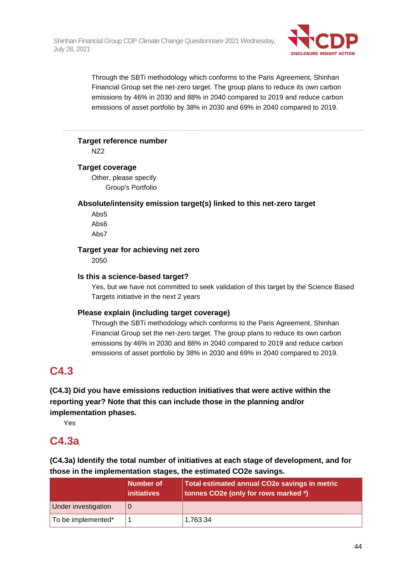

Through the SBTi methodology which conforms to the Paris Agreement, Shinhan Financial Group set the net-zero target. The group plans to reduce its own carbon emissions by 46% in 2030 and 88% in 2040 compared to 2019 and reduce carbon emissions of asset portfolio by 38% in 2030 and 69% in 2040 compared to 2019.

## **Target reference number**

NZ2

## **Target coverage**

Other, please specify Group's Portfolio

## **Absolute/intensity emission target(s) linked to this net-zero target**

Abs5 Abs6 Abs7

## **Target year for achieving net zero**

2050

## **Is this a science-based target?**

Yes, but we have not committed to seek validation of this target by the Science Based Targets initiative in the next 2 years

## **Please explain (including target coverage)**

Through the SBTi methodology which conforms to the Paris Agreement, Shinhan Financial Group set the net-zero target. The group plans to reduce its own carbon emissions by 46% in 2030 and 88% in 2040 compared to 2019 and reduce carbon emissions of asset portfolio by 38% in 2030 and 69% in 2040 compared to 2019.

# **C4.3**

**(C4.3) Did you have emissions reduction initiatives that were active within the reporting year? Note that this can include those in the planning and/or implementation phases.**

Yes

# **C4.3a**

**(C4.3a) Identify the total number of initiatives at each stage of development, and for those in the implementation stages, the estimated CO2e savings.**

|                     | Number of<br><i>initiatives</i> | Total estimated annual CO2e savings in metric<br>tonnes CO2e (only for rows marked *) |
|---------------------|---------------------------------|---------------------------------------------------------------------------------------|
| Under investigation |                                 |                                                                                       |
| To be implemented*  |                                 | 1,763.34                                                                              |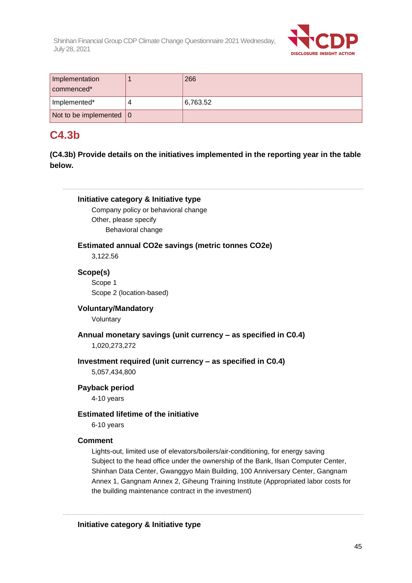

| Implementation<br>commenced <sup>*</sup> | 266      |
|------------------------------------------|----------|
| Implemented*                             | 6,763.52 |
| Not to be implemented $ 0\rangle$        |          |

# **C4.3b**

**(C4.3b) Provide details on the initiatives implemented in the reporting year in the table below.**

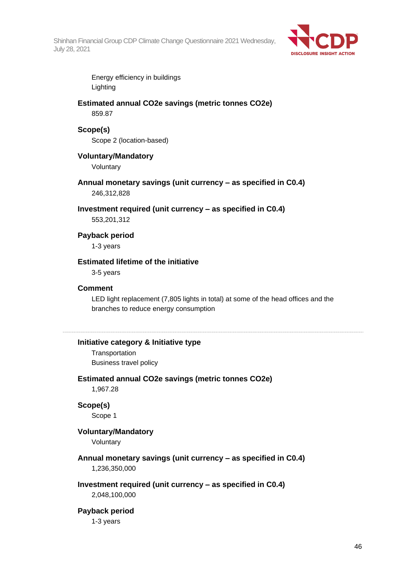

Energy efficiency in buildings Lighting

## **Estimated annual CO2e savings (metric tonnes CO2e)** 859.87

### **Scope(s)**

Scope 2 (location-based)

## **Voluntary/Mandatory**

Voluntary

# **Annual monetary savings (unit currency – as specified in C0.4)**

246,312,828

### **Investment required (unit currency – as specified in C0.4)**

553,201,312

## **Payback period**

1-3 years

## **Estimated lifetime of the initiative**

3-5 years

### **Comment**

LED light replacement (7,805 lights in total) at some of the head offices and the branches to reduce energy consumption

## **Initiative category & Initiative type**

**Transportation** Business travel policy

## **Estimated annual CO2e savings (metric tonnes CO2e)**

1,967.28

### **Scope(s)**

Scope 1

## **Voluntary/Mandatory**

Voluntary

## **Annual monetary savings (unit currency – as specified in C0.4)** 1,236,350,000

## **Investment required (unit currency – as specified in C0.4)**

2,048,100,000

### **Payback period**

1-3 years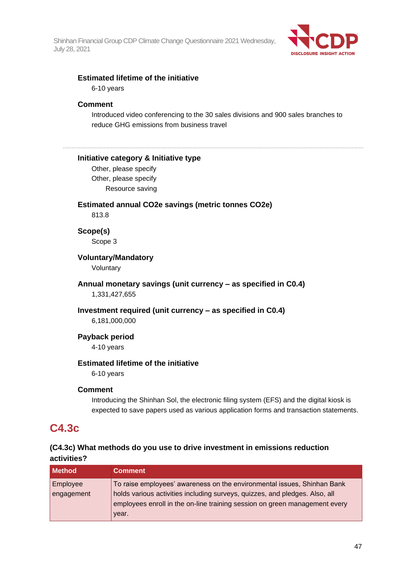

## **Estimated lifetime of the initiative**

6-10 years

## **Comment**

Introduced video conferencing to the 30 sales divisions and 900 sales branches to reduce GHG emissions from business travel

## **Initiative category & Initiative type**

Other, please specify Other, please specify Resource saving

### **Estimated annual CO2e savings (metric tonnes CO2e)**

813.8

**Scope(s)**

Scope 3

## **Voluntary/Mandatory**

Voluntary

## **Annual monetary savings (unit currency – as specified in C0.4)** 1,331,427,655

### **Investment required (unit currency – as specified in C0.4)**

6,181,000,000

## **Payback period**

4-10 years

## **Estimated lifetime of the initiative**

6-10 years

## **Comment**

Introducing the Shinhan Sol, the electronic filing system (EFS) and the digital kiosk is expected to save papers used as various application forms and transaction statements.

# **C4.3c**

## **(C4.3c) What methods do you use to drive investment in emissions reduction activities?**

| <b>Method</b>          | <b>Comment</b>                                                                                                                                                                                                                                |
|------------------------|-----------------------------------------------------------------------------------------------------------------------------------------------------------------------------------------------------------------------------------------------|
| Employee<br>engagement | To raise employees' awareness on the environmental issues, Shinhan Bank<br>holds various activities including surveys, quizzes, and pledges. Also, all<br>employees enroll in the on-line training session on green management every<br>year. |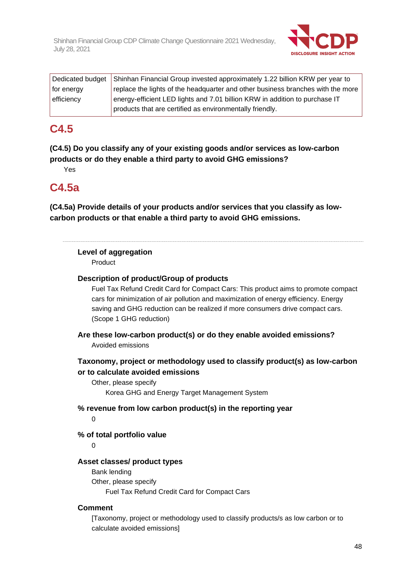

|            | Dedicated budget Shinhan Financial Group invested approximately 1.22 billion KRW per year to |
|------------|----------------------------------------------------------------------------------------------|
| for energy | replace the lights of the headquarter and other business branches with the more              |
| efficiency | energy-efficient LED lights and 7.01 billion KRW in addition to purchase IT                  |
|            | products that are certified as environmentally friendly.                                     |

## **C4.5**

**(C4.5) Do you classify any of your existing goods and/or services as low-carbon products or do they enable a third party to avoid GHG emissions?**

Yes

## **C4.5a**

**(C4.5a) Provide details of your products and/or services that you classify as lowcarbon products or that enable a third party to avoid GHG emissions.**

## **Level of aggregation**

Product

## **Description of product/Group of products**

Fuel Tax Refund Credit Card for Compact Cars: This product aims to promote compact cars for minimization of air pollution and maximization of energy efficiency. Energy saving and GHG reduction can be realized if more consumers drive compact cars. (Scope 1 GHG reduction)

**Are these low-carbon product(s) or do they enable avoided emissions?** Avoided emissions

## **Taxonomy, project or methodology used to classify product(s) as low-carbon or to calculate avoided emissions**

Other, please specify Korea GHG and Energy Target Management System

**% revenue from low carbon product(s) in the reporting year**  $\Omega$ 

## **% of total portfolio value**

 $\Omega$ 

## **Asset classes/ product types**

Bank lending Other, please specify Fuel Tax Refund Credit Card for Compact Cars

## **Comment**

[Taxonomy, project or methodology used to classify products/s as low carbon or to calculate avoided emissions]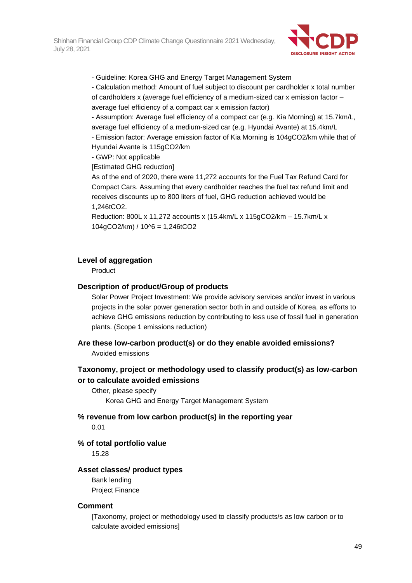

- Guideline: Korea GHG and Energy Target Management System

- Calculation method: Amount of fuel subject to discount per cardholder x total number of cardholders x (average fuel efficiency of a medium-sized car x emission factor – average fuel efficiency of a compact car x emission factor)

- Assumption: Average fuel efficiency of a compact car (e.g. Kia Morning) at 15.7km/L, average fuel efficiency of a medium-sized car (e.g. Hyundai Avante) at 15.4km/L

- Emission factor: Average emission factor of Kia Morning is 104gCO2/km while that of Hyundai Avante is 115gCO2/km

- GWP: Not applicable

[Estimated GHG reduction]

As of the end of 2020, there were 11,272 accounts for the Fuel Tax Refund Card for Compact Cars. Assuming that every cardholder reaches the fuel tax refund limit and receives discounts up to 800 liters of fuel, GHG reduction achieved would be 1,246tCO2.

Reduction: 800L x 11,272 accounts x (15.4km/L x 115gCO2/km – 15.7km/L x  $104gCO2/km$  /  $10^{6} = 1,246tCO2$ 

## **Level of aggregation**

Product

## **Description of product/Group of products**

Solar Power Project Investment: We provide advisory services and/or invest in various projects in the solar power generation sector both in and outside of Korea, as efforts to achieve GHG emissions reduction by contributing to less use of fossil fuel in generation plants. (Scope 1 emissions reduction)

**Are these low-carbon product(s) or do they enable avoided emissions?**

Avoided emissions

## **Taxonomy, project or methodology used to classify product(s) as low-carbon or to calculate avoided emissions**

Other, please specify Korea GHG and Energy Target Management System

**% revenue from low carbon product(s) in the reporting year** 0.01

## **% of total portfolio value**

15.28

### **Asset classes/ product types**

Bank lending Project Finance

### **Comment**

[Taxonomy, project or methodology used to classify products/s as low carbon or to calculate avoided emissions]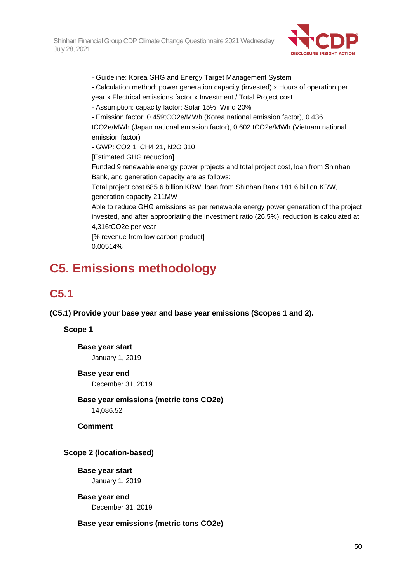

- Guideline: Korea GHG and Energy Target Management System

- Calculation method: power generation capacity (invested) x Hours of operation per
- year x Electrical emissions factor x Investment / Total Project cost
- Assumption: capacity factor: Solar 15%, Wind 20%
- Emission factor: 0.459tCO2e/MWh (Korea national emission factor), 0.436

tCO2e/MWh (Japan national emission factor), 0.602 tCO2e/MWh (Vietnam national emission factor)

- GWP: CO2 1, CH4 21, N2O 310

[Estimated GHG reduction]

Funded 9 renewable energy power projects and total project cost, loan from Shinhan Bank, and generation capacity are as follows:

Total project cost 685.6 billion KRW, loan from Shinhan Bank 181.6 billion KRW, generation capacity 211MW

Able to reduce GHG emissions as per renewable energy power generation of the project invested, and after appropriating the investment ratio (26.5%), reduction is calculated at 4,316tCO2e per year

[% revenue from low carbon product] 0.00514%

# **C5. Emissions methodology**

# **C5.1**

**(C5.1) Provide your base year and base year emissions (Scopes 1 and 2).**

## **Scope 1**

**Base year start** January 1, 2019

## **Base year end**

December 31, 2019

**Base year emissions (metric tons CO2e)** 14,086.52

**Comment**

**Scope 2 (location-based)**

**Base year start** January 1, 2019

**Base year end** December 31, 2019

## **Base year emissions (metric tons CO2e)**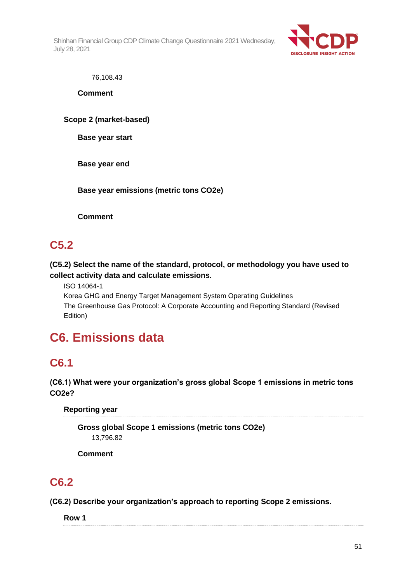

76,108.43

**Comment**

**Scope 2 (market-based)**

**Base year start**

**Base year end**

**Base year emissions (metric tons CO2e)**

**Comment**

# **C5.2**

**(C5.2) Select the name of the standard, protocol, or methodology you have used to collect activity data and calculate emissions.**

ISO 14064-1

Korea GHG and Energy Target Management System Operating Guidelines The Greenhouse Gas Protocol: A Corporate Accounting and Reporting Standard (Revised Edition)

# **C6. Emissions data**

# **C6.1**

## **(C6.1) What were your organization's gross global Scope 1 emissions in metric tons CO2e?**

**Reporting year**

**Gross global Scope 1 emissions (metric tons CO2e)** 13,796.82

**Comment**

# **C6.2**

**(C6.2) Describe your organization's approach to reporting Scope 2 emissions.**

**Row 1**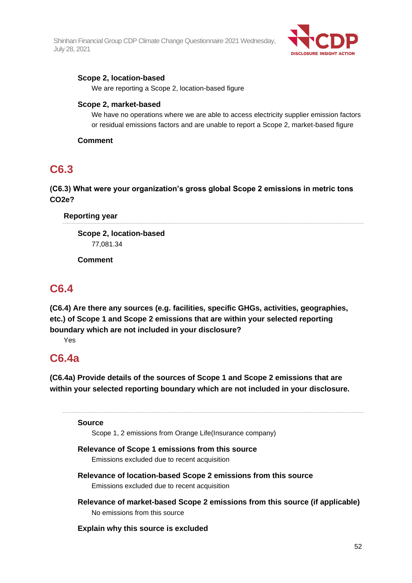

## **Scope 2, location-based**

We are reporting a Scope 2, location-based figure

## **Scope 2, market-based**

We have no operations where we are able to access electricity supplier emission factors or residual emissions factors and are unable to report a Scope 2, market-based figure

## **Comment**

## **C6.3**

## **(C6.3) What were your organization's gross global Scope 2 emissions in metric tons CO2e?**

## **Reporting year**

**Scope 2, location-based** 77,081.34

**Comment**

# **C6.4**

**(C6.4) Are there any sources (e.g. facilities, specific GHGs, activities, geographies, etc.) of Scope 1 and Scope 2 emissions that are within your selected reporting boundary which are not included in your disclosure?**

Yes

## **C6.4a**

**(C6.4a) Provide details of the sources of Scope 1 and Scope 2 emissions that are within your selected reporting boundary which are not included in your disclosure.**

**Source**

Scope 1, 2 emissions from Orange Life(Insurance company)

## **Relevance of Scope 1 emissions from this source**

Emissions excluded due to recent acquisition

- **Relevance of location-based Scope 2 emissions from this source** Emissions excluded due to recent acquisition
- **Relevance of market-based Scope 2 emissions from this source (if applicable)** No emissions from this source

## **Explain why this source is excluded**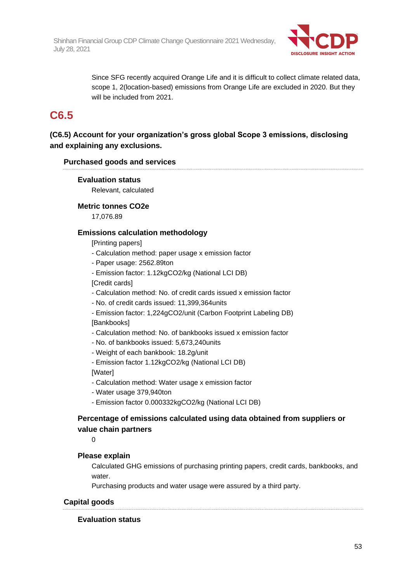

Since SFG recently acquired Orange Life and it is difficult to collect climate related data, scope 1, 2(location-based) emissions from Orange Life are excluded in 2020. But they will be included from 2021.

## **C6.5**

**(C6.5) Account for your organization's gross global Scope 3 emissions, disclosing and explaining any exclusions.**

## **Purchased goods and services**

## **Evaluation status**

Relevant, calculated

## **Metric tonnes CO2e**

17,076.89

## **Emissions calculation methodology**

[Printing papers]

- Calculation method: paper usage x emission factor
- Paper usage: 2562.89ton
- Emission factor: 1.12kgCO2/kg (National LCI DB)

[Credit cards]

- Calculation method: No. of credit cards issued x emission factor

- No. of credit cards issued: 11,399,364units

- Emission factor: 1,224gCO2/unit (Carbon Footprint Labeling DB) [Bankbooks]

- Calculation method: No. of bankbooks issued x emission factor
- No. of bankbooks issued: 5,673,240units
- Weight of each bankbook: 18.2g/unit
- Emission factor 1.12kgCO2/kg (National LCI DB)

[Water]

- Calculation method: Water usage x emission factor
- Water usage 379,940ton
- Emission factor 0.000332kgCO2/kg (National LCI DB)

## **Percentage of emissions calculated using data obtained from suppliers or value chain partners**

 $\Omega$ 

## **Please explain**

Calculated GHG emissions of purchasing printing papers, credit cards, bankbooks, and water.

Purchasing products and water usage were assured by a third party.

## **Capital goods**

## **Evaluation status**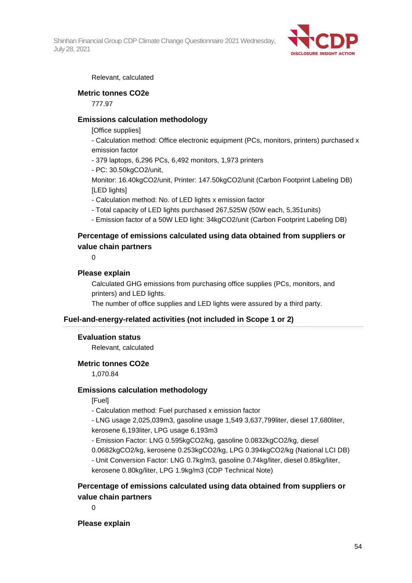

Relevant, calculated

## **Metric tonnes CO2e**

777.97

## **Emissions calculation methodology**

[Office supplies]

- Calculation method: Office electronic equipment (PCs, monitors, printers) purchased x emission factor

- 379 laptops, 6,296 PCs, 6,492 monitors, 1,973 printers
- PC: 30.50kgCO2/unit,

Monitor: 16.40kgCO2/unit, Printer: 147.50kgCO2/unit (Carbon Footprint Labeling DB) [LED lights]

- Calculation method: No. of LED lights x emission factor
- Total capacity of LED lights purchased 267,525W (50W each, 5,351units)
- Emission factor of a 50W LED light: 34kgCO2/unit (Carbon Footprint Labeling DB)

## **Percentage of emissions calculated using data obtained from suppliers or value chain partners**

 $\Omega$ 

## **Please explain**

Calculated GHG emissions from purchasing office supplies (PCs, monitors, and printers) and LED lights.

The number of office supplies and LED lights were assured by a third party.

## **Fuel-and-energy-related activities (not included in Scope 1 or 2)**

### **Evaluation status**

Relevant, calculated

## **Metric tonnes CO2e**

1,070.84

## **Emissions calculation methodology**

[Fuel]

- Calculation method: Fuel purchased x emission factor

- LNG usage 2,025,039m3, gasoline usage 1,549 3,637,799liter, diesel 17,680liter, kerosene 6,193liter, LPG usage 6,193m3

- Emission Factor: LNG 0.595kgCO2/kg, gasoline 0.0832kgCO2/kg, diesel

0.0682kgCO2/kg, kerosene 0.253kgCO2/kg, LPG 0.394kgCO2/kg (National LCI DB)

- Unit Conversion Factor: LNG 0.7kg/m3, gasoline 0.74kg/liter, diesel 0.85kg/liter, kerosene 0.80kg/liter, LPG 1.9kg/m3 (CDP Technical Note)

## **Percentage of emissions calculated using data obtained from suppliers or value chain partners**

 $\Omega$ 

## **Please explain**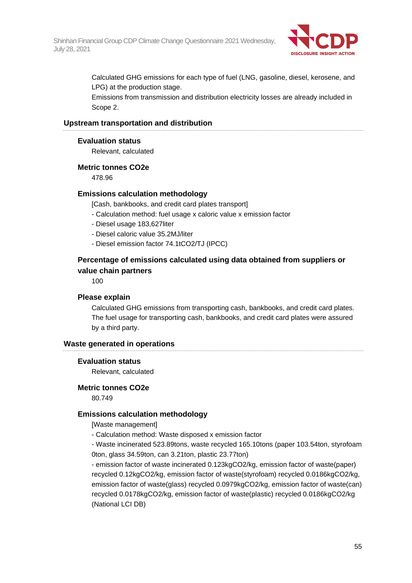

Calculated GHG emissions for each type of fuel (LNG, gasoline, diesel, kerosene, and LPG) at the production stage.

Emissions from transmission and distribution electricity losses are already included in Scope 2.

#### **Upstream transportation and distribution**

#### **Evaluation status**

Relevant, calculated

#### **Metric tonnes CO2e**

478.96

### **Emissions calculation methodology**

[Cash, bankbooks, and credit card plates transport]

- Calculation method: fuel usage x caloric value x emission factor
- Diesel usage 183,627liter
- Diesel caloric value 35.2MJ/liter
- Diesel emission factor 74.1tCO2/TJ (IPCC)

## **Percentage of emissions calculated using data obtained from suppliers or value chain partners**

100

### **Please explain**

Calculated GHG emissions from transporting cash, bankbooks, and credit card plates. The fuel usage for transporting cash, bankbooks, and credit card plates were assured by a third party.

#### **Waste generated in operations**

#### **Evaluation status**

Relevant, calculated

#### **Metric tonnes CO2e**

80.749

#### **Emissions calculation methodology**

[Waste management]

- Calculation method: Waste disposed x emission factor

- Waste incinerated 523.89tons, waste recycled 165.10tons (paper 103.54ton, styrofoam 0ton, glass 34.59ton, can 3.21ton, plastic 23.77ton)

- emission factor of waste incinerated 0.123kgCO2/kg, emission factor of waste(paper) recycled 0.12kgCO2/kg, emission factor of waste(styrofoam) recycled 0.0186kgCO2/kg, emission factor of waste(glass) recycled 0.0979kgCO2/kg, emission factor of waste(can) recycled 0.0178kgCO2/kg, emission factor of waste(plastic) recycled 0.0186kgCO2/kg (National LCI DB)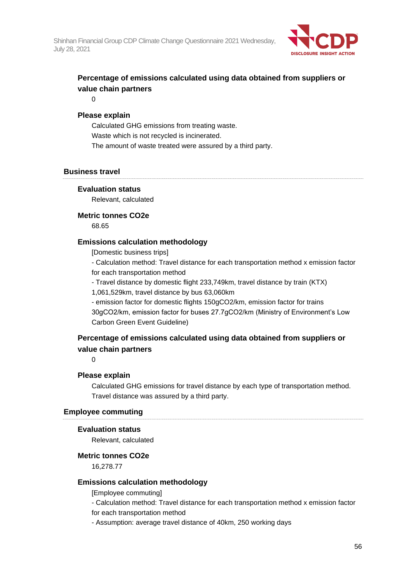

## **Percentage of emissions calculated using data obtained from suppliers or value chain partners**

 $\Omega$ 

## **Please explain**

Calculated GHG emissions from treating waste. Waste which is not recycled is incinerated. The amount of waste treated were assured by a third party.

## **Business travel**

## **Evaluation status**

Relevant, calculated

## **Metric tonnes CO2e**

68.65

## **Emissions calculation methodology**

[Domestic business trips]

- Calculation method: Travel distance for each transportation method x emission factor for each transportation method

- Travel distance by domestic flight 233,749km, travel distance by train (KTX)

1,061,529km, travel distance by bus 63,060km

- emission factor for domestic flights 150gCO2/km, emission factor for trains 30gCO2/km, emission factor for buses 27.7gCO2/km (Ministry of Environment's Low Carbon Green Event Guideline)

## **Percentage of emissions calculated using data obtained from suppliers or value chain partners**

0

## **Please explain**

Calculated GHG emissions for travel distance by each type of transportation method. Travel distance was assured by a third party.

### **Employee commuting**

### **Evaluation status**

Relevant, calculated

### **Metric tonnes CO2e**

16,278.77

### **Emissions calculation methodology**

[Employee commuting]

- Calculation method: Travel distance for each transportation method x emission factor for each transportation method

- Assumption: average travel distance of 40km, 250 working days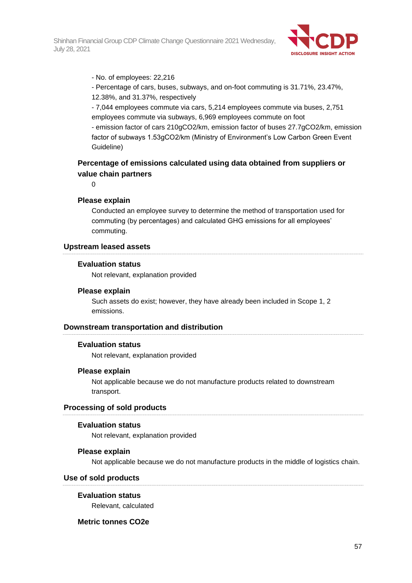

- No. of employees: 22,216

- Percentage of cars, buses, subways, and on-foot commuting is 31.71%, 23.47%,
- 12.38%, and 31.37%, respectively
- 7,044 employees commute via cars, 5,214 employees commute via buses, 2,751 employees commute via subways, 6,969 employees commute on foot

- emission factor of cars 210gCO2/km, emission factor of buses 27.7gCO2/km, emission factor of subways 1.53gCO2/km (Ministry of Environment's Low Carbon Green Event Guideline)

## **Percentage of emissions calculated using data obtained from suppliers or value chain partners**

 $\Omega$ 

### **Please explain**

Conducted an employee survey to determine the method of transportation used for commuting (by percentages) and calculated GHG emissions for all employees' commuting.

#### **Upstream leased assets**

#### **Evaluation status**

Not relevant, explanation provided

#### **Please explain**

Such assets do exist; however, they have already been included in Scope 1, 2 emissions.

### **Downstream transportation and distribution**

#### **Evaluation status**

Not relevant, explanation provided

#### **Please explain**

Not applicable because we do not manufacture products related to downstream transport.

## **Processing of sold products**

#### **Evaluation status**

Not relevant, explanation provided

### **Please explain**

Not applicable because we do not manufacture products in the middle of logistics chain.

### **Use of sold products**

### **Evaluation status**

Relevant, calculated

### **Metric tonnes CO2e**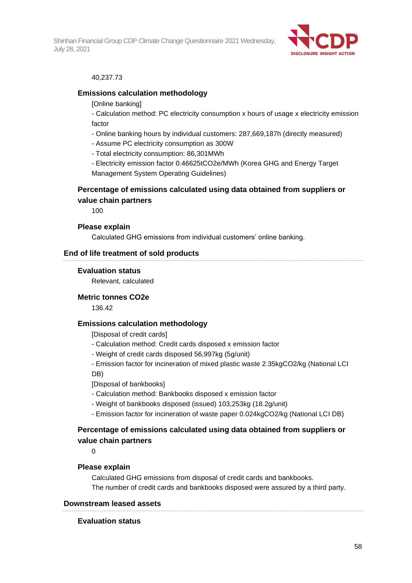

### 40,237.73

### **Emissions calculation methodology**

[Online banking]

- Calculation method: PC electricity consumption x hours of usage x electricity emission factor

- Online banking hours by individual customers: 287,669,187h (directly measured)
- Assume PC electricity consumption as 300W
- Total electricity consumption: 86,301MWh

- Electricity emission factor 0.46625tCO2e/MWh (Korea GHG and Energy Target Management System Operating Guidelines)

## **Percentage of emissions calculated using data obtained from suppliers or value chain partners**

100

#### **Please explain**

Calculated GHG emissions from individual customers' online banking.

### **End of life treatment of sold products**

#### **Evaluation status**

Relevant, calculated

#### **Metric tonnes CO2e**

136.42

## **Emissions calculation methodology**

[Disposal of credit cards]

- Calculation method: Credit cards disposed x emission factor
- Weight of credit cards disposed 56,997kg (5g/unit)
- Emission factor for incineration of mixed plastic waste 2.35kgCO2/kg (National LCI DB)

[Disposal of bankbooks]

- Calculation method: Bankbooks disposed x emission factor
- Weight of bankbooks disposed (issued) 103,253kg (18.2g/unit)
- Emission factor for incineration of waste paper 0.024kgCO2/kg (National LCI DB)

## **Percentage of emissions calculated using data obtained from suppliers or value chain partners**

0

### **Please explain**

Calculated GHG emissions from disposal of credit cards and bankbooks. The number of credit cards and bankbooks disposed were assured by a third party.

## **Downstream leased assets**

#### **Evaluation status**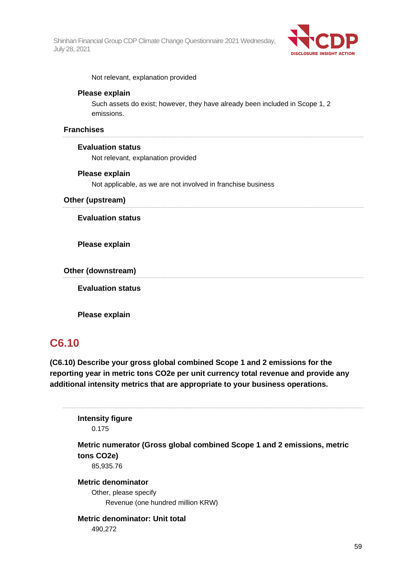

Not relevant, explanation provided

## **Please explain**

Such assets do exist; however, they have already been included in Scope 1, 2 emissions.

## **Franchises**

## **Evaluation status**

Not relevant, explanation provided

## **Please explain**

Not applicable, as we are not involved in franchise business

### **Other (upstream)**

## **Evaluation status**

**Please explain**

**Other (downstream)**

**Evaluation status**

**Please explain**

# **C6.10**

**(C6.10) Describe your gross global combined Scope 1 and 2 emissions for the reporting year in metric tons CO2e per unit currency total revenue and provide any additional intensity metrics that are appropriate to your business operations.**

**Intensity figure** 0.175

**Metric numerator (Gross global combined Scope 1 and 2 emissions, metric tons CO2e)**

85,935.76

**Metric denominator** Other, please specify Revenue (one hundred million KRW)

## **Metric denominator: Unit total** 490,272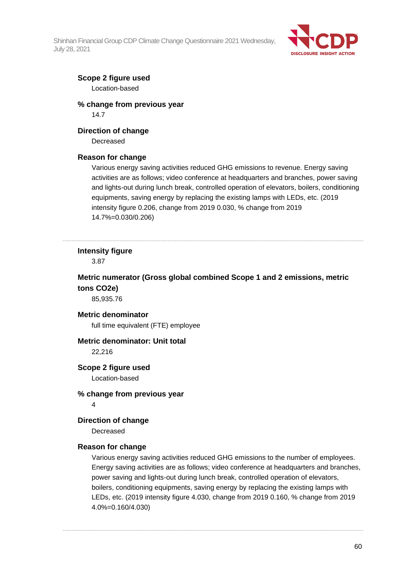

## **Scope 2 figure used**

Location-based

## **% change from previous year** 14.7

## **Direction of change**

Decreased

## **Reason for change**

Various energy saving activities reduced GHG emissions to revenue. Energy saving activities are as follows; video conference at headquarters and branches, power saving and lights-out during lunch break, controlled operation of elevators, boilers, conditioning equipments, saving energy by replacing the existing lamps with LEDs, etc. (2019 intensity figure 0.206, change from 2019 0.030, % change from 2019 14.7%=0.030/0.206)

## **Intensity figure**

3.87

**Metric numerator (Gross global combined Scope 1 and 2 emissions, metric tons CO2e)**

85,935.76

## **Metric denominator**

full time equivalent (FTE) employee

## **Metric denominator: Unit total**

22,216

## **Scope 2 figure used**

Location-based

### **% change from previous year**

4

## **Direction of change**

Decreased

## **Reason for change**

Various energy saving activities reduced GHG emissions to the number of employees. Energy saving activities are as follows; video conference at headquarters and branches, power saving and lights-out during lunch break, controlled operation of elevators, boilers, conditioning equipments, saving energy by replacing the existing lamps with LEDs, etc. (2019 intensity figure 4.030, change from 2019 0.160, % change from 2019 4.0%=0.160/4.030)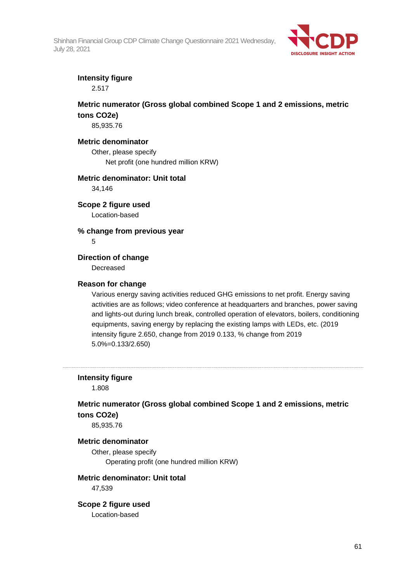

## **Intensity figure**

2.517

## **Metric numerator (Gross global combined Scope 1 and 2 emissions, metric tons CO2e)**

85,935.76

## **Metric denominator**

Other, please specify Net profit (one hundred million KRW)

## **Metric denominator: Unit total**

34,146

**Scope 2 figure used** Location-based

**% change from previous year**

5

## **Direction of change**

Decreased

## **Reason for change**

Various energy saving activities reduced GHG emissions to net profit. Energy saving activities are as follows; video conference at headquarters and branches, power saving and lights-out during lunch break, controlled operation of elevators, boilers, conditioning equipments, saving energy by replacing the existing lamps with LEDs, etc. (2019 intensity figure 2.650, change from 2019 0.133, % change from 2019 5.0%=0.133/2.650)

## **Intensity figure**

1.808

## **Metric numerator (Gross global combined Scope 1 and 2 emissions, metric tons CO2e)**

85,935.76

### **Metric denominator**

Other, please specify Operating profit (one hundred million KRW)

## **Metric denominator: Unit total**

47,539

## **Scope 2 figure used**

Location-based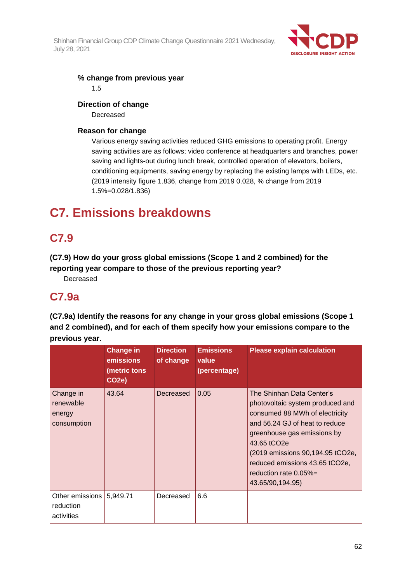

## **% change from previous year**

1.5

## **Direction of change**

Decreased

## **Reason for change**

Various energy saving activities reduced GHG emissions to operating profit. Energy saving activities are as follows; video conference at headquarters and branches, power saving and lights-out during lunch break, controlled operation of elevators, boilers, conditioning equipments, saving energy by replacing the existing lamps with LEDs, etc. (2019 intensity figure 1.836, change from 2019 0.028, % change from 2019 1.5%=0.028/1.836)

# **C7. Emissions breakdowns**

# **C7.9**

**(C7.9) How do your gross global emissions (Scope 1 and 2 combined) for the reporting year compare to those of the previous reporting year?**

Decreased

## **C7.9a**

**(C7.9a) Identify the reasons for any change in your gross global emissions (Scope 1 and 2 combined), and for each of them specify how your emissions compare to the previous year.**

|                                                 | <b>Change in</b><br>emissions<br>(metric tons<br>CO <sub>2</sub> e) | <b>Direction</b><br>of change | <b>Emissions</b><br>value<br>(percentage) | <b>Please explain calculation</b>                                                                                                                                                                                                                                                                               |
|-------------------------------------------------|---------------------------------------------------------------------|-------------------------------|-------------------------------------------|-----------------------------------------------------------------------------------------------------------------------------------------------------------------------------------------------------------------------------------------------------------------------------------------------------------------|
| Change in<br>renewable<br>energy<br>consumption | 43.64                                                               | Decreased                     | 0.05                                      | The Shinhan Data Center's<br>photovoltaic system produced and<br>consumed 88 MWh of electricity<br>and 56.24 GJ of heat to reduce<br>greenhouse gas emissions by<br>43.65 tCO <sub>2e</sub><br>(2019 emissions 90,194.95 tCO2e,<br>reduced emissions 43.65 tCO2e,<br>reduction rate $0.05%$<br>43.65/90,194.95) |
| Other emissions<br>reduction<br>activities      | 5,949.71                                                            | Decreased                     | 6.6                                       |                                                                                                                                                                                                                                                                                                                 |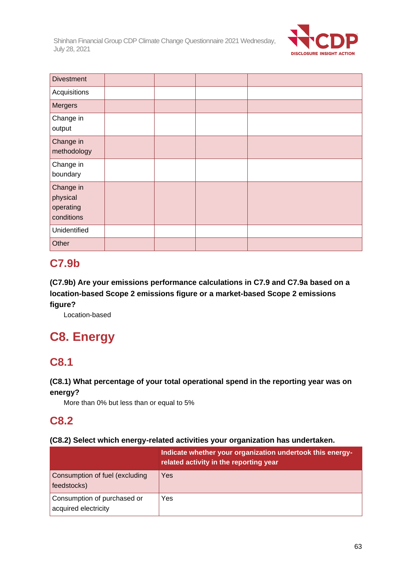

| <b>Divestment</b>                                |  |  |
|--------------------------------------------------|--|--|
| Acquisitions                                     |  |  |
| <b>Mergers</b>                                   |  |  |
| Change in<br>output                              |  |  |
| Change in<br>methodology                         |  |  |
| Change in<br>boundary                            |  |  |
| Change in<br>physical<br>operating<br>conditions |  |  |
| Unidentified                                     |  |  |
| Other                                            |  |  |

# **C7.9b**

**(C7.9b) Are your emissions performance calculations in C7.9 and C7.9a based on a location-based Scope 2 emissions figure or a market-based Scope 2 emissions figure?**

Location-based

# **C8. Energy**

# **C8.1**

## **(C8.1) What percentage of your total operational spend in the reporting year was on energy?**

More than 0% but less than or equal to 5%

# **C8.2**

## **(C8.2) Select which energy-related activities your organization has undertaken.**

|                                                     | Indicate whether your organization undertook this energy-<br>related activity in the reporting year |
|-----------------------------------------------------|-----------------------------------------------------------------------------------------------------|
| Consumption of fuel (excluding<br>feedstocks)       | Yes                                                                                                 |
| Consumption of purchased or<br>acquired electricity | Yes                                                                                                 |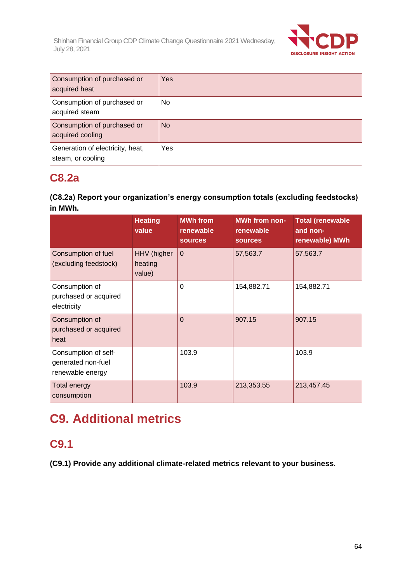

| Consumption of purchased or<br>acquired heat          | Yes       |
|-------------------------------------------------------|-----------|
| Consumption of purchased or<br>acquired steam         | No.       |
| Consumption of purchased or<br>acquired cooling       | <b>No</b> |
| Generation of electricity, heat,<br>steam, or cooling | Yes       |

## **C8.2a**

## **(C8.2a) Report your organization's energy consumption totals (excluding feedstocks) in MWh.**

|                                                                | <b>Heating</b><br>value          | <b>MWh from</b><br>renewable<br><b>sources</b> | <b>MWh from non-</b><br>renewable<br><b>sources</b> | <b>Total (renewable</b><br>and non-<br>renewable) MWh |
|----------------------------------------------------------------|----------------------------------|------------------------------------------------|-----------------------------------------------------|-------------------------------------------------------|
| Consumption of fuel<br>(excluding feedstock)                   | HHV (higher<br>heating<br>value) | $\mathbf 0$                                    | 57,563.7                                            | 57,563.7                                              |
| Consumption of<br>purchased or acquired<br>electricity         |                                  | $\Omega$                                       | 154,882.71                                          | 154,882.71                                            |
| Consumption of<br>purchased or acquired<br>heat                |                                  | $\Omega$                                       | 907.15                                              | 907.15                                                |
| Consumption of self-<br>generated non-fuel<br>renewable energy |                                  | 103.9                                          |                                                     | 103.9                                                 |
| <b>Total energy</b><br>consumption                             |                                  | 103.9                                          | 213,353.55                                          | 213,457.45                                            |

# **C9. Additional metrics**

# **C9.1**

**(C9.1) Provide any additional climate-related metrics relevant to your business.**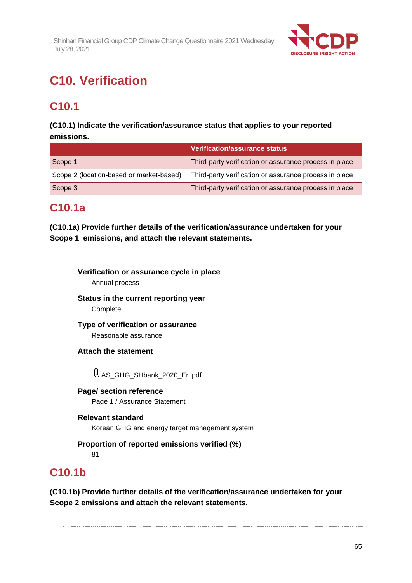

# **C10. Verification**

# **C10.1**

## **(C10.1) Indicate the verification/assurance status that applies to your reported emissions.**

|                                          | Verification/assurance status                          |
|------------------------------------------|--------------------------------------------------------|
| Scope 1                                  | Third-party verification or assurance process in place |
| Scope 2 (location-based or market-based) | Third-party verification or assurance process in place |
| Scope 3                                  | Third-party verification or assurance process in place |

# **C10.1a**

**(C10.1a) Provide further details of the verification/assurance undertaken for your Scope 1 emissions, and attach the relevant statements.**

# **Verification or assurance cycle in place**

Annual process

**Status in the current reporting year Complete** 

**Type of verification or assurance**

Reasonable assurance

**Attach the statement**

U AS GHG\_SHbank\_2020\_En.pdf

**Page/ section reference** Page 1 / Assurance Statement

## **Relevant standard**

Korean GHG and energy target management system

**Proportion of reported emissions verified (%)**

81

# **C10.1b**

**(C10.1b) Provide further details of the verification/assurance undertaken for your Scope 2 emissions and attach the relevant statements.**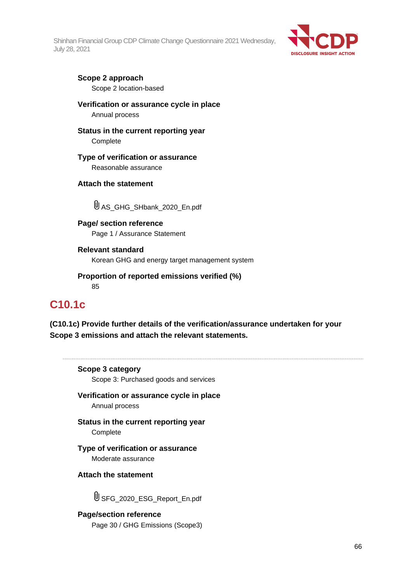

## **Scope 2 approach**

Scope 2 location-based

**Verification or assurance cycle in place**

Annual process

**Status in the current reporting year**

**Complete** 

## **Type of verification or assurance**

Reasonable assurance

## **Attach the statement**

AS\_GHG\_SHbank\_2020\_En.pdf

**Page/ section reference** Page 1 / Assurance Statement

**Relevant standard** Korean GHG and energy target management system

**Proportion of reported emissions verified (%)** 85

# **C10.1c**

**(C10.1c) Provide further details of the verification/assurance undertaken for your Scope 3 emissions and attach the relevant statements.**

## **Scope 3 category**

Scope 3: Purchased goods and services

**Verification or assurance cycle in place** Annual process

**Status in the current reporting year** Complete

**Type of verification or assurance** Moderate assurance

## **Attach the statement**

USFG 2020 ESG Report En.pdf

**Page/section reference** Page 30 / GHG Emissions (Scope3)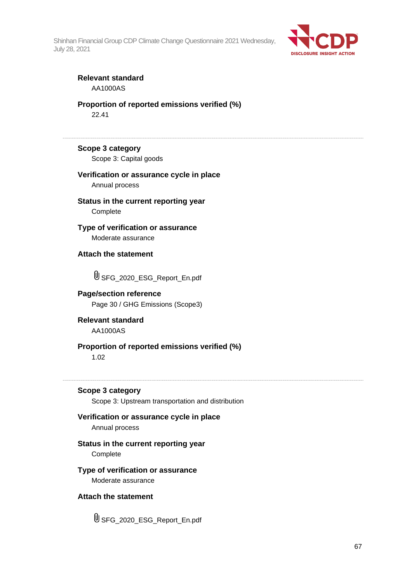

## **Relevant standard** AA1000AS

**Proportion of reported emissions verified (%)** 22.41

## **Scope 3 category**

Scope 3: Capital goods

## **Verification or assurance cycle in place** Annual process

**Status in the current reporting year Complete** 

**Type of verification or assurance** Moderate assurance

**Attach the statement**

SFG\_2020\_ESG\_Report\_En.pdf

## **Page/section reference** Page 30 / GHG Emissions (Scope3)

**Relevant standard** AA1000AS

# **Proportion of reported emissions verified (%)**

1.02

## **Scope 3 category**

Scope 3: Upstream transportation and distribution

## **Verification or assurance cycle in place** Annual process

## **Status in the current reporting year** Complete

## **Type of verification or assurance** Moderate assurance

## **Attach the statement**

SFG\_2020\_ESG\_Report\_En.pdf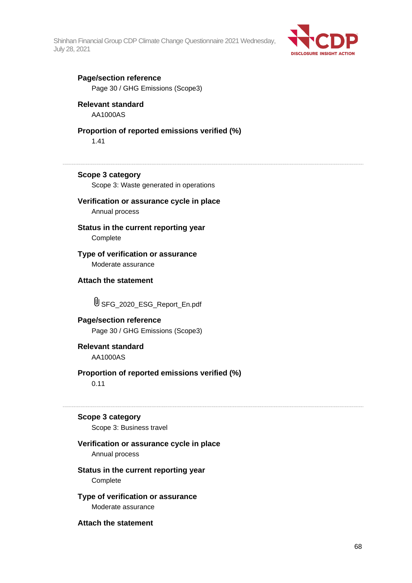

## **Page/section reference**

Page 30 / GHG Emissions (Scope3)

## **Relevant standard**

AA1000AS

## **Proportion of reported emissions verified (%)**

1.41

## **Scope 3 category**

Scope 3: Waste generated in operations

## **Verification or assurance cycle in place**

Annual process

## **Status in the current reporting year** Complete

**Type of verification or assurance** Moderate assurance

## **Attach the statement**

SFG\_2020\_ESG\_Report\_En.pdf

## **Page/section reference** Page 30 / GHG Emissions (Scope3)

**Relevant standard** AA1000AS

## **Proportion of reported emissions verified (%)**

0.11

## **Scope 3 category**

Scope 3: Business travel

## **Verification or assurance cycle in place**

Annual process

## **Status in the current reporting year Complete**

**Type of verification or assurance** Moderate assurance

**Attach the statement**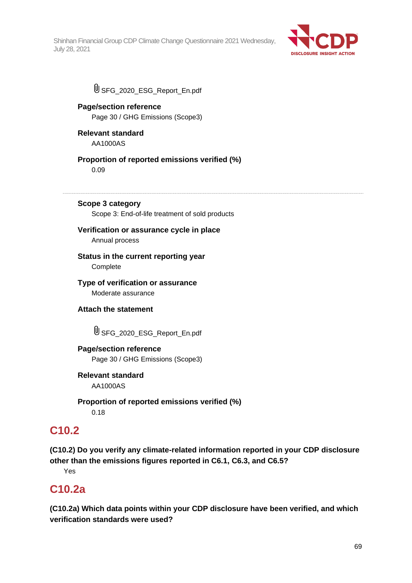

USFG 2020 ESG Report En.pdf

## **Page/section reference** Page 30 / GHG Emissions (Scope3)

**Relevant standard** AA1000AS

**Proportion of reported emissions verified (%)**

0.09

**Scope 3 category**

Scope 3: End-of-life treatment of sold products

# **Verification or assurance cycle in place**

Annual process

**Status in the current reporting year Complete** 

**Type of verification or assurance** Moderate assurance

**Attach the statement**

USFG 2020 ESG Report En.pdf

## **Page/section reference** Page 30 / GHG Emissions (Scope3)

**Relevant standard** AA1000AS

**Proportion of reported emissions verified (%)** 0.18

# **C10.2**

**(C10.2) Do you verify any climate-related information reported in your CDP disclosure other than the emissions figures reported in C6.1, C6.3, and C6.5?**

Yes

# **C10.2a**

**(C10.2a) Which data points within your CDP disclosure have been verified, and which verification standards were used?**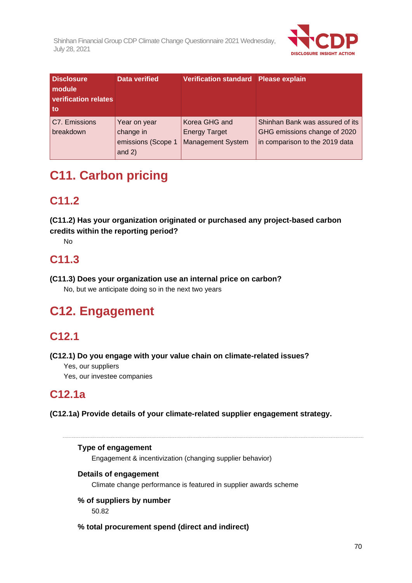

| <b>Disclosure</b><br><b>module</b><br><b>verification relates</b><br>to | <b>Data verified</b>                                        | Verification standard Please explain                              |                                                                                                   |
|-------------------------------------------------------------------------|-------------------------------------------------------------|-------------------------------------------------------------------|---------------------------------------------------------------------------------------------------|
| C7. Emissions<br>breakdown                                              | Year on year<br>change in<br>emissions (Scope 1<br>and $2)$ | Korea GHG and<br><b>Energy Target</b><br><b>Management System</b> | Shinhan Bank was assured of its<br>GHG emissions change of 2020<br>in comparison to the 2019 data |

# **C11. Carbon pricing**

# **C11.2**

**(C11.2) Has your organization originated or purchased any project-based carbon credits within the reporting period?**

No

# **C11.3**

**(C11.3) Does your organization use an internal price on carbon?**

No, but we anticipate doing so in the next two years

# **C12. Engagement**

# **C12.1**

**(C12.1) Do you engage with your value chain on climate-related issues?**

Yes, our suppliers

Yes, our investee companies

# **C12.1a**

**(C12.1a) Provide details of your climate-related supplier engagement strategy.**

**Type of engagement** Engagement & incentivization (changing supplier behavior) **Details of engagement**

Climate change performance is featured in supplier awards scheme

## **% of suppliers by number** 50.82

**% total procurement spend (direct and indirect)**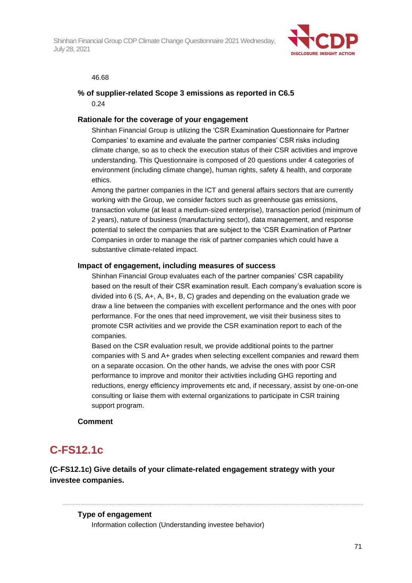

#### 46.68

## **% of supplier-related Scope 3 emissions as reported in C6.5** 0.24

## **Rationale for the coverage of your engagement**

Shinhan Financial Group is utilizing the 'CSR Examination Questionnaire for Partner Companies' to examine and evaluate the partner companies' CSR risks including climate change, so as to check the execution status of their CSR activities and improve understanding. This Questionnaire is composed of 20 questions under 4 categories of environment (including climate change), human rights, safety & health, and corporate ethics.

Among the partner companies in the ICT and general affairs sectors that are currently working with the Group, we consider factors such as greenhouse gas emissions, transaction volume (at least a medium-sized enterprise), transaction period (minimum of 2 years), nature of business (manufacturing sector), data management, and response potential to select the companies that are subject to the 'CSR Examination of Partner Companies in order to manage the risk of partner companies which could have a substantive climate-related impact.

### **Impact of engagement, including measures of success**

Shinhan Financial Group evaluates each of the partner companies' CSR capability based on the result of their CSR examination result. Each company's evaluation score is divided into 6 (S, A+, A, B+, B, C) grades and depending on the evaluation grade we draw a line between the companies with excellent performance and the ones with poor performance. For the ones that need improvement, we visit their business sites to promote CSR activities and we provide the CSR examination report to each of the companies.

Based on the CSR evaluation result, we provide additional points to the partner companies with S and A+ grades when selecting excellent companies and reward them on a separate occasion. On the other hands, we advise the ones with poor CSR performance to improve and monitor their activities including GHG reporting and reductions, energy efficiency improvements etc and, if necessary, assist by one-on-one consulting or liaise them with external organizations to participate in CSR training support program.

## **Comment**

# **C-FS12.1c**

**(C-FS12.1c) Give details of your climate-related engagement strategy with your investee companies.**

### **Type of engagement**

Information collection (Understanding investee behavior)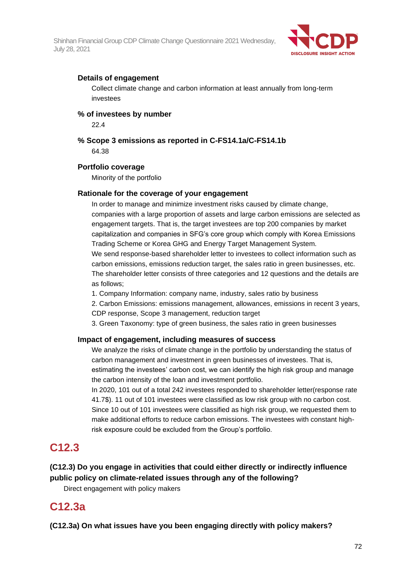

## **Details of engagement**

Collect climate change and carbon information at least annually from long-term investees

## **% of investees by number**

22.4

**% Scope 3 emissions as reported in C-FS14.1a/C-FS14.1b** 64.38

## **Portfolio coverage**

Minority of the portfolio

## **Rationale for the coverage of your engagement**

In order to manage and minimize investment risks caused by climate change, companies with a large proportion of assets and large carbon emissions are selected as engagement targets. That is, the target investees are top 200 companies by market capitalization and companies in SFG's core group which comply with Korea Emissions Trading Scheme or Korea GHG and Energy Target Management System.

We send response-based shareholder letter to investees to collect information such as carbon emissions, emissions reduction target, the sales ratio in green businesses, etc. The shareholder letter consists of three categories and 12 questions and the details are as follows;

1. Company Information: company name, industry, sales ratio by business

2. Carbon Emissions: emissions management, allowances, emissions in recent 3 years, CDP response, Scope 3 management, reduction target

3. Green Taxonomy: type of green business, the sales ratio in green businesses

## **Impact of engagement, including measures of success**

We analyze the risks of climate change in the portfolio by understanding the status of carbon management and investment in green businesses of investees. That is, estimating the investees' carbon cost, we can identify the high risk group and manage the carbon intensity of the loan and investment portfolio.

In 2020, 101 out of a total 242 investees responded to shareholder letter(response rate 41.7\$). 11 out of 101 investees were classified as low risk group with no carbon cost. Since 10 out of 101 investees were classified as high risk group, we requested them to make additional efforts to reduce carbon emissions. The investees with constant highrisk exposure could be excluded from the Group's portfolio.

## **C12.3**

**(C12.3) Do you engage in activities that could either directly or indirectly influence public policy on climate-related issues through any of the following?**

Direct engagement with policy makers

# **C12.3a**

**(C12.3a) On what issues have you been engaging directly with policy makers?**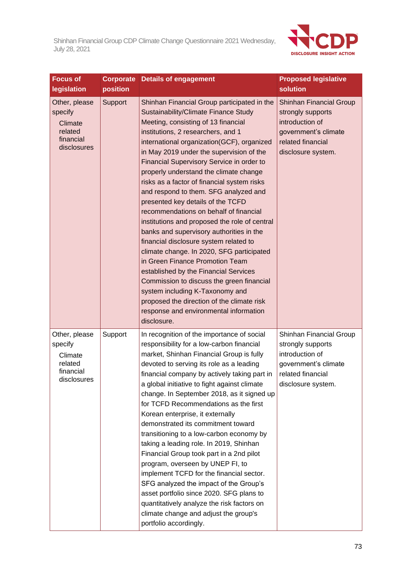

| <b>Focus of</b><br>legislation                                             | position | <b>Corporate Details of engagement</b>                                                                                                                                                                                                                                                                                                                                                                                                                                                                                                                                                                                                                                                                                                                                                                                                                                                                                                                                          | <b>Proposed legislative</b><br>solution                                                                                                   |
|----------------------------------------------------------------------------|----------|---------------------------------------------------------------------------------------------------------------------------------------------------------------------------------------------------------------------------------------------------------------------------------------------------------------------------------------------------------------------------------------------------------------------------------------------------------------------------------------------------------------------------------------------------------------------------------------------------------------------------------------------------------------------------------------------------------------------------------------------------------------------------------------------------------------------------------------------------------------------------------------------------------------------------------------------------------------------------------|-------------------------------------------------------------------------------------------------------------------------------------------|
| Other, please<br>specify<br>Climate<br>related<br>financial<br>disclosures | Support  | Shinhan Financial Group participated in the<br>Sustainability/Climate Finance Study<br>Meeting, consisting of 13 financial<br>institutions, 2 researchers, and 1<br>international organization(GCF), organized<br>in May 2019 under the supervision of the<br>Financial Supervisory Service in order to<br>properly understand the climate change<br>risks as a factor of financial system risks<br>and respond to them. SFG analyzed and<br>presented key details of the TCFD<br>recommendations on behalf of financial<br>institutions and proposed the role of central<br>banks and supervisory authorities in the<br>financial disclosure system related to<br>climate change. In 2020, SFG participated<br>in Green Finance Promotion Team<br>established by the Financial Services<br>Commission to discuss the green financial<br>system including K-Taxonomy and<br>proposed the direction of the climate risk<br>response and environmental information<br>disclosure. | <b>Shinhan Financial Group</b><br>strongly supports<br>introduction of<br>government's climate<br>related financial<br>disclosure system. |
| Other, please<br>specify<br>Climate<br>related<br>financial<br>disclosures | Support  | In recognition of the importance of social<br>responsibility for a low-carbon financial<br>market, Shinhan Financial Group is fully<br>devoted to serving its role as a leading<br>financial company by actively taking part in<br>a global initiative to fight against climate<br>change. In September 2018, as it signed up<br>for TCFD Recommendations as the first<br>Korean enterprise, it externally<br>demonstrated its commitment toward<br>transitioning to a low-carbon economy by<br>taking a leading role. In 2019, Shinhan<br>Financial Group took part in a 2nd pilot<br>program, overseen by UNEP FI, to<br>implement TCFD for the financial sector.<br>SFG analyzed the impact of the Group's<br>asset portfolio since 2020. SFG plans to<br>quantitatively analyze the risk factors on<br>climate change and adjust the group's<br>portfolio accordingly.                                                                                                      | Shinhan Financial Group<br>strongly supports<br>introduction of<br>government's climate<br>related financial<br>disclosure system.        |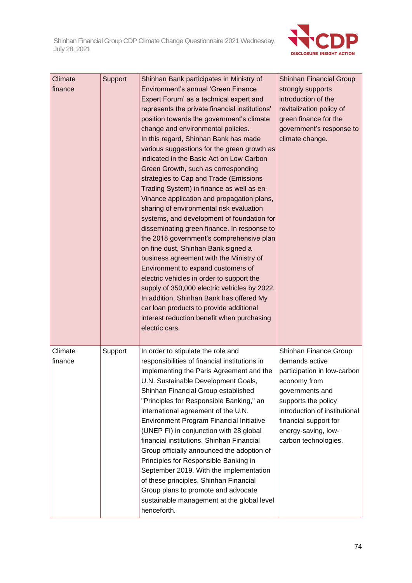

| Climate<br>finance | Support | Shinhan Bank participates in Ministry of<br>Environment's annual 'Green Finance<br>Expert Forum' as a technical expert and<br>represents the private financial institutions'<br>position towards the government's climate<br>change and environmental policies.<br>In this regard, Shinhan Bank has made<br>various suggestions for the green growth as<br>indicated in the Basic Act on Low Carbon<br>Green Growth, such as corresponding<br>strategies to Cap and Trade (Emissions<br>Trading System) in finance as well as en-<br>Vinance application and propagation plans,<br>sharing of environmental risk evaluation<br>systems, and development of foundation for<br>disseminating green finance. In response to<br>the 2018 government's comprehensive plan<br>on fine dust, Shinhan Bank signed a<br>business agreement with the Ministry of<br>Environment to expand customers of<br>electric vehicles in order to support the<br>supply of 350,000 electric vehicles by 2022.<br>In addition, Shinhan Bank has offered My<br>car loan products to provide additional<br>interest reduction benefit when purchasing<br>electric cars. | Shinhan Financial Group<br>strongly supports<br>introduction of the<br>revitalization policy of<br>green finance for the<br>government's response to<br>climate change.                                                                   |
|--------------------|---------|--------------------------------------------------------------------------------------------------------------------------------------------------------------------------------------------------------------------------------------------------------------------------------------------------------------------------------------------------------------------------------------------------------------------------------------------------------------------------------------------------------------------------------------------------------------------------------------------------------------------------------------------------------------------------------------------------------------------------------------------------------------------------------------------------------------------------------------------------------------------------------------------------------------------------------------------------------------------------------------------------------------------------------------------------------------------------------------------------------------------------------------------------|-------------------------------------------------------------------------------------------------------------------------------------------------------------------------------------------------------------------------------------------|
| Climate<br>finance | Support | In order to stipulate the role and<br>responsibilities of financial institutions in<br>implementing the Paris Agreement and the<br>U.N. Sustainable Development Goals,<br>Shinhan Financial Group established<br>"Principles for Responsible Banking," an<br>international agreement of the U.N.<br><b>Environment Program Financial Initiative</b><br>(UNEP FI) in conjunction with 28 global<br>financial institutions. Shinhan Financial<br>Group officially announced the adoption of<br>Principles for Responsible Banking in<br>September 2019. With the implementation<br>of these principles, Shinhan Financial<br>Group plans to promote and advocate<br>sustainable management at the global level<br>henceforth.                                                                                                                                                                                                                                                                                                                                                                                                                      | Shinhan Finance Group<br>demands active<br>participation in low-carbon<br>economy from<br>governments and<br>supports the policy<br>introduction of institutional<br>financial support for<br>energy-saving, low-<br>carbon technologies. |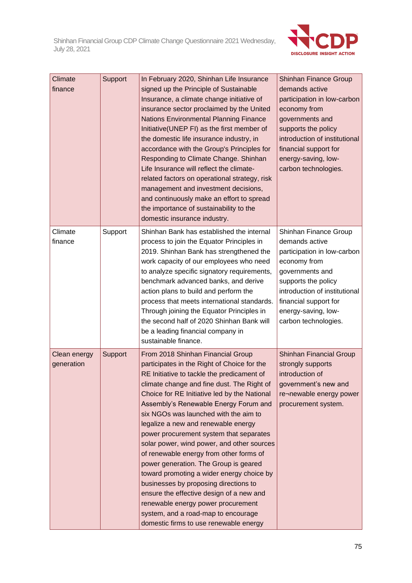

| Climate<br>finance         | Support | In February 2020, Shinhan Life Insurance<br>signed up the Principle of Sustainable<br>Insurance, a climate change initiative of<br>insurance sector proclaimed by the United<br><b>Nations Environmental Planning Finance</b><br>Initiative(UNEP FI) as the first member of<br>the domestic life insurance industry, in<br>accordance with the Group's Principles for<br>Responding to Climate Change. Shinhan<br>Life Insurance will reflect the climate-<br>related factors on operational strategy, risk<br>management and investment decisions,<br>and continuously make an effort to spread<br>the importance of sustainability to the<br>domestic insurance industry.                                                                                                                 | <b>Shinhan Finance Group</b><br>demands active<br>participation in low-carbon<br>economy from<br>governments and<br>supports the policy<br>introduction of institutional<br>financial support for<br>energy-saving, low-<br>carbon technologies. |
|----------------------------|---------|---------------------------------------------------------------------------------------------------------------------------------------------------------------------------------------------------------------------------------------------------------------------------------------------------------------------------------------------------------------------------------------------------------------------------------------------------------------------------------------------------------------------------------------------------------------------------------------------------------------------------------------------------------------------------------------------------------------------------------------------------------------------------------------------|--------------------------------------------------------------------------------------------------------------------------------------------------------------------------------------------------------------------------------------------------|
| Climate<br>finance         | Support | Shinhan Bank has established the internal<br>process to join the Equator Principles in<br>2019. Shinhan Bank has strengthened the<br>work capacity of our employees who need<br>to analyze specific signatory requirements,<br>benchmark advanced banks, and derive<br>action plans to build and perform the<br>process that meets international standards.<br>Through joining the Equator Principles in<br>the second half of 2020 Shinhan Bank will<br>be a leading financial company in<br>sustainable finance.                                                                                                                                                                                                                                                                          | Shinhan Finance Group<br>demands active<br>participation in low-carbon<br>economy from<br>governments and<br>supports the policy<br>introduction of institutional<br>financial support for<br>energy-saving, low-<br>carbon technologies.        |
| Clean energy<br>generation | Support | From 2018 Shinhan Financial Group<br>participates in the Right of Choice for the<br>RE Initiative to tackle the predicament of<br>climate change and fine dust. The Right of<br>Choice for RE Initiative led by the National<br>Assembly's Renewable Energy Forum and<br>six NGOs was launched with the aim to<br>legalize a new and renewable energy<br>power procurement system that separates<br>solar power, wind power, and other sources<br>of renewable energy from other forms of<br>power generation. The Group is geared<br>toward promoting a wider energy choice by<br>businesses by proposing directions to<br>ensure the effective design of a new and<br>renewable energy power procurement<br>system, and a road-map to encourage<br>domestic firms to use renewable energy | Shinhan Financial Group<br>strongly supports<br>introduction of<br>government's new and<br>re¬newable energy power<br>procurement system.                                                                                                        |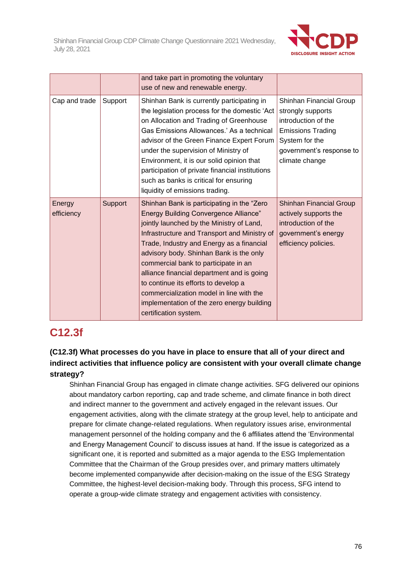

|                      |         | and take part in promoting the voluntary<br>use of new and renewable energy.                                                                                                                                                                                                                                                                                                                                                                                                                                                      |                                                                                                                                                                 |
|----------------------|---------|-----------------------------------------------------------------------------------------------------------------------------------------------------------------------------------------------------------------------------------------------------------------------------------------------------------------------------------------------------------------------------------------------------------------------------------------------------------------------------------------------------------------------------------|-----------------------------------------------------------------------------------------------------------------------------------------------------------------|
| Cap and trade        | Support | Shinhan Bank is currently participating in<br>the legislation process for the domestic 'Act<br>on Allocation and Trading of Greenhouse<br>Gas Emissions Allowances.' As a technical<br>advisor of the Green Finance Expert Forum<br>under the supervision of Ministry of<br>Environment, it is our solid opinion that<br>participation of private financial institutions<br>such as banks is critical for ensuring<br>liquidity of emissions trading.                                                                             | Shinhan Financial Group<br>strongly supports<br>introduction of the<br><b>Emissions Trading</b><br>System for the<br>government's response to<br>climate change |
| Energy<br>efficiency | Support | Shinhan Bank is participating in the "Zero"<br><b>Energy Building Convergence Alliance"</b><br>jointly launched by the Ministry of Land,<br>Infrastructure and Transport and Ministry of<br>Trade, Industry and Energy as a financial<br>advisory body. Shinhan Bank is the only<br>commercial bank to participate in an<br>alliance financial department and is going<br>to continue its efforts to develop a<br>commercialization model in line with the<br>implementation of the zero energy building<br>certification system. | Shinhan Financial Group<br>actively supports the<br>introduction of the<br>government's energy<br>efficiency policies.                                          |

### **C12.3f**

#### **(C12.3f) What processes do you have in place to ensure that all of your direct and indirect activities that influence policy are consistent with your overall climate change strategy?**

Shinhan Financial Group has engaged in climate change activities. SFG delivered our opinions about mandatory carbon reporting, cap and trade scheme, and climate finance in both direct and indirect manner to the government and actively engaged in the relevant issues. Our engagement activities, along with the climate strategy at the group level, help to anticipate and prepare for climate change-related regulations. When regulatory issues arise, environmental management personnel of the holding company and the 6 affiliates attend the 'Environmental and Energy Management Council' to discuss issues at hand. If the issue is categorized as a significant one, it is reported and submitted as a major agenda to the ESG Implementation Committee that the Chairman of the Group presides over, and primary matters ultimately become implemented companywide after decision-making on the issue of the ESG Strategy Committee, the highest-level decision-making body. Through this process, SFG intend to operate a group-wide climate strategy and engagement activities with consistency.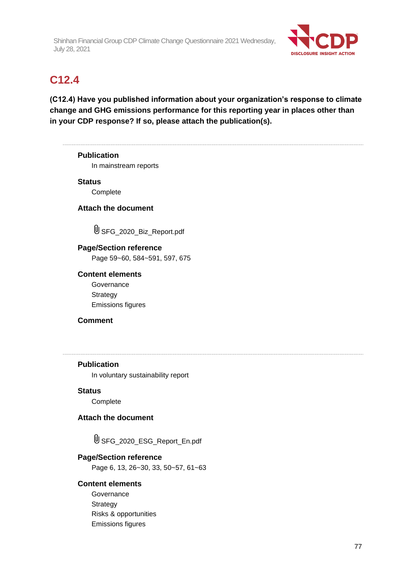

### **C12.4**

**(C12.4) Have you published information about your organization's response to climate change and GHG emissions performance for this reporting year in places other than in your CDP response? If so, please attach the publication(s).**

# **Publication** In mainstream reports **Status Complete Attach the document**  $\mathbb U$  SFG 2020 Biz Report.pdf **Page/Section reference** Page 59~60, 584~591, 597, 675 **Content elements Governance Strategy** Emissions figures **Comment Publication** In voluntary sustainability report **Status** Complete **Attach the document** SFG\_2020\_ESG\_Report\_En.pdf **Page/Section reference** Page 6, 13, 26~30, 33, 50~57, 61~63 **Content elements**

**Governance Strategy** Risks & opportunities Emissions figures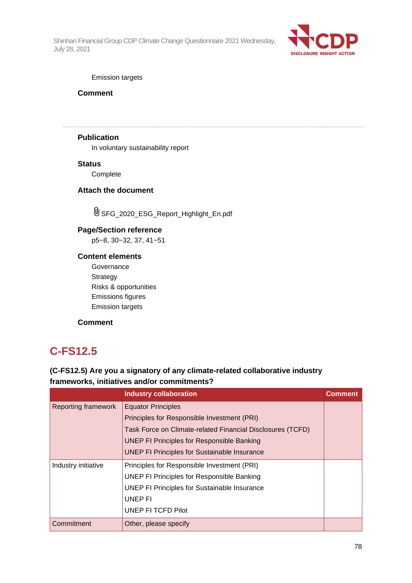

#### Emission targets

**Comment**

#### **Publication**

In voluntary sustainability report

#### **Status**

Complete

#### **Attach the document**

SFG\_2020\_ESG\_Report\_Highlight\_En.pdf

#### **Page/Section reference**

p5~8, 30~32, 37, 41~51

#### **Content elements**

**Governance Strategy** Risks & opportunities Emissions figures Emission targets

#### **Comment**

### **C-FS12.5**

#### **(C-FS12.5) Are you a signatory of any climate-related collaborative industry frameworks, initiatives and/or commitments?**

|                            | <b>Industry collaboration</b>                              | Comment |
|----------------------------|------------------------------------------------------------|---------|
| <b>Reporting framework</b> | <b>Equator Principles</b>                                  |         |
|                            | Principles for Responsible Investment (PRI)                |         |
|                            | Task Force on Climate-related Financial Disclosures (TCFD) |         |
|                            | <b>UNEP FI Principles for Responsible Banking</b>          |         |
|                            | <b>UNEP FI Principles for Sustainable Insurance</b>        |         |
| Industry initiative        | Principles for Responsible Investment (PRI)                |         |
|                            | <b>UNEP FI Principles for Responsible Banking</b>          |         |
|                            | <b>UNEP FI Principles for Sustainable Insurance</b>        |         |
|                            | UNEP FI                                                    |         |
|                            | UNEP FI TCFD Pilot                                         |         |
| Commitment                 | Other, please specify                                      |         |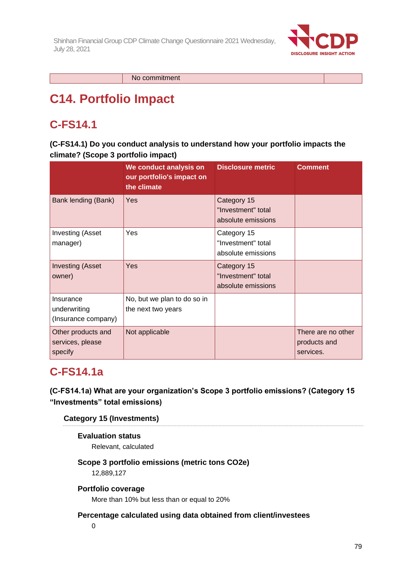

No commitment

# **C14. Portfolio Impact**

## **C-FS14.1**

**(C-FS14.1) Do you conduct analysis to understand how your portfolio impacts the climate? (Scope 3 portfolio impact)**

|                                                   | We conduct analysis on<br>our portfolio's impact on<br>the climate | <b>Disclosure metric</b>                                | <b>Comment</b>                                  |
|---------------------------------------------------|--------------------------------------------------------------------|---------------------------------------------------------|-------------------------------------------------|
| Bank lending (Bank)                               | Yes                                                                | Category 15<br>"Investment" total<br>absolute emissions |                                                 |
| <b>Investing (Asset</b><br>manager)               | Yes                                                                | Category 15<br>"Investment" total<br>absolute emissions |                                                 |
| <b>Investing (Asset</b><br>owner)                 | <b>Yes</b>                                                         | Category 15<br>"Investment" total<br>absolute emissions |                                                 |
| Insurance<br>underwriting<br>(Insurance company)  | No, but we plan to do so in<br>the next two years                  |                                                         |                                                 |
| Other products and<br>services, please<br>specify | Not applicable                                                     |                                                         | There are no other<br>products and<br>services. |

### **C-FS14.1a**

**(C-FS14.1a) What are your organization's Scope 3 portfolio emissions? (Category 15 "Investments" total emissions)**

#### **Category 15 (Investments)**

#### **Evaluation status**

Relevant, calculated

#### **Scope 3 portfolio emissions (metric tons CO2e)**

12,889,127

#### **Portfolio coverage**

More than 10% but less than or equal to 20%

#### **Percentage calculated using data obtained from client/investees**

 $\Omega$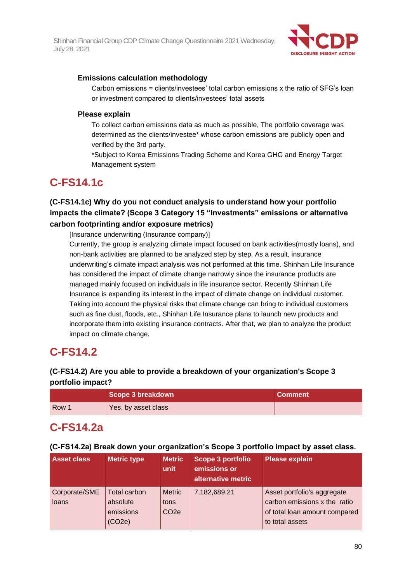

#### **Emissions calculation methodology**

Carbon emissions = clients/investees' total carbon emissions x the ratio of SFG's loan or investment compared to clients/investees' total assets

#### **Please explain**

To collect carbon emissions data as much as possible, The portfolio coverage was determined as the clients/investee\* whose carbon emissions are publicly open and verified by the 3rd party.

\*Subject to Korea Emissions Trading Scheme and Korea GHG and Energy Target Management system

### **C-FS14.1c**

#### **(C-FS14.1c) Why do you not conduct analysis to understand how your portfolio impacts the climate? (Scope 3 Category 15 "Investments" emissions or alternative carbon footprinting and/or exposure metrics)**

[Insurance underwriting (Insurance company)]

Currently, the group is analyzing climate impact focused on bank activities(mostly loans), and non-bank activities are planned to be analyzed step by step. As a result, insurance underwriting's climate impact analysis was not performed at this time. Shinhan Life Insurance has considered the impact of climate change narrowly since the insurance products are managed mainly focused on individuals in life insurance sector. Recently Shinhan Life Insurance is expanding its interest in the impact of climate change on individual customer. Taking into account the physical risks that climate change can bring to individual customers such as fine dust, floods, etc., Shinhan Life Insurance plans to launch new products and incorporate them into existing insurance contracts. After that, we plan to analyze the product impact on climate change.

### **C-FS14.2**

#### **(C-FS14.2) Are you able to provide a breakdown of your organization's Scope 3 portfolio impact?**

|       | Scope 3 breakdown   | <b>Comment</b> |
|-------|---------------------|----------------|
| Row 1 | Yes, by asset class |                |

### **C-FS14.2a**

#### **(C-FS14.2a) Break down your organization's Scope 3 portfolio impact by asset class.**

| <b>Asset class</b>     | <b>Metric type</b>                                     | <b>Metric</b><br>unit                     | Scope 3 portfolio<br>emissions or<br>alternative metric | <b>Please explain</b>                                                                                           |
|------------------------|--------------------------------------------------------|-------------------------------------------|---------------------------------------------------------|-----------------------------------------------------------------------------------------------------------------|
| Corporate/SME<br>loans | <b>Total carbon</b><br>absolute<br>emissions<br>(CO2e) | <b>Metric</b><br>tons<br>CO <sub>2e</sub> | 7,182,689.21                                            | Asset portfolio's aggregate<br>carbon emissions x the ratio<br>of total loan amount compared<br>to total assets |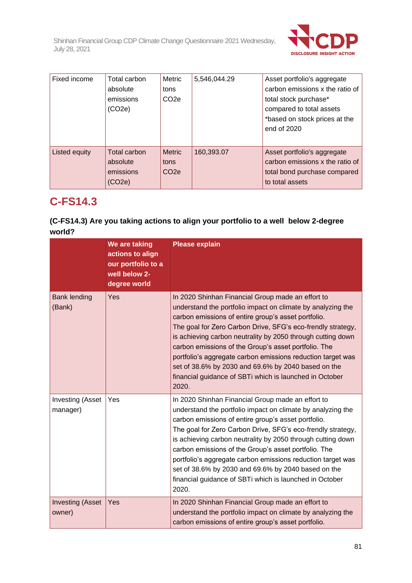

| Fixed income  | Total carbon<br>absolute<br>emissions<br>(CO2e) | Metric<br>tons<br>CO <sub>2e</sub>        | 5,546,044.29 | Asset portfolio's aggregate<br>carbon emissions x the ratio of<br>total stock purchase*<br>compared to total assets<br>*based on stock prices at the<br>end of 2020 |
|---------------|-------------------------------------------------|-------------------------------------------|--------------|---------------------------------------------------------------------------------------------------------------------------------------------------------------------|
| Listed equity | Total carbon<br>absolute<br>emissions<br>CO2e)  | <b>Metric</b><br>tons<br>CO <sub>2e</sub> | 160,393.07   | Asset portfolio's aggregate<br>carbon emissions x the ratio of<br>total bond purchase compared<br>to total assets                                                   |

### **C-FS14.3**

#### **(C-FS14.3) Are you taking actions to align your portfolio to a well below 2-degree world?**

|                                     | We are taking<br>actions to align<br>our portfolio to a<br>well below 2-<br>degree world | <b>Please explain</b>                                                                                                                                                                                                                                                                                                                                                                                                                                                                                                                                   |
|-------------------------------------|------------------------------------------------------------------------------------------|---------------------------------------------------------------------------------------------------------------------------------------------------------------------------------------------------------------------------------------------------------------------------------------------------------------------------------------------------------------------------------------------------------------------------------------------------------------------------------------------------------------------------------------------------------|
| <b>Bank lending</b><br>(Bank)       | Yes                                                                                      | In 2020 Shinhan Financial Group made an effort to<br>understand the portfolio impact on climate by analyzing the<br>carbon emissions of entire group's asset portfolio.<br>The goal for Zero Carbon Drive, SFG's eco-frendly strategy,<br>is achieving carbon neutrality by 2050 through cutting down<br>carbon emissions of the Group's asset portfolio. The<br>portfolio's aggregate carbon emissions reduction target was<br>set of 38.6% by 2030 and 69.6% by 2040 based on the<br>financial guidance of SBTi which is launched in October<br>2020. |
| <b>Investing (Asset</b><br>manager) | Yes                                                                                      | In 2020 Shinhan Financial Group made an effort to<br>understand the portfolio impact on climate by analyzing the<br>carbon emissions of entire group's asset portfolio.<br>The goal for Zero Carbon Drive, SFG's eco-frendly strategy,<br>is achieving carbon neutrality by 2050 through cutting down<br>carbon emissions of the Group's asset portfolio. The<br>portfolio's aggregate carbon emissions reduction target was<br>set of 38.6% by 2030 and 69.6% by 2040 based on the<br>financial guidance of SBTi which is launched in October<br>2020. |
| <b>Investing (Asset</b><br>owner)   | Yes                                                                                      | In 2020 Shinhan Financial Group made an effort to<br>understand the portfolio impact on climate by analyzing the<br>carbon emissions of entire group's asset portfolio.                                                                                                                                                                                                                                                                                                                                                                                 |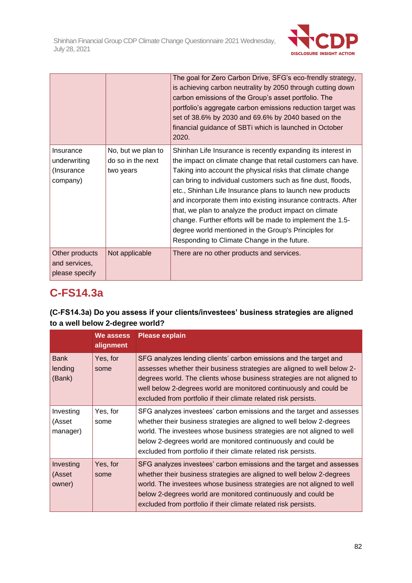

|                                                     |                                                      | The goal for Zero Carbon Drive, SFG's eco-frendly strategy,<br>is achieving carbon neutrality by 2050 through cutting down<br>carbon emissions of the Group's asset portfolio. The<br>portfolio's aggregate carbon emissions reduction target was<br>set of 38.6% by 2030 and 69.6% by 2040 based on the<br>financial guidance of SBTi which is launched in October<br>2020.                                                                                                                                                                                                                                            |
|-----------------------------------------------------|------------------------------------------------------|-------------------------------------------------------------------------------------------------------------------------------------------------------------------------------------------------------------------------------------------------------------------------------------------------------------------------------------------------------------------------------------------------------------------------------------------------------------------------------------------------------------------------------------------------------------------------------------------------------------------------|
| Insurance<br>underwriting<br>(Insurance<br>company) | No, but we plan to<br>do so in the next<br>two years | Shinhan Life Insurance is recently expanding its interest in<br>the impact on climate change that retail customers can have.<br>Taking into account the physical risks that climate change<br>can bring to individual customers such as fine dust, floods,<br>etc., Shinhan Life Insurance plans to launch new products<br>and incorporate them into existing insurance contracts. After<br>that, we plan to analyze the product impact on climate<br>change. Further efforts will be made to implement the 1.5-<br>degree world mentioned in the Group's Principles for<br>Responding to Climate Change in the future. |
| Other products<br>and services,<br>please specify   | Not applicable                                       | There are no other products and services.                                                                                                                                                                                                                                                                                                                                                                                                                                                                                                                                                                               |

## **C-FS14.3a**

#### **(C-FS14.3a) Do you assess if your clients/investees' business strategies are aligned to a well below 2-degree world?**

|                                  | <b>We assess</b><br>alignment | <b>Please explain</b>                                                                                                                                                                                                                                                                                                                                            |
|----------------------------------|-------------------------------|------------------------------------------------------------------------------------------------------------------------------------------------------------------------------------------------------------------------------------------------------------------------------------------------------------------------------------------------------------------|
| <b>Bank</b><br>lending<br>(Bank) | Yes, for<br>some              | SFG analyzes lending clients' carbon emissions and the target and<br>assesses whether their business strategies are aligned to well below 2-<br>degrees world. The clients whose business strategies are not aligned to<br>well below 2-degrees world are monitored continuously and could be<br>excluded from portfolio if their climate related risk persists. |
| Investing<br>(Asset<br>manager)  | Yes, for<br>some              | SFG analyzes investees' carbon emissions and the target and assesses<br>whether their business strategies are aligned to well below 2-degrees<br>world. The investees whose business strategies are not aligned to well<br>below 2-degrees world are monitored continuously and could be<br>excluded from portfolio if their climate related risk persists.      |
| Investing<br>(Asset<br>owner)    | Yes, for<br>some              | SFG analyzes investees' carbon emissions and the target and assesses<br>whether their business strategies are aligned to well below 2-degrees<br>world. The investees whose business strategies are not aligned to well<br>below 2-degrees world are monitored continuously and could be<br>excluded from portfolio if their climate related risk persists.      |